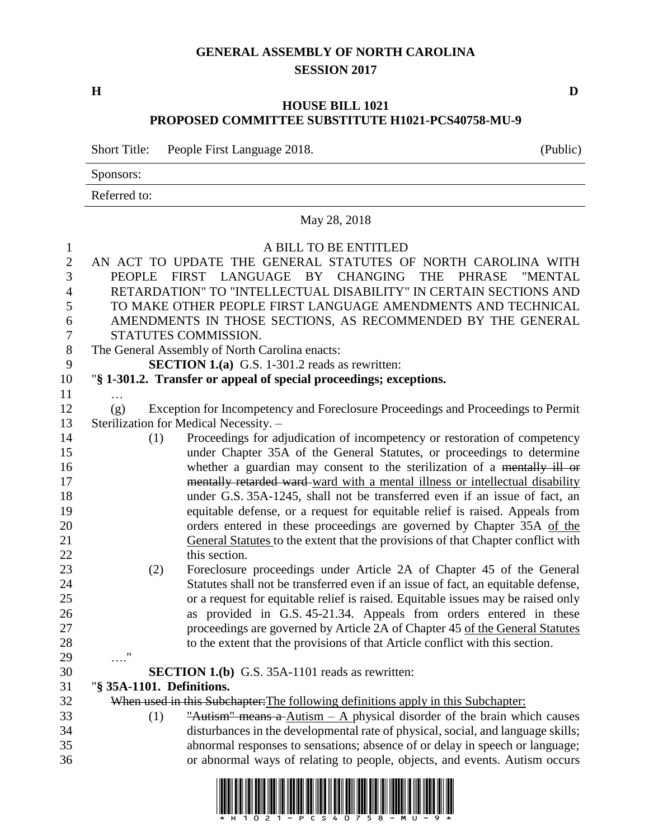#### **GENERAL ASSEMBLY OF NORTH CAROLINA SESSION 2017**

**H D**

#### **HOUSE BILL 1021 PROPOSED COMMITTEE SUBSTITUTE H1021-PCS40758-MU-9**

Short Title: People First Language 2018. (Public)

Sponsors:

Referred to:

# May 28, 2018 A BILL TO BE ENTITLED AN ACT TO UPDATE THE GENERAL STATUTES OF NORTH CAROLINA WITH PEOPLE FIRST LANGUAGE BY CHANGING THE PHRASE "MENTAL RETARDATION" TO "INTELLECTUAL DISABILITY" IN CERTAIN SECTIONS AND TO MAKE OTHER PEOPLE FIRST LANGUAGE AMENDMENTS AND TECHNICAL AMENDMENTS IN THOSE SECTIONS, AS RECOMMENDED BY THE GENERAL STATUTES COMMISSION.

The General Assembly of North Carolina enacts:

**SECTION 1.(a)** G.S. 1-301.2 reads as rewritten:

"**§ 1-301.2. Transfer or appeal of special proceedings; exceptions.**

- … (g) Exception for Incompetency and Foreclosure Proceedings and Proceedings to Permit Sterilization for Medical Necessity. –
- (1) Proceedings for adjudication of incompetency or restoration of competency under Chapter 35A of the General Statutes, or proceedings to determine 16 whether a guardian may consent to the sterilization of a mentally ill or 17 mentally retarded ward-ward with a mental illness or intellectual disability under G.S. 35A-1245, shall not be transferred even if an issue of fact, an equitable defense, or a request for equitable relief is raised. Appeals from orders entered in these proceedings are governed by Chapter 35A of the General Statutes to the extent that the provisions of that Chapter conflict with 22 this section.
- (2) Foreclosure proceedings under Article 2A of Chapter 45 of the General Statutes shall not be transferred even if an issue of fact, an equitable defense, or a request for equitable relief is raised. Equitable issues may be raised only as provided in G.S. 45-21.34. Appeals from orders entered in these 27 proceedings are governed by Article 2A of Chapter 45 of the General Statutes to the extent that the provisions of that Article conflict with this section.

**SECTION 1.(b)** G.S. 35A-1101 reads as rewritten:

"**§ 35A-1101. Definitions.**

…."

When used in this Subchapter:The following definitions apply in this Subchapter:

33 (1) "Autism" means a Autism – A physical disorder of the brain which causes disturbances in the developmental rate of physical, social, and language skills; abnormal responses to sensations; absence of or delay in speech or language; or abnormal ways of relating to people, objects, and events. Autism occurs

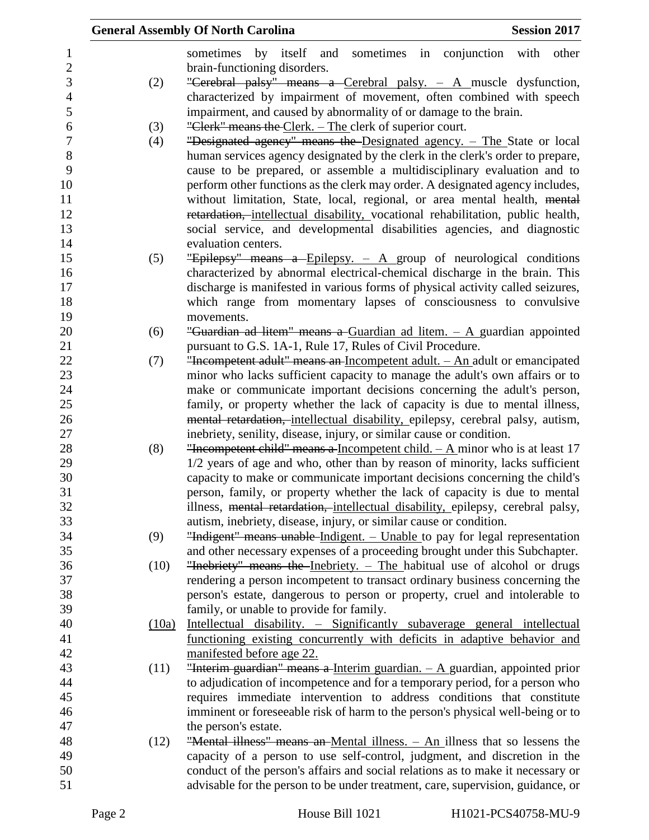|       | <b>General Assembly Of North Carolina</b>                                       | <b>Session 2017</b> |       |
|-------|---------------------------------------------------------------------------------|---------------------|-------|
|       | sometimes<br>by itself<br>sometimes in conjunction with<br>and                  |                     | other |
|       | brain-functioning disorders.                                                    |                     |       |
| (2)   | "Cerebral palsy" means a Cerebral palsy. $-$ A muscle dysfunction,              |                     |       |
|       | characterized by impairment of movement, often combined with speech             |                     |       |
|       | impairment, and caused by abnormality of or damage to the brain.                |                     |       |
| (3)   | "Clerk" means the Clerk. – The clerk of superior court.                         |                     |       |
| (4)   | "Designated agency" means the Designated agency. - The State or local           |                     |       |
|       | human services agency designated by the clerk in the clerk's order to prepare,  |                     |       |
|       | cause to be prepared, or assemble a multidisciplinary evaluation and to         |                     |       |
|       | perform other functions as the clerk may order. A designated agency includes,   |                     |       |
|       | without limitation, State, local, regional, or area mental health, mental       |                     |       |
|       | retardation, intellectual disability, vocational rehabilitation, public health, |                     |       |
|       | social service, and developmental disabilities agencies, and diagnostic         |                     |       |
|       | evaluation centers.                                                             |                     |       |
| (5)   | "Epilepsy" means a Epilepsy. $-$ A group of neurological conditions             |                     |       |
|       | characterized by abnormal electrical-chemical discharge in the brain. This      |                     |       |
|       | discharge is manifested in various forms of physical activity called seizures,  |                     |       |
|       | which range from momentary lapses of consciousness to convulsive                |                     |       |
|       | movements.                                                                      |                     |       |
| (6)   | "Guardian ad litem" means a Guardian ad litem. $-$ A guardian appointed         |                     |       |
|       | pursuant to G.S. 1A-1, Rule 17, Rules of Civil Procedure.                       |                     |       |
| (7)   | "Incompetent adult" means an Incompetent adult. $-$ An adult or emancipated     |                     |       |
|       | minor who lacks sufficient capacity to manage the adult's own affairs or to     |                     |       |
|       | make or communicate important decisions concerning the adult's person,          |                     |       |
|       | family, or property whether the lack of capacity is due to mental illness,      |                     |       |
|       | mental retardation, intellectual disability, epilepsy, cerebral palsy, autism,  |                     |       |
|       | inebriety, senility, disease, injury, or similar cause or condition.            |                     |       |
| (8)   | "Incompetent child" means a Incompetent child. $- A$ minor who is at least 17   |                     |       |
|       | 1/2 years of age and who, other than by reason of minority, lacks sufficient    |                     |       |
|       | capacity to make or communicate important decisions concerning the child's      |                     |       |
|       | person, family, or property whether the lack of capacity is due to mental       |                     |       |
|       | illness, mental retardation, intellectual disability, epilepsy, cerebral palsy, |                     |       |
|       | autism, inebriety, disease, injury, or similar cause or condition.              |                     |       |
| (9)   | "Indigent" means unable Indigent. - Unable to pay for legal representation      |                     |       |
|       | and other necessary expenses of a proceeding brought under this Subchapter.     |                     |       |
| (10)  | "Inebriety" means the Inebriety. - The habitual use of alcohol or drugs         |                     |       |
|       | rendering a person incompetent to transact ordinary business concerning the     |                     |       |
|       | person's estate, dangerous to person or property, cruel and intolerable to      |                     |       |
|       | family, or unable to provide for family.                                        |                     |       |
| (10a) | Intellectual disability. – Significantly subaverage general intellectual        |                     |       |
|       | functioning existing concurrently with deficits in adaptive behavior and        |                     |       |
|       | manifested before age 22.                                                       |                     |       |
| (11)  | "Interim guardian" means a Interim guardian. $-$ A guardian, appointed prior    |                     |       |
|       | to adjudication of incompetence and for a temporary period, for a person who    |                     |       |
|       | requires immediate intervention to address conditions that constitute           |                     |       |
|       | imminent or foreseeable risk of harm to the person's physical well-being or to  |                     |       |
|       | the person's estate.                                                            |                     |       |
| (12)  | "Mental illness" means an Mental illness. $-$ An illness that so lessens the    |                     |       |
|       | capacity of a person to use self-control, judgment, and discretion in the       |                     |       |
|       | conduct of the person's affairs and social relations as to make it necessary or |                     |       |
|       | advisable for the person to be under treatment, care, supervision, guidance, or |                     |       |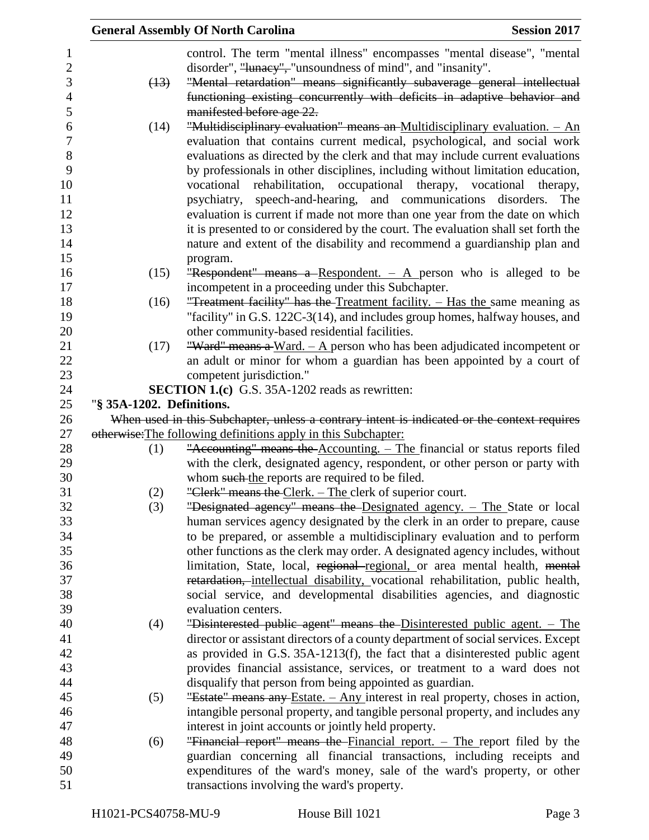|                           | <b>General Assembly Of North Carolina</b>                                                   | <b>Session 2017</b> |
|---------------------------|---------------------------------------------------------------------------------------------|---------------------|
|                           | control. The term "mental illness" encompasses "mental disease", "mental                    |                     |
|                           | disorder", "lunacy", "unsoundness of mind", and "insanity".                                 |                     |
| (13)                      | "Mental retardation" means significantly subaverage general intellectual                    |                     |
|                           | functioning existing concurrently with deficits in adaptive behavior and                    |                     |
|                           | manifested before age 22.                                                                   |                     |
| (14)                      | "Multidisciplinary evaluation" means an Multidisciplinary evaluation. $-$ An                |                     |
|                           | evaluation that contains current medical, psychological, and social work                    |                     |
|                           | evaluations as directed by the clerk and that may include current evaluations               |                     |
|                           | by professionals in other disciplines, including without limitation education,              |                     |
|                           | vocational rehabilitation, occupational therapy, vocational therapy,                        |                     |
|                           | psychiatry, speech-and-hearing, and communications disorders.                               | The                 |
|                           | evaluation is current if made not more than one year from the date on which                 |                     |
|                           | it is presented to or considered by the court. The evaluation shall set forth the           |                     |
|                           | nature and extent of the disability and recommend a guardianship plan and                   |                     |
|                           |                                                                                             |                     |
| (15)                      | program.<br>"Respondent" means a Respondent. $-$ A person who is alleged to be              |                     |
|                           | incompetent in a proceeding under this Subchapter.                                          |                     |
| (16)                      | "Treatment facility" has the Treatment facility. - Has the same meaning as                  |                     |
|                           | "facility" in G.S. 122C-3(14), and includes group homes, halfway houses, and                |                     |
|                           | other community-based residential facilities.                                               |                     |
| (17)                      | "Ward" means a Ward. $- A$ person who has been adjudicated incompetent or                   |                     |
|                           | an adult or minor for whom a guardian has been appointed by a court of                      |                     |
|                           | competent jurisdiction."                                                                    |                     |
|                           | <b>SECTION 1.(c)</b> G.S. 35A-1202 reads as rewritten:                                      |                     |
| "§ 35A-1202. Definitions. |                                                                                             |                     |
|                           | When used in this Subchapter, unless a contrary intent is indicated or the context requires |                     |
|                           | otherwise: The following definitions apply in this Subchapter:                              |                     |
| (1)                       | "Accounting" means the Accounting. - The financial or status reports filed                  |                     |
|                           | with the clerk, designated agency, respondent, or other person or party with                |                     |
|                           | whom such the reports are required to be filed.                                             |                     |
| (2)                       | "Clerk" means the Clerk. – The clerk of superior court.                                     |                     |
| (3)                       | "Designated agency" means the Designated agency. - The State or local                       |                     |
|                           | human services agency designated by the clerk in an order to prepare, cause                 |                     |
|                           | to be prepared, or assemble a multidisciplinary evaluation and to perform                   |                     |
|                           | other functions as the clerk may order. A designated agency includes, without               |                     |
|                           | limitation, State, local, regional-regional, or area mental health, mental                  |                     |
|                           | retardation, intellectual disability, vocational rehabilitation, public health,             |                     |
|                           | social service, and developmental disabilities agencies, and diagnostic                     |                     |
|                           | evaluation centers.                                                                         |                     |
| (4)                       | "Disinterested public agent" means the Disinterested public agent. - The                    |                     |
|                           | director or assistant directors of a county department of social services. Except           |                     |
|                           | as provided in G.S. 35A-1213(f), the fact that a disinterested public agent                 |                     |
|                           | provides financial assistance, services, or treatment to a ward does not                    |                     |
|                           | disqualify that person from being appointed as guardian.                                    |                     |
| (5)                       | "Estate" means any Estate. - Any interest in real property, choses in action,               |                     |
|                           | intangible personal property, and tangible personal property, and includes any              |                     |
|                           | interest in joint accounts or jointly held property.                                        |                     |
| (6)                       | "Financial report" means the Financial report. - The report filed by the                    |                     |
|                           | guardian concerning all financial transactions, including receipts and                      |                     |
|                           | expenditures of the ward's money, sale of the ward's property, or other                     |                     |
|                           | transactions involving the ward's property.                                                 |                     |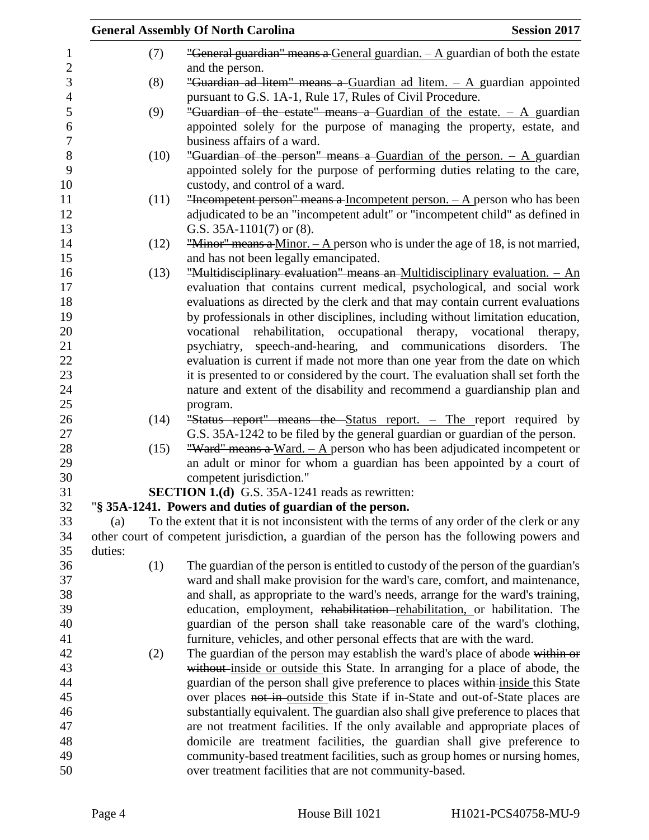|         |      | <b>General Assembly Of North Carolina</b>                                                    | <b>Session 2017</b> |
|---------|------|----------------------------------------------------------------------------------------------|---------------------|
|         | (7)  | "General guardian" means a General guardian. $-A$ guardian of both the estate                |                     |
|         |      | and the person.                                                                              |                     |
|         | (8)  | "Guardian ad litem" means a Guardian ad litem. - A guardian appointed                        |                     |
|         |      | pursuant to G.S. 1A-1, Rule 17, Rules of Civil Procedure.                                    |                     |
|         | (9)  | "Guardian of the estate" means a Guardian of the estate. $-$ A guardian                      |                     |
|         |      | appointed solely for the purpose of managing the property, estate, and                       |                     |
|         |      | business affairs of a ward.                                                                  |                     |
|         | (10) | "Guardian of the person" means a Guardian of the person. $-$ A guardian                      |                     |
|         |      | appointed solely for the purpose of performing duties relating to the care,                  |                     |
|         |      | custody, and control of a ward.                                                              |                     |
|         | (11) | "Incompetent person" means a Incompetent person. $- A$ person who has been                   |                     |
|         |      | adjudicated to be an "incompetent adult" or "incompetent child" as defined in                |                     |
|         |      | G.S. $35A-1101(7)$ or $(8)$ .                                                                |                     |
|         | (12) | "Minor" means a Minor. $- A$ person who is under the age of 18, is not married,              |                     |
|         |      | and has not been legally emancipated.                                                        |                     |
|         | (13) | "Multidisciplinary evaluation" means an Multidisciplinary evaluation. - An                   |                     |
|         |      | evaluation that contains current medical, psychological, and social work                     |                     |
|         |      | evaluations as directed by the clerk and that may contain current evaluations                |                     |
|         |      | by professionals in other disciplines, including without limitation education,               |                     |
|         |      | vocational rehabilitation, occupational therapy, vocational therapy,                         |                     |
|         |      | psychiatry, speech-and-hearing, and communications disorders.                                | The                 |
|         |      | evaluation is current if made not more than one year from the date on which                  |                     |
|         |      | it is presented to or considered by the court. The evaluation shall set forth the            |                     |
|         |      | nature and extent of the disability and recommend a guardianship plan and                    |                     |
|         |      | program.                                                                                     |                     |
|         | (14) | "Status report" means the Status report. - The report required by                            |                     |
|         |      | G.S. 35A-1242 to be filed by the general guardian or guardian of the person.                 |                     |
|         | (15) | "Ward" means a Ward. $-$ A person who has been adjudicated incompetent or                    |                     |
|         |      | an adult or minor for whom a guardian has been appointed by a court of                       |                     |
|         |      | competent jurisdiction."                                                                     |                     |
|         |      | <b>SECTION 1.(d)</b> G.S. 35A-1241 reads as rewritten:                                       |                     |
|         |      | "§ 35A-1241. Powers and duties of guardian of the person.                                    |                     |
| (a)     |      | To the extent that it is not inconsistent with the terms of any order of the clerk or any    |                     |
|         |      | other court of competent jurisdiction, a guardian of the person has the following powers and |                     |
| duties: |      |                                                                                              |                     |
|         | (1)  | The guardian of the person is entitled to custody of the person of the guardian's            |                     |
|         |      | ward and shall make provision for the ward's care, comfort, and maintenance,                 |                     |
|         |      | and shall, as appropriate to the ward's needs, arrange for the ward's training,              |                     |
|         |      | education, employment, rehabilitation-rehabilitation, or habilitation. The                   |                     |
|         |      | guardian of the person shall take reasonable care of the ward's clothing,                    |                     |
|         |      | furniture, vehicles, and other personal effects that are with the ward.                      |                     |
|         | (2)  | The guardian of the person may establish the ward's place of abode within or                 |                     |
|         |      | without inside or outside this State. In arranging for a place of abode, the                 |                     |
|         |      | guardian of the person shall give preference to places within inside this State              |                     |
|         |      | over places not in outside this State if in-State and out-of-State places are                |                     |
|         |      | substantially equivalent. The guardian also shall give preference to places that             |                     |
|         |      | are not treatment facilities. If the only available and appropriate places of                |                     |
|         |      | domicile are treatment facilities, the guardian shall give preference to                     |                     |
|         |      | community-based treatment facilities, such as group homes or nursing homes,                  |                     |
|         |      |                                                                                              |                     |
|         |      | over treatment facilities that are not community-based.                                      |                     |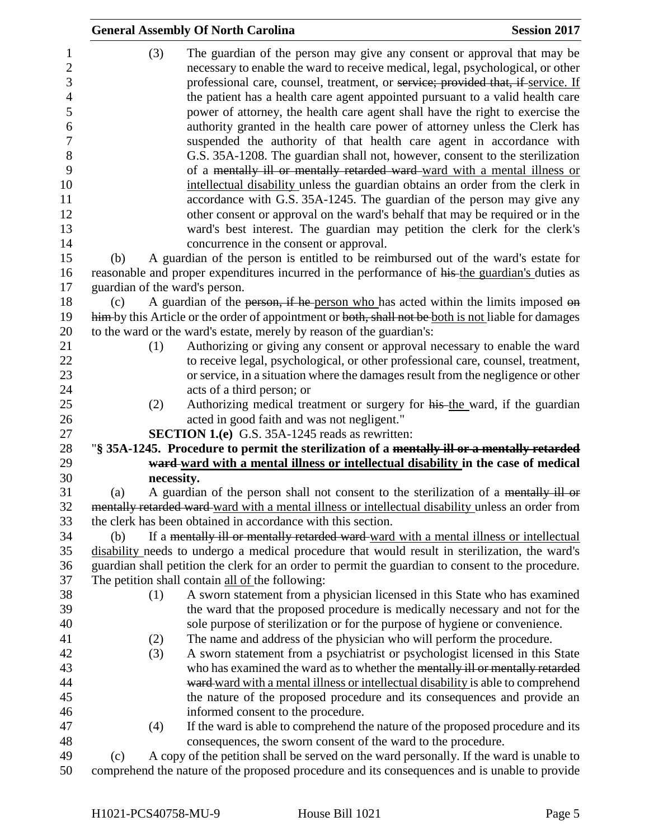|     | <b>General Assembly Of North Carolina</b>                                                                                                                                                                                                                                                                                       | <b>Session 2017</b> |
|-----|---------------------------------------------------------------------------------------------------------------------------------------------------------------------------------------------------------------------------------------------------------------------------------------------------------------------------------|---------------------|
| (3) | The guardian of the person may give any consent or approval that may be<br>necessary to enable the ward to receive medical, legal, psychological, or other<br>professional care, counsel, treatment, or service; provided that, if service. If<br>the patient has a health care agent appointed pursuant to a valid health care |                     |
|     | power of attorney, the health care agent shall have the right to exercise the<br>authority granted in the health care power of attorney unless the Clerk has                                                                                                                                                                    |                     |
|     | suspended the authority of that health care agent in accordance with                                                                                                                                                                                                                                                            |                     |
|     | G.S. 35A-1208. The guardian shall not, however, consent to the sterilization                                                                                                                                                                                                                                                    |                     |
|     | of a mentally ill or mentally retarded ward-ward with a mental illness or                                                                                                                                                                                                                                                       |                     |
|     | intellectual disability unless the guardian obtains an order from the clerk in<br>accordance with G.S. 35A-1245. The guardian of the person may give any                                                                                                                                                                        |                     |
|     | other consent or approval on the ward's behalf that may be required or in the                                                                                                                                                                                                                                                   |                     |
|     | ward's best interest. The guardian may petition the clerk for the clerk's<br>concurrence in the consent or approval.                                                                                                                                                                                                            |                     |
| (b) | A guardian of the person is entitled to be reimbursed out of the ward's estate for                                                                                                                                                                                                                                              |                     |
|     | reasonable and proper expenditures incurred in the performance of his the guardian's duties as                                                                                                                                                                                                                                  |                     |
|     | guardian of the ward's person.                                                                                                                                                                                                                                                                                                  |                     |
| (c) | A guardian of the person, if he person who has acted within the limits imposed on<br>him-by this Article or the order of appointment or both, shall not be both is not liable for damages                                                                                                                                       |                     |
|     | to the ward or the ward's estate, merely by reason of the guardian's:                                                                                                                                                                                                                                                           |                     |
| (1) | Authorizing or giving any consent or approval necessary to enable the ward                                                                                                                                                                                                                                                      |                     |
|     | to receive legal, psychological, or other professional care, counsel, treatment,                                                                                                                                                                                                                                                |                     |
|     | or service, in a situation where the damages result from the negligence or other                                                                                                                                                                                                                                                |                     |
|     | acts of a third person; or                                                                                                                                                                                                                                                                                                      |                     |
| (2) | Authorizing medical treatment or surgery for his the ward, if the guardian                                                                                                                                                                                                                                                      |                     |
|     | acted in good faith and was not negligent."                                                                                                                                                                                                                                                                                     |                     |
|     | <b>SECTION 1.(e)</b> G.S. 35A-1245 reads as rewritten:                                                                                                                                                                                                                                                                          |                     |
|     | "§ 35A-1245. Procedure to permit the sterilization of a mentally ill or a mentally retarded                                                                                                                                                                                                                                     |                     |
|     | ward-ward with a mental illness or intellectual disability in the case of medical                                                                                                                                                                                                                                               |                     |
| (a) | necessity.<br>A guardian of the person shall not consent to the sterilization of a mentally ill or                                                                                                                                                                                                                              |                     |
|     | mentally retarded ward-ward with a mental illness or intellectual disability unless an order from                                                                                                                                                                                                                               |                     |
|     | the clerk has been obtained in accordance with this section.                                                                                                                                                                                                                                                                    |                     |
| (b) | If a mentally ill or mentally retarded ward-ward with a mental illness or intellectual                                                                                                                                                                                                                                          |                     |
|     | disability needs to undergo a medical procedure that would result in sterilization, the ward's                                                                                                                                                                                                                                  |                     |
|     | guardian shall petition the clerk for an order to permit the guardian to consent to the procedure.                                                                                                                                                                                                                              |                     |
|     | The petition shall contain all of the following:                                                                                                                                                                                                                                                                                |                     |
| (1) | A sworn statement from a physician licensed in this State who has examined                                                                                                                                                                                                                                                      |                     |
|     | the ward that the proposed procedure is medically necessary and not for the                                                                                                                                                                                                                                                     |                     |
|     | sole purpose of sterilization or for the purpose of hygiene or convenience.                                                                                                                                                                                                                                                     |                     |
| (2) | The name and address of the physician who will perform the procedure.                                                                                                                                                                                                                                                           |                     |
| (3) | A sworn statement from a psychiatrist or psychologist licensed in this State                                                                                                                                                                                                                                                    |                     |
|     | who has examined the ward as to whether the mentally ill or mentally retarded                                                                                                                                                                                                                                                   |                     |
|     | ward ward with a mental illness or intellectual disability is able to comprehend<br>the nature of the proposed procedure and its consequences and provide an                                                                                                                                                                    |                     |
|     | informed consent to the procedure.                                                                                                                                                                                                                                                                                              |                     |
| (4) | If the ward is able to comprehend the nature of the proposed procedure and its                                                                                                                                                                                                                                                  |                     |
|     | consequences, the sworn consent of the ward to the procedure.                                                                                                                                                                                                                                                                   |                     |
| (c) | A copy of the petition shall be served on the ward personally. If the ward is unable to                                                                                                                                                                                                                                         |                     |
|     | be nature of the nuevered nuevedume and its consequences and is unable to nuevide                                                                                                                                                                                                                                               |                     |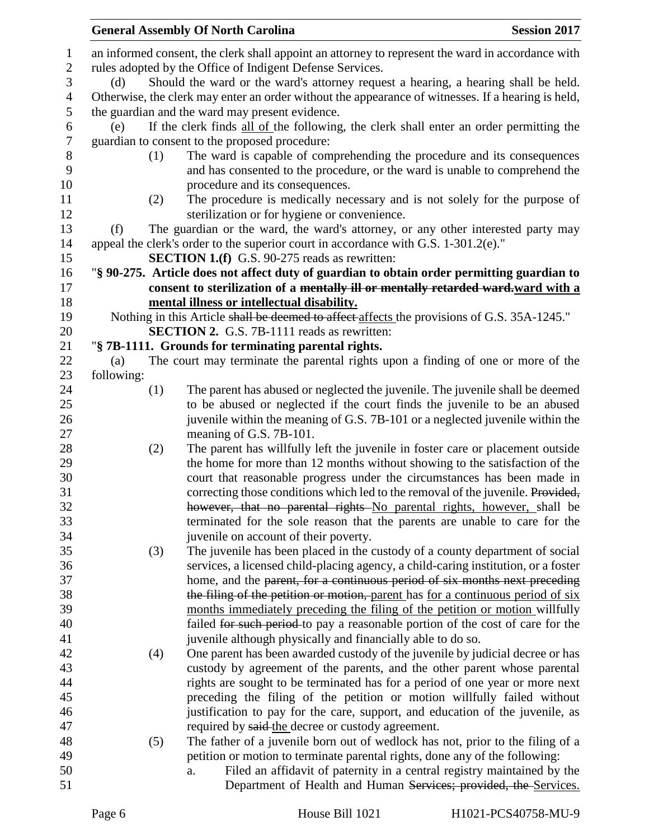|                |            | <b>General Assembly Of North Carolina</b>                                                                                                                  | <b>Session 2017</b> |
|----------------|------------|------------------------------------------------------------------------------------------------------------------------------------------------------------|---------------------|
| $\mathbf{1}$   |            | an informed consent, the clerk shall appoint an attorney to represent the ward in accordance with                                                          |                     |
| $\mathbf{2}$   |            | rules adopted by the Office of Indigent Defense Services.                                                                                                  |                     |
| $\mathfrak{Z}$ | (d)        | Should the ward or the ward's attorney request a hearing, a hearing shall be held.                                                                         |                     |
| $\overline{4}$ |            | Otherwise, the clerk may enter an order without the appearance of witnesses. If a hearing is held,                                                         |                     |
| 5              |            | the guardian and the ward may present evidence.                                                                                                            |                     |
| 6              | (e)        | If the clerk finds all of the following, the clerk shall enter an order permitting the                                                                     |                     |
| $\tau$         |            | guardian to consent to the proposed procedure:                                                                                                             |                     |
| 8              | (1)        | The ward is capable of comprehending the procedure and its consequences                                                                                    |                     |
| 9              |            | and has consented to the procedure, or the ward is unable to comprehend the                                                                                |                     |
| 10             |            | procedure and its consequences.                                                                                                                            |                     |
| 11             | (2)        | The procedure is medically necessary and is not solely for the purpose of                                                                                  |                     |
| 12             |            | sterilization or for hygiene or convenience.                                                                                                               |                     |
| 13             | (f)        | The guardian or the ward, the ward's attorney, or any other interested party may                                                                           |                     |
| 14             |            | appeal the clerk's order to the superior court in accordance with G.S. 1-301.2(e)."                                                                        |                     |
| 15             |            | <b>SECTION 1.(f)</b> G.S. 90-275 reads as rewritten:                                                                                                       |                     |
| 16             |            | "§ 90-275. Article does not affect duty of guardian to obtain order permitting guardian to                                                                 |                     |
| 17             |            | consent to sterilization of a mentally ill or mentally retarded ward-ward with a                                                                           |                     |
| 18             |            | mental illness or intellectual disability.                                                                                                                 |                     |
| 19             |            | Nothing in this Article shall be deemed to affect affects the provisions of G.S. 35A-1245."                                                                |                     |
| 20             |            | <b>SECTION 2.</b> G.S. 7B-1111 reads as rewritten:                                                                                                         |                     |
| 21             |            | "§ 7B-1111. Grounds for terminating parental rights.                                                                                                       |                     |
| 22             | (a)        | The court may terminate the parental rights upon a finding of one or more of the                                                                           |                     |
| 23             | following: |                                                                                                                                                            |                     |
| 24             | (1)        | The parent has abused or neglected the juvenile. The juvenile shall be deemed                                                                              |                     |
| 25             |            | to be abused or neglected if the court finds the juvenile to be an abused                                                                                  |                     |
| 26             |            | juvenile within the meaning of G.S. 7B-101 or a neglected juvenile within the                                                                              |                     |
| 27             |            | meaning of G.S. 7B-101.                                                                                                                                    |                     |
| 28             | (2)        | The parent has willfully left the juvenile in foster care or placement outside                                                                             |                     |
| 29<br>30       |            | the home for more than 12 months without showing to the satisfaction of the                                                                                |                     |
| 31             |            | court that reasonable progress under the circumstances has been made in<br>correcting those conditions which led to the removal of the juvenile. Provided, |                     |
| 32             |            | however, that no parental rights No parental rights, however, shall be                                                                                     |                     |
| 33             |            | terminated for the sole reason that the parents are unable to care for the                                                                                 |                     |
| 34             |            | juvenile on account of their poverty.                                                                                                                      |                     |
| 35             | (3)        | The juvenile has been placed in the custody of a county department of social                                                                               |                     |
| 36             |            | services, a licensed child-placing agency, a child-caring institution, or a foster                                                                         |                     |
| 37             |            | home, and the parent, for a continuous period of six months next preceding                                                                                 |                     |
| 38             |            | the filing of the petition or motion, parent has for a continuous period of six                                                                            |                     |
| 39             |            | months immediately preceding the filing of the petition or motion willfully                                                                                |                     |
| 40             |            | failed for such period to pay a reasonable portion of the cost of care for the                                                                             |                     |
| 41             |            | juvenile although physically and financially able to do so.                                                                                                |                     |
| 42             | (4)        | One parent has been awarded custody of the juvenile by judicial decree or has                                                                              |                     |
| 43             |            | custody by agreement of the parents, and the other parent whose parental                                                                                   |                     |
| 44             |            | rights are sought to be terminated has for a period of one year or more next                                                                               |                     |
| 45             |            | preceding the filing of the petition or motion willfully failed without                                                                                    |                     |
| 46             |            | justification to pay for the care, support, and education of the juvenile, as                                                                              |                     |
| 47             |            | required by said-the decree or custody agreement.                                                                                                          |                     |
| 48             | (5)        | The father of a juvenile born out of wedlock has not, prior to the filing of a                                                                             |                     |
| 49             |            | petition or motion to terminate parental rights, done any of the following:                                                                                |                     |
| 50             |            | Filed an affidavit of paternity in a central registry maintained by the<br>a.                                                                              |                     |
| 51             |            | Department of Health and Human Services; provided, the Services.                                                                                           |                     |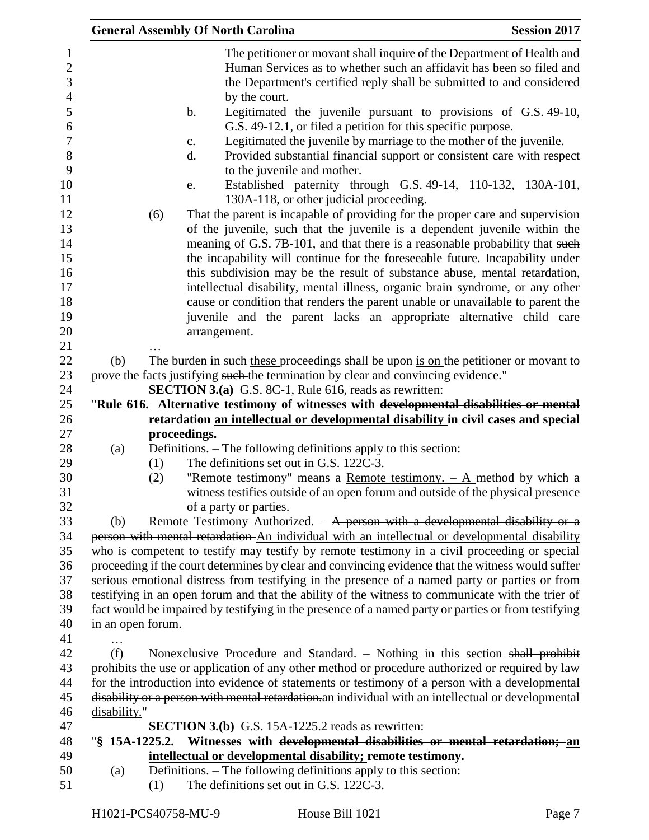|                   | <b>General Assembly Of North Carolina</b>                                                                                                                                                                                                                                                                                                                                                                                                                                                                                                                                                                                                                                                                                                                                                                                                                                                                                                                                                                                                                                                                                     | <b>Session 2017</b> |
|-------------------|-------------------------------------------------------------------------------------------------------------------------------------------------------------------------------------------------------------------------------------------------------------------------------------------------------------------------------------------------------------------------------------------------------------------------------------------------------------------------------------------------------------------------------------------------------------------------------------------------------------------------------------------------------------------------------------------------------------------------------------------------------------------------------------------------------------------------------------------------------------------------------------------------------------------------------------------------------------------------------------------------------------------------------------------------------------------------------------------------------------------------------|---------------------|
|                   | The petitioner or movant shall inquire of the Department of Health and<br>Human Services as to whether such an affidavit has been so filed and<br>the Department's certified reply shall be submitted to and considered<br>by the court.<br>Legitimated the juvenile pursuant to provisions of G.S. 49-10,<br>$\mathbf b$ .<br>G.S. 49-12.1, or filed a petition for this specific purpose.<br>Legitimated the juvenile by marriage to the mother of the juvenile.<br>c.<br>Provided substantial financial support or consistent care with respect<br>d.<br>to the juvenile and mother.<br>Established paternity through G.S. 49-14, 110-132, 130A-101,<br>e.<br>130A-118, or other judicial proceeding.<br>That the parent is incapable of providing for the proper care and supervision<br>(6)<br>of the juvenile, such that the juvenile is a dependent juvenile within the<br>meaning of G.S. 7B-101, and that there is a reasonable probability that such<br>the incapability will continue for the foreseeable future. Incapability under<br>this subdivision may be the result of substance abuse, mental retardation, |                     |
|                   | intellectual disability, mental illness, organic brain syndrome, or any other                                                                                                                                                                                                                                                                                                                                                                                                                                                                                                                                                                                                                                                                                                                                                                                                                                                                                                                                                                                                                                                 |                     |
|                   | cause or condition that renders the parent unable or unavailable to parent the                                                                                                                                                                                                                                                                                                                                                                                                                                                                                                                                                                                                                                                                                                                                                                                                                                                                                                                                                                                                                                                |                     |
|                   | juvenile and the parent lacks an appropriate alternative child care                                                                                                                                                                                                                                                                                                                                                                                                                                                                                                                                                                                                                                                                                                                                                                                                                                                                                                                                                                                                                                                           |                     |
|                   | arrangement.                                                                                                                                                                                                                                                                                                                                                                                                                                                                                                                                                                                                                                                                                                                                                                                                                                                                                                                                                                                                                                                                                                                  |                     |
|                   |                                                                                                                                                                                                                                                                                                                                                                                                                                                                                                                                                                                                                                                                                                                                                                                                                                                                                                                                                                                                                                                                                                                               |                     |
| (b)               | The burden in such these proceedings shall be upon is on the petitioner or movant to                                                                                                                                                                                                                                                                                                                                                                                                                                                                                                                                                                                                                                                                                                                                                                                                                                                                                                                                                                                                                                          |                     |
|                   | prove the facts justifying such the termination by clear and convincing evidence."                                                                                                                                                                                                                                                                                                                                                                                                                                                                                                                                                                                                                                                                                                                                                                                                                                                                                                                                                                                                                                            |                     |
|                   | <b>SECTION 3.(a)</b> G.S. 8C-1, Rule 616, reads as rewritten:                                                                                                                                                                                                                                                                                                                                                                                                                                                                                                                                                                                                                                                                                                                                                                                                                                                                                                                                                                                                                                                                 |                     |
|                   | "Rule 616. Alternative testimony of witnesses with developmental disabilities or mental                                                                                                                                                                                                                                                                                                                                                                                                                                                                                                                                                                                                                                                                                                                                                                                                                                                                                                                                                                                                                                       |                     |
|                   | retardation an intellectual or developmental disability in civil cases and special                                                                                                                                                                                                                                                                                                                                                                                                                                                                                                                                                                                                                                                                                                                                                                                                                                                                                                                                                                                                                                            |                     |
|                   | proceedings.                                                                                                                                                                                                                                                                                                                                                                                                                                                                                                                                                                                                                                                                                                                                                                                                                                                                                                                                                                                                                                                                                                                  |                     |
| (a)               | Definitions. – The following definitions apply to this section:<br>The definitions set out in G.S. 122C-3.<br>(1)                                                                                                                                                                                                                                                                                                                                                                                                                                                                                                                                                                                                                                                                                                                                                                                                                                                                                                                                                                                                             |                     |
|                   | "Remote testimony" means a Remote testimony. $-$ A method by which a<br>(2)                                                                                                                                                                                                                                                                                                                                                                                                                                                                                                                                                                                                                                                                                                                                                                                                                                                                                                                                                                                                                                                   |                     |
|                   | witness testifies outside of an open forum and outside of the physical presence<br>of a party or parties.                                                                                                                                                                                                                                                                                                                                                                                                                                                                                                                                                                                                                                                                                                                                                                                                                                                                                                                                                                                                                     |                     |
| (b)               | Remote Testimony Authorized. $-$ A person with a developmental disability or a                                                                                                                                                                                                                                                                                                                                                                                                                                                                                                                                                                                                                                                                                                                                                                                                                                                                                                                                                                                                                                                |                     |
|                   | person with mental retardation An individual with an intellectual or developmental disability                                                                                                                                                                                                                                                                                                                                                                                                                                                                                                                                                                                                                                                                                                                                                                                                                                                                                                                                                                                                                                 |                     |
|                   | who is competent to testify may testify by remote testimony in a civil proceeding or special                                                                                                                                                                                                                                                                                                                                                                                                                                                                                                                                                                                                                                                                                                                                                                                                                                                                                                                                                                                                                                  |                     |
|                   | proceeding if the court determines by clear and convincing evidence that the witness would suffer                                                                                                                                                                                                                                                                                                                                                                                                                                                                                                                                                                                                                                                                                                                                                                                                                                                                                                                                                                                                                             |                     |
|                   | serious emotional distress from testifying in the presence of a named party or parties or from                                                                                                                                                                                                                                                                                                                                                                                                                                                                                                                                                                                                                                                                                                                                                                                                                                                                                                                                                                                                                                |                     |
|                   | testifying in an open forum and that the ability of the witness to communicate with the trier of                                                                                                                                                                                                                                                                                                                                                                                                                                                                                                                                                                                                                                                                                                                                                                                                                                                                                                                                                                                                                              |                     |
|                   | fact would be impaired by testifying in the presence of a named party or parties or from testifying                                                                                                                                                                                                                                                                                                                                                                                                                                                                                                                                                                                                                                                                                                                                                                                                                                                                                                                                                                                                                           |                     |
| in an open forum. |                                                                                                                                                                                                                                                                                                                                                                                                                                                                                                                                                                                                                                                                                                                                                                                                                                                                                                                                                                                                                                                                                                                               |                     |
| .                 |                                                                                                                                                                                                                                                                                                                                                                                                                                                                                                                                                                                                                                                                                                                                                                                                                                                                                                                                                                                                                                                                                                                               |                     |
| (f)               | Nonexclusive Procedure and Standard. $-$ Nothing in this section shall prohibit                                                                                                                                                                                                                                                                                                                                                                                                                                                                                                                                                                                                                                                                                                                                                                                                                                                                                                                                                                                                                                               |                     |
|                   | prohibits the use or application of any other method or procedure authorized or required by law                                                                                                                                                                                                                                                                                                                                                                                                                                                                                                                                                                                                                                                                                                                                                                                                                                                                                                                                                                                                                               |                     |
|                   | for the introduction into evidence of statements or testimony of a person with a developmental                                                                                                                                                                                                                                                                                                                                                                                                                                                                                                                                                                                                                                                                                                                                                                                                                                                                                                                                                                                                                                |                     |
|                   | disability or a person with mental retardation. an individual with an intellectual or developmental                                                                                                                                                                                                                                                                                                                                                                                                                                                                                                                                                                                                                                                                                                                                                                                                                                                                                                                                                                                                                           |                     |
| disability."      |                                                                                                                                                                                                                                                                                                                                                                                                                                                                                                                                                                                                                                                                                                                                                                                                                                                                                                                                                                                                                                                                                                                               |                     |
|                   | <b>SECTION 3.(b)</b> G.S. 15A-1225.2 reads as rewritten:                                                                                                                                                                                                                                                                                                                                                                                                                                                                                                                                                                                                                                                                                                                                                                                                                                                                                                                                                                                                                                                                      |                     |
| "§ $15A-1225.2$ . | Witnesses with developmental disabilities or mental retardation; an                                                                                                                                                                                                                                                                                                                                                                                                                                                                                                                                                                                                                                                                                                                                                                                                                                                                                                                                                                                                                                                           |                     |
| (a)               | intellectual or developmental disability; remote testimony.<br>Definitions. - The following definitions apply to this section:                                                                                                                                                                                                                                                                                                                                                                                                                                                                                                                                                                                                                                                                                                                                                                                                                                                                                                                                                                                                |                     |
|                   | The definitions set out in G.S. 122C-3.<br>(1)                                                                                                                                                                                                                                                                                                                                                                                                                                                                                                                                                                                                                                                                                                                                                                                                                                                                                                                                                                                                                                                                                |                     |
|                   |                                                                                                                                                                                                                                                                                                                                                                                                                                                                                                                                                                                                                                                                                                                                                                                                                                                                                                                                                                                                                                                                                                                               |                     |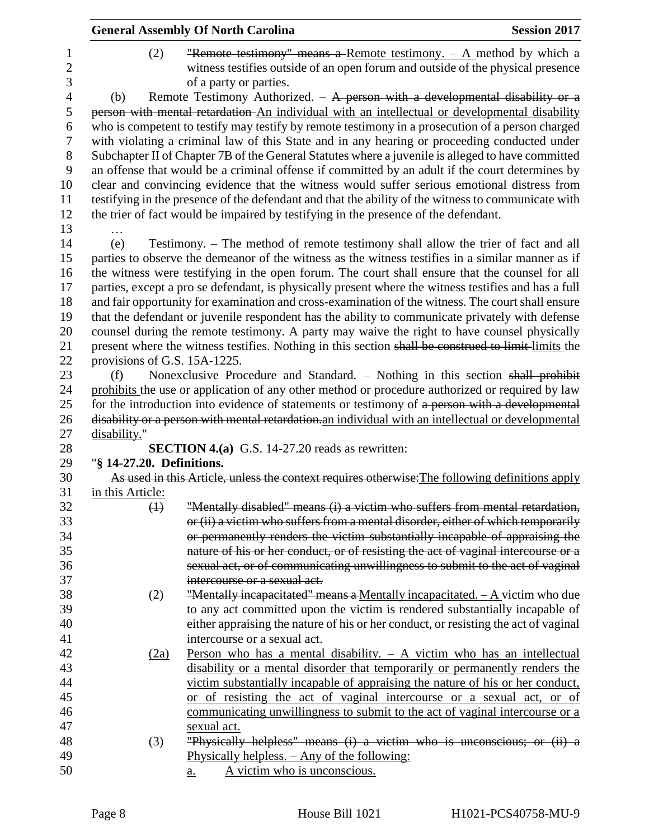|                          |                              | <b>General Assembly Of North Carolina</b>                                                                                                                                         | <b>Session 2017</b> |
|--------------------------|------------------------------|-----------------------------------------------------------------------------------------------------------------------------------------------------------------------------------|---------------------|
| 1<br>$\overline{c}$<br>3 | (2)                          | "Remote testimony" means a Remote testimony. $-$ A method by which a<br>witness testifies outside of an open forum and outside of the physical presence<br>of a party or parties. |                     |
| $\overline{4}$           | (b)                          | Remote Testimony Authorized. $-$ A person with a developmental disability or a                                                                                                    |                     |
| 5                        |                              | person with mental retardation An individual with an intellectual or developmental disability                                                                                     |                     |
| 6                        |                              | who is competent to testify may testify by remote testimony in a prosecution of a person charged                                                                                  |                     |
| 7                        |                              | with violating a criminal law of this State and in any hearing or proceeding conducted under                                                                                      |                     |
| 8                        |                              | Subchapter II of Chapter 7B of the General Statutes where a juvenile is alleged to have committed                                                                                 |                     |
| 9                        |                              | an offense that would be a criminal offense if committed by an adult if the court determines by                                                                                   |                     |
| 10                       |                              | clear and convincing evidence that the witness would suffer serious emotional distress from                                                                                       |                     |
| 11                       |                              | testifying in the presence of the defendant and that the ability of the witness to communicate with                                                                               |                     |
| 12                       |                              | the trier of fact would be impaired by testifying in the presence of the defendant.                                                                                               |                     |
| 13                       |                              |                                                                                                                                                                                   |                     |
| 14                       | (e)                          | Testimony. – The method of remote testimony shall allow the trier of fact and all                                                                                                 |                     |
| 15                       |                              | parties to observe the demeanor of the witness as the witness testifies in a similar manner as if                                                                                 |                     |
| 16                       |                              | the witness were testifying in the open forum. The court shall ensure that the counsel for all                                                                                    |                     |
| 17                       |                              | parties, except a pro se defendant, is physically present where the witness testifies and has a full                                                                              |                     |
| 18                       |                              | and fair opportunity for examination and cross-examination of the witness. The court shall ensure                                                                                 |                     |
| 19                       |                              | that the defendant or juvenile respondent has the ability to communicate privately with defense                                                                                   |                     |
| 20                       |                              | counsel during the remote testimony. A party may waive the right to have counsel physically                                                                                       |                     |
| 21                       |                              | present where the witness testifies. Nothing in this section shall be construed to limit-limits the                                                                               |                     |
| 22                       | provisions of G.S. 15A-1225. |                                                                                                                                                                                   |                     |
| 23                       | (f)                          | Nonexclusive Procedure and Standard. - Nothing in this section shall prohibit                                                                                                     |                     |
| 24                       |                              | prohibits the use or application of any other method or procedure authorized or required by law                                                                                   |                     |
| 25                       |                              | for the introduction into evidence of statements or testimony of a person with a developmental                                                                                    |                     |
| 26                       |                              | disability or a person with mental retardation. an individual with an intellectual or developmental                                                                               |                     |
| 27                       | disability."                 |                                                                                                                                                                                   |                     |
| 28                       |                              | <b>SECTION 4.(a)</b> G.S. 14-27.20 reads as rewritten:                                                                                                                            |                     |
| 29                       | "§ 14-27.20. Definitions.    |                                                                                                                                                                                   |                     |
| 30                       |                              | As used in this Article, unless the context requires otherwise: The following definitions apply                                                                                   |                     |
| 31                       | in this Article:             |                                                                                                                                                                                   |                     |
| 32                       | $\leftrightarrow$            | "Mentally disabled" means (i) a victim who suffers from mental retardation,                                                                                                       |                     |
| 33                       |                              | or (ii) a victim who suffers from a mental disorder, either of which temporarily                                                                                                  |                     |
| 34                       |                              | or permanently renders the victim substantially incapable of appraising the                                                                                                       |                     |
| 35                       |                              | nature of his or her conduct, or of resisting the act of vaginal intercourse or a                                                                                                 |                     |
| 36                       |                              | sexual act, or of communicating unwillingness to submit to the act of vaginal                                                                                                     |                     |
| 37                       |                              | intercourse or a sexual act.                                                                                                                                                      |                     |
| 38                       | (2)                          | "Mentally incapacitated" means a Mentally incapacitated. $-A$ victim who due                                                                                                      |                     |
| 39                       |                              | to any act committed upon the victim is rendered substantially incapable of                                                                                                       |                     |
| 40                       |                              | either appraising the nature of his or her conduct, or resisting the act of vaginal                                                                                               |                     |
| 41                       |                              | intercourse or a sexual act.                                                                                                                                                      |                     |
| 42                       | (2a)                         | <u>Person who has a mental disability. <math>-</math> A victim who has an intellectual</u>                                                                                        |                     |
| 43                       |                              | disability or a mental disorder that temporarily or permanently renders the                                                                                                       |                     |
| 44                       |                              | victim substantially incapable of appraising the nature of his or her conduct,                                                                                                    |                     |
| 45                       |                              | or of resisting the act of vaginal intercourse or a sexual act, or of                                                                                                             |                     |
| 46                       |                              | communicating unwillingness to submit to the act of vaginal intercourse or a                                                                                                      |                     |
| 47                       |                              | sexual act.                                                                                                                                                                       |                     |
| 48                       | (3)                          | "Physically helpless" means (i) a victim who is unconscious; or (ii) a                                                                                                            |                     |
| 49                       |                              | Physically helpless. - Any of the following:                                                                                                                                      |                     |
| 50                       |                              | A victim who is unconscious.<br><u>a.</u>                                                                                                                                         |                     |
|                          |                              |                                                                                                                                                                                   |                     |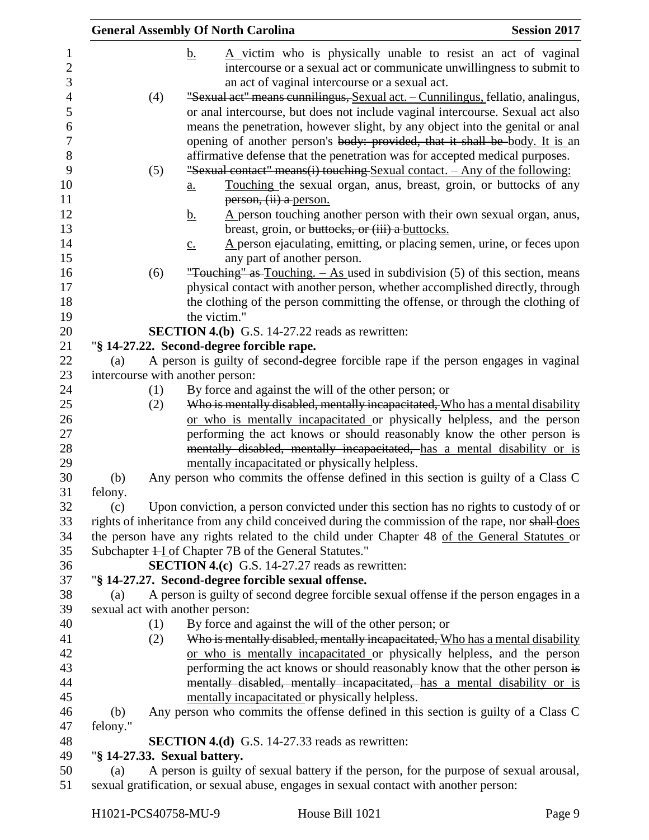|                                     |                 |     | <b>General Assembly Of North Carolina</b>                                                                                                                                                                                                      | <b>Session 2017</b> |
|-------------------------------------|-----------------|-----|------------------------------------------------------------------------------------------------------------------------------------------------------------------------------------------------------------------------------------------------|---------------------|
| $\mathbf{1}$<br>$\overline{2}$<br>3 |                 |     | A victim who is physically unable to resist an act of vaginal<br><u>b.</u><br>intercourse or a sexual act or communicate unwillingness to submit to<br>an act of vaginal intercourse or a sexual act.                                          |                     |
| 4                                   |                 | (4) | "Sexual act" means cunnilingus, Sexual act. - Cunnilingus, fellatio, analingus,                                                                                                                                                                |                     |
| 5<br>6<br>$\boldsymbol{7}$          |                 |     | or anal intercourse, but does not include vaginal intercourse. Sexual act also<br>means the penetration, however slight, by any object into the genital or anal<br>opening of another person's body: provided, that it shall be body. It is an |                     |
| 8<br>9<br>10                        |                 | (5) | affirmative defense that the penetration was for accepted medical purposes.<br>"Sexual contact" means(i) touching Sexual contact. - Any of the following:<br>Touching the sexual organ, anus, breast, groin, or buttocks of any<br>a.          |                     |
| 11                                  |                 |     | person, (ii) a person.                                                                                                                                                                                                                         |                     |
| 12                                  |                 |     | $\Delta$ person touching another person with their own sexual organ, anus,<br><u>b.</u>                                                                                                                                                        |                     |
| 13                                  |                 |     | breast, groin, or buttocks, or (iii) a buttocks.                                                                                                                                                                                               |                     |
| 14<br>15                            |                 |     | A person ejaculating, emitting, or placing semen, urine, or feces upon<br>$\underline{c}$ .<br>any part of another person.                                                                                                                     |                     |
| 16                                  |                 | (6) | "Touching" as Touching. $-$ As used in subdivision (5) of this section, means                                                                                                                                                                  |                     |
| 17                                  |                 |     | physical contact with another person, whether accomplished directly, through                                                                                                                                                                   |                     |
|                                     |                 |     | the clothing of the person committing the offense, or through the clothing of                                                                                                                                                                  |                     |
|                                     |                 |     | the victim."                                                                                                                                                                                                                                   |                     |
|                                     |                 |     | <b>SECTION 4.(b)</b> G.S. 14-27.22 reads as rewritten:                                                                                                                                                                                         |                     |
|                                     |                 |     | "§ 14-27.22. Second-degree forcible rape.                                                                                                                                                                                                      |                     |
|                                     | (a)             |     | A person is guilty of second-degree forcible rape if the person engages in vaginal                                                                                                                                                             |                     |
|                                     |                 |     | intercourse with another person:                                                                                                                                                                                                               |                     |
|                                     |                 | (1) | By force and against the will of the other person; or                                                                                                                                                                                          |                     |
|                                     |                 | (2) | Who is mentally disabled, mentally incapacitated, Who has a mental disability                                                                                                                                                                  |                     |
|                                     |                 |     | or who is mentally incapacitated or physically helpless, and the person                                                                                                                                                                        |                     |
|                                     |                 |     | performing the act knows or should reasonably know the other person is                                                                                                                                                                         |                     |
|                                     |                 |     | mentally disabled, mentally incapacitated, has a mental disability or is                                                                                                                                                                       |                     |
|                                     |                 |     | mentally incapacitated or physically helpless.                                                                                                                                                                                                 |                     |
|                                     | (b)             |     | Any person who commits the offense defined in this section is guilty of a Class C                                                                                                                                                              |                     |
|                                     | felony.         |     |                                                                                                                                                                                                                                                |                     |
|                                     | (c)             |     | Upon conviction, a person convicted under this section has no rights to custody of or                                                                                                                                                          |                     |
|                                     |                 |     | rights of inheritance from any child conceived during the commission of the rape, nor shall does                                                                                                                                               |                     |
|                                     |                 |     | the person have any rights related to the child under Chapter 48 of the General Statutes or                                                                                                                                                    |                     |
|                                     |                 |     | Subchapter + L of Chapter 7B of the General Statutes."                                                                                                                                                                                         |                     |
|                                     |                 |     | <b>SECTION 4.(c)</b> G.S. 14-27.27 reads as rewritten:                                                                                                                                                                                         |                     |
|                                     |                 |     | "§ 14-27.27. Second-degree forcible sexual offense.                                                                                                                                                                                            |                     |
|                                     | (a)             |     | A person is guilty of second degree forcible sexual offense if the person engages in a                                                                                                                                                         |                     |
|                                     |                 |     | sexual act with another person:                                                                                                                                                                                                                |                     |
|                                     |                 | (1) | By force and against the will of the other person; or                                                                                                                                                                                          |                     |
|                                     |                 | (2) | Who is mentally disabled, mentally incapacitated, Who has a mental disability                                                                                                                                                                  |                     |
|                                     |                 |     | or who is mentally incapacitated or physically helpless, and the person                                                                                                                                                                        |                     |
|                                     |                 |     | performing the act knows or should reasonably know that the other person is                                                                                                                                                                    |                     |
|                                     |                 |     | mentally disabled, mentally incapacitated, has a mental disability or is                                                                                                                                                                       |                     |
|                                     |                 |     | mentally incapacitated or physically helpless.                                                                                                                                                                                                 |                     |
|                                     | (b)<br>felony." |     | Any person who commits the offense defined in this section is guilty of a Class C                                                                                                                                                              |                     |
|                                     |                 |     | <b>SECTION 4.(d)</b> G.S. 14-27.33 reads as rewritten:                                                                                                                                                                                         |                     |
|                                     |                 |     | "§ 14-27.33. Sexual battery.                                                                                                                                                                                                                   |                     |
|                                     | (a)             |     | A person is guilty of sexual battery if the person, for the purpose of sexual arousal,                                                                                                                                                         |                     |
|                                     |                 |     | sexual gratification, or sexual abuse, engages in sexual contact with another person:                                                                                                                                                          |                     |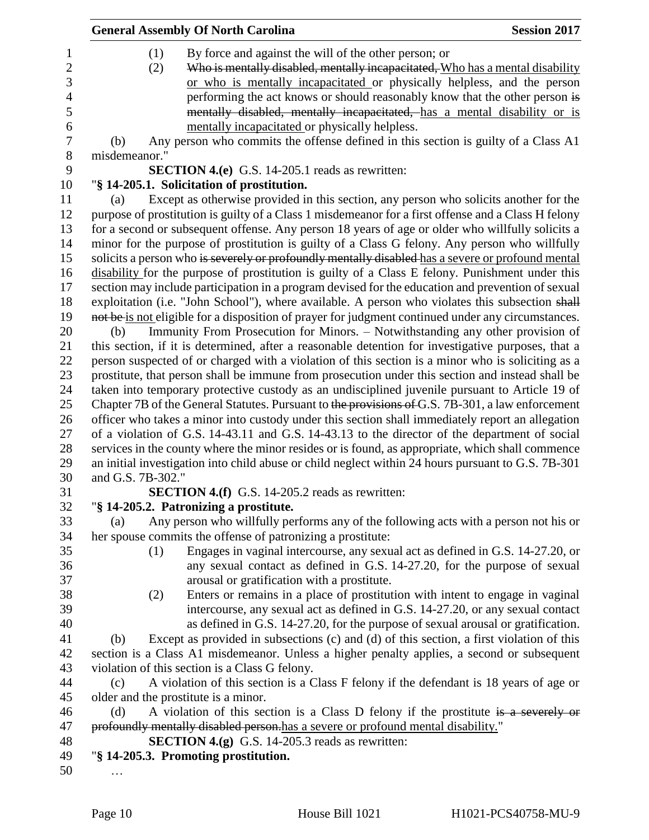|                                                      | <b>General Assembly Of North Carolina</b>                                                                                                                                                                                                                                                                      | <b>Session 2017</b> |
|------------------------------------------------------|----------------------------------------------------------------------------------------------------------------------------------------------------------------------------------------------------------------------------------------------------------------------------------------------------------------|---------------------|
| $\mathbf 1$<br>$\overline{c}$<br>3<br>$\overline{4}$ | (1)<br>By force and against the will of the other person; or<br>Who is mentally disabled, mentally incapacitated, Who has a mental disability<br>(2)<br>or who is mentally incapacitated or physically helpless, and the person<br>performing the act knows or should reasonably know that the other person is |                     |
| 5<br>6                                               | mentally disabled, mentally incapacitated, has a mental disability or is<br>mentally incapacitated or physically helpless.                                                                                                                                                                                     |                     |
| $\boldsymbol{7}$                                     | Any person who commits the offense defined in this section is guilty of a Class A1<br>(b)                                                                                                                                                                                                                      |                     |
| $\,8\,$                                              | misdemeanor."                                                                                                                                                                                                                                                                                                  |                     |
| 9                                                    | <b>SECTION 4.(e)</b> G.S. 14-205.1 reads as rewritten:                                                                                                                                                                                                                                                         |                     |
| 10                                                   | "§ 14-205.1. Solicitation of prostitution.                                                                                                                                                                                                                                                                     |                     |
| 11                                                   | Except as otherwise provided in this section, any person who solicits another for the<br>(a)                                                                                                                                                                                                                   |                     |
| 12                                                   | purpose of prostitution is guilty of a Class 1 misdemeanor for a first offense and a Class H felony                                                                                                                                                                                                            |                     |
| 13<br>14                                             | for a second or subsequent offense. Any person 18 years of age or older who willfully solicits a<br>minor for the purpose of prostitution is guilty of a Class G felony. Any person who willfully                                                                                                              |                     |
| 15                                                   | solicits a person who is severely or profoundly mentally disabled has a severe or profound mental                                                                                                                                                                                                              |                     |
| 16                                                   | disability for the purpose of prostitution is guilty of a Class E felony. Punishment under this                                                                                                                                                                                                                |                     |
| 17                                                   | section may include participation in a program devised for the education and prevention of sexual                                                                                                                                                                                                              |                     |
| 18                                                   | exploitation (i.e. "John School"), where available. A person who violates this subsection shall                                                                                                                                                                                                                |                     |
| 19                                                   | not be is not eligible for a disposition of prayer for judgment continued under any circumstances.                                                                                                                                                                                                             |                     |
| 20                                                   | Immunity From Prosecution for Minors. - Notwithstanding any other provision of<br>(b)                                                                                                                                                                                                                          |                     |
| 21                                                   | this section, if it is determined, after a reasonable detention for investigative purposes, that a                                                                                                                                                                                                             |                     |
| 22                                                   | person suspected of or charged with a violation of this section is a minor who is soliciting as a                                                                                                                                                                                                              |                     |
| 23                                                   | prostitute, that person shall be immune from prosecution under this section and instead shall be                                                                                                                                                                                                               |                     |
| 24                                                   | taken into temporary protective custody as an undisciplined juvenile pursuant to Article 19 of                                                                                                                                                                                                                 |                     |
| 25                                                   | Chapter 7B of the General Statutes. Pursuant to the provisions of G.S. 7B-301, a law enforcement                                                                                                                                                                                                               |                     |
| 26                                                   | officer who takes a minor into custody under this section shall immediately report an allegation                                                                                                                                                                                                               |                     |
| 27                                                   | of a violation of G.S. 14-43.11 and G.S. 14-43.13 to the director of the department of social                                                                                                                                                                                                                  |                     |
| 28                                                   | services in the county where the minor resides or is found, as appropriate, which shall commence                                                                                                                                                                                                               |                     |
| 29                                                   | an initial investigation into child abuse or child neglect within 24 hours pursuant to G.S. 7B-301                                                                                                                                                                                                             |                     |
| 30                                                   | and G.S. 7B-302."                                                                                                                                                                                                                                                                                              |                     |
| 31                                                   | <b>SECTION 4.(f)</b> G.S. 14-205.2 reads as rewritten:                                                                                                                                                                                                                                                         |                     |
| 32                                                   | "§ 14-205.2. Patronizing a prostitute.                                                                                                                                                                                                                                                                         |                     |
| 33                                                   | Any person who willfully performs any of the following acts with a person not his or<br>(a)                                                                                                                                                                                                                    |                     |
| 34                                                   | her spouse commits the offense of patronizing a prostitute:                                                                                                                                                                                                                                                    |                     |
| 35                                                   | Engages in vaginal intercourse, any sexual act as defined in G.S. 14-27.20, or<br>(1)                                                                                                                                                                                                                          |                     |
| 36<br>37                                             | any sexual contact as defined in G.S. 14-27.20, for the purpose of sexual<br>arousal or gratification with a prostitute.                                                                                                                                                                                       |                     |
| 38                                                   | Enters or remains in a place of prostitution with intent to engage in vaginal<br>(2)                                                                                                                                                                                                                           |                     |
| 39                                                   | intercourse, any sexual act as defined in G.S. 14-27.20, or any sexual contact                                                                                                                                                                                                                                 |                     |
| 40                                                   | as defined in G.S. 14-27.20, for the purpose of sexual arousal or gratification.                                                                                                                                                                                                                               |                     |
| 41                                                   | Except as provided in subsections (c) and (d) of this section, a first violation of this<br>(b)                                                                                                                                                                                                                |                     |
| 42                                                   | section is a Class A1 misdemeanor. Unless a higher penalty applies, a second or subsequent                                                                                                                                                                                                                     |                     |
| 43                                                   | violation of this section is a Class G felony.                                                                                                                                                                                                                                                                 |                     |
| 44                                                   | A violation of this section is a Class F felony if the defendant is 18 years of age or<br>(c)                                                                                                                                                                                                                  |                     |
| 45                                                   | older and the prostitute is a minor.                                                                                                                                                                                                                                                                           |                     |
| 46                                                   | A violation of this section is a Class D felony if the prostitute is a severely or<br>(d)                                                                                                                                                                                                                      |                     |
| 47                                                   | profoundly mentally disabled person.has a severe or profound mental disability."                                                                                                                                                                                                                               |                     |
| 48                                                   | <b>SECTION 4.(g)</b> G.S. 14-205.3 reads as rewritten:                                                                                                                                                                                                                                                         |                     |
| 49                                                   | "§ 14-205.3. Promoting prostitution.                                                                                                                                                                                                                                                                           |                     |
| 50                                                   |                                                                                                                                                                                                                                                                                                                |                     |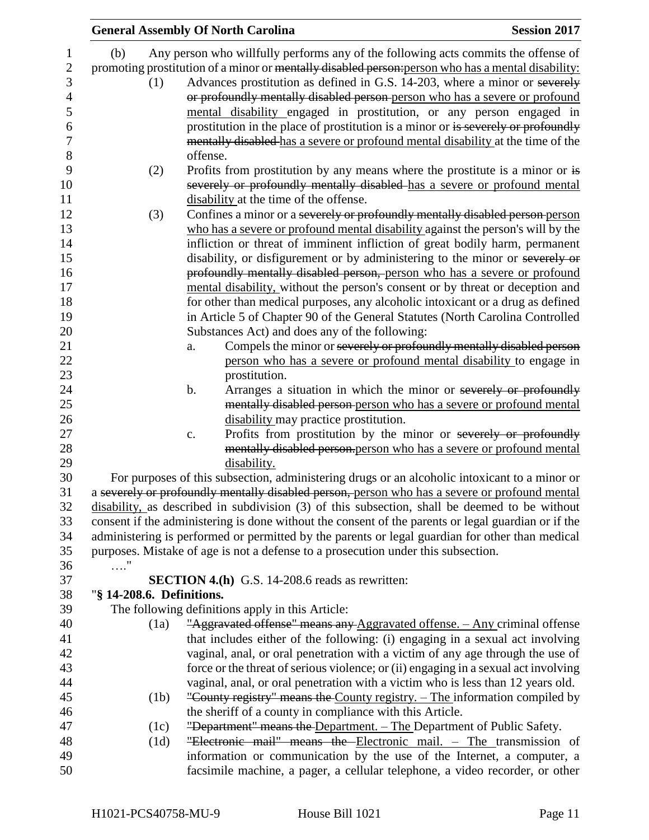|                           | <b>General Assembly Of North Carolina</b>                                                                                       | <b>Session 2017</b> |
|---------------------------|---------------------------------------------------------------------------------------------------------------------------------|---------------------|
| (b)                       | Any person who willfully performs any of the following acts commits the offense of                                              |                     |
|                           | promoting prostitution of a minor or mentally disabled person-person who has a mental disability:                               |                     |
| (1)                       | Advances prostitution as defined in G.S. 14-203, where a minor or severely                                                      |                     |
|                           | or profoundly mentally disabled person-person who has a severe or profound                                                      |                     |
|                           | mental disability engaged in prostitution, or any person engaged in                                                             |                     |
|                           | prostitution in the place of prostitution is a minor or is severely or profoundly                                               |                     |
|                           | mentally disabled has a severe or profound mental disability at the time of the                                                 |                     |
|                           | offense.                                                                                                                        |                     |
|                           |                                                                                                                                 |                     |
| (2)                       | Profits from prostitution by any means where the prostitute is a minor or is                                                    |                     |
|                           | severely or profoundly mentally disabled has a severe or profound mental                                                        |                     |
|                           | disability at the time of the offense.                                                                                          |                     |
| (3)                       | Confines a minor or a severely or profoundly mentally disabled person-person                                                    |                     |
|                           | who has a severe or profound mental disability against the person's will by the                                                 |                     |
|                           | infliction or threat of imminent infliction of great bodily harm, permanent                                                     |                     |
|                           | disability, or disfigurement or by administering to the minor or severely or                                                    |                     |
|                           | profoundly mentally disabled person, person who has a severe or profound                                                        |                     |
|                           | mental disability, without the person's consent or by threat or deception and                                                   |                     |
|                           | for other than medical purposes, any alcoholic intoxicant or a drug as defined                                                  |                     |
|                           | in Article 5 of Chapter 90 of the General Statutes (North Carolina Controlled<br>Substances Act) and does any of the following: |                     |
|                           | Compels the minor or severely or profoundly mentally disabled person<br>a.                                                      |                     |
|                           | person who has a severe or profound mental disability to engage in                                                              |                     |
|                           | prostitution.                                                                                                                   |                     |
|                           | Arranges a situation in which the minor or severely or profoundly<br>$\mathbf b$ .                                              |                     |
|                           | mentally disabled person-person who has a severe or profound mental                                                             |                     |
|                           | disability may practice prostitution.                                                                                           |                     |
|                           | Profits from prostitution by the minor or severely or profoundly<br>c.                                                          |                     |
|                           | mentally disabled person.person who has a severe or profound mental                                                             |                     |
|                           | disability.                                                                                                                     |                     |
|                           | For purposes of this subsection, administering drugs or an alcoholic intoxicant to a minor or                                   |                     |
|                           | a severely or profoundly mentally disabled person, person who has a severe or profound mental                                   |                     |
|                           | disability, as described in subdivision (3) of this subsection, shall be deemed to be without                                   |                     |
|                           | consent if the administering is done without the consent of the parents or legal guardian or if the                             |                     |
|                           | administering is performed or permitted by the parents or legal guardian for other than medical                                 |                     |
|                           | purposes. Mistake of age is not a defense to a prosecution under this subsection.                                               |                     |
| $\ldots$ "                |                                                                                                                                 |                     |
|                           | <b>SECTION 4.(h)</b> G.S. 14-208.6 reads as rewritten:                                                                          |                     |
| "§ 14-208.6. Definitions. |                                                                                                                                 |                     |
|                           | The following definitions apply in this Article:                                                                                |                     |
| (1a)                      | "Aggravated offense" means any Aggravated offense. - Any criminal offense                                                       |                     |
|                           | that includes either of the following: (i) engaging in a sexual act involving                                                   |                     |
|                           | vaginal, anal, or oral penetration with a victim of any age through the use of                                                  |                     |
|                           | force or the threat of serious violence; or (ii) engaging in a sexual act involving                                             |                     |
|                           | vaginal, anal, or oral penetration with a victim who is less than 12 years old.                                                 |                     |
| (1b)                      | "County registry" means the County registry. – The information compiled by                                                      |                     |
|                           | the sheriff of a county in compliance with this Article.                                                                        |                     |
| (1c)                      | "Department" means the Department. - The Department of Public Safety.                                                           |                     |
| (1d)                      | "Electronic mail" means the Electronic mail. - The transmission of                                                              |                     |
|                           | information or communication by the use of the Internet, a computer, a                                                          |                     |
|                           | facsimile machine, a pager, a cellular telephone, a video recorder, or other                                                    |                     |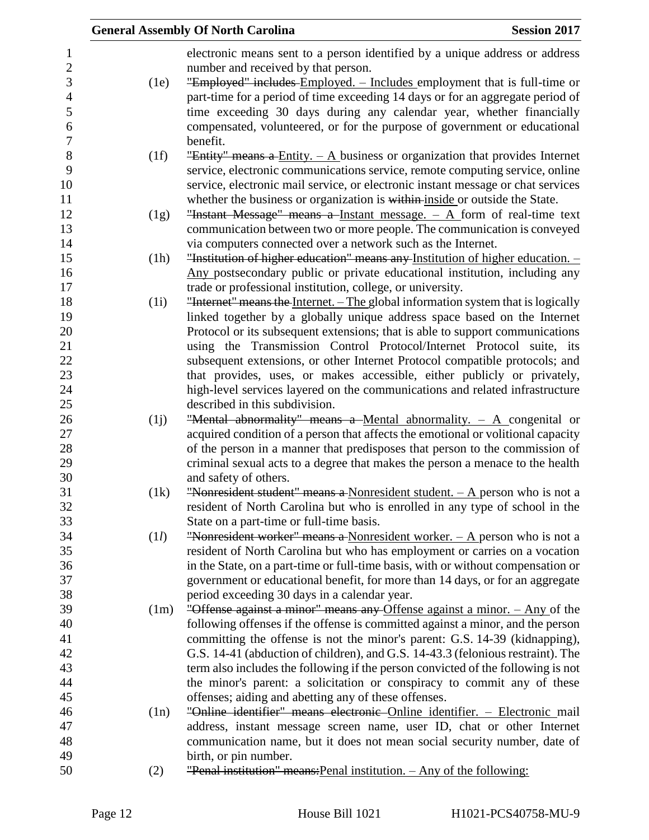|      | <b>Session 2017</b><br><b>General Assembly Of North Carolina</b>                                                       |
|------|------------------------------------------------------------------------------------------------------------------------|
|      | electronic means sent to a person identified by a unique address or address                                            |
|      | number and received by that person.                                                                                    |
| (1e) | "Employed" includes Employed. - Includes employment that is full-time or                                               |
|      | part-time for a period of time exceeding 14 days or for an aggregate period of                                         |
|      | time exceeding 30 days during any calendar year, whether financially                                                   |
|      | compensated, volunteered, or for the purpose of government or educational                                              |
|      | benefit.                                                                                                               |
| (1f) | "Entity" means a Entity. $- A$ business or organization that provides Internet                                         |
|      | service, electronic communications service, remote computing service, online                                           |
|      | service, electronic mail service, or electronic instant message or chat services                                       |
|      | whether the business or organization is within inside or outside the State.                                            |
| (1g) | "Instant Message" means a Instant message. $-$ A form of real-time text                                                |
|      | communication between two or more people. The communication is conveyed                                                |
|      | via computers connected over a network such as the Internet.                                                           |
| (1h) | "Institution of higher education" means any Institution of higher education. -                                         |
|      | Any postsecondary public or private educational institution, including any                                             |
|      | trade or professional institution, college, or university.                                                             |
| (1i) | "Internet" means the Internet. - The global information system that is logically                                       |
|      | linked together by a globally unique address space based on the Internet                                               |
|      | Protocol or its subsequent extensions; that is able to support communications                                          |
|      | using the Transmission Control Protocol/Internet Protocol suite, its                                                   |
|      | subsequent extensions, or other Internet Protocol compatible protocols; and                                            |
|      | that provides, uses, or makes accessible, either publicly or privately,                                                |
|      | high-level services layered on the communications and related infrastructure                                           |
|      | described in this subdivision.                                                                                         |
| (i)  | "Mental abnormality" means a Mental abnormality. $- A$ congenital or                                                   |
|      | acquired condition of a person that affects the emotional or volitional capacity                                       |
|      | of the person in a manner that predisposes that person to the commission of                                            |
|      | criminal sexual acts to a degree that makes the person a menace to the health                                          |
|      | and safety of others.                                                                                                  |
| (1k) | "Nonresident student" means a Nonresident student. $- A$ person who is not a                                           |
|      | resident of North Carolina but who is enrolled in any type of school in the                                            |
| (1l) | State on a part-time or full-time basis.<br>"Nonresident worker" means a Nonresident worker. $- A$ person who is not a |
|      | resident of North Carolina but who has employment or carries on a vocation                                             |
|      | in the State, on a part-time or full-time basis, with or without compensation or                                       |
|      | government or educational benefit, for more than 14 days, or for an aggregate                                          |
|      | period exceeding 30 days in a calendar year.                                                                           |
| (1m) | "Offense against a minor" means any Offense against a minor. - Any of the                                              |
|      | following offenses if the offense is committed against a minor, and the person                                         |
|      | committing the offense is not the minor's parent: G.S. 14-39 (kidnapping),                                             |
|      | G.S. 14-41 (abduction of children), and G.S. 14-43.3 (felonious restraint). The                                        |
|      | term also includes the following if the person convicted of the following is not                                       |
|      | the minor's parent: a solicitation or conspiracy to commit any of these                                                |
|      | offenses; aiding and abetting any of these offenses.                                                                   |
| (1n) | "Online identifier" means electronic Online identifier. - Electronic mail                                              |
|      | address, instant message screen name, user ID, chat or other Internet                                                  |
|      | communication name, but it does not mean social security number, date of                                               |
|      | birth, or pin number.                                                                                                  |
| (2)  | "Penal institution" means: Penal institution. - Any of the following:                                                  |
|      |                                                                                                                        |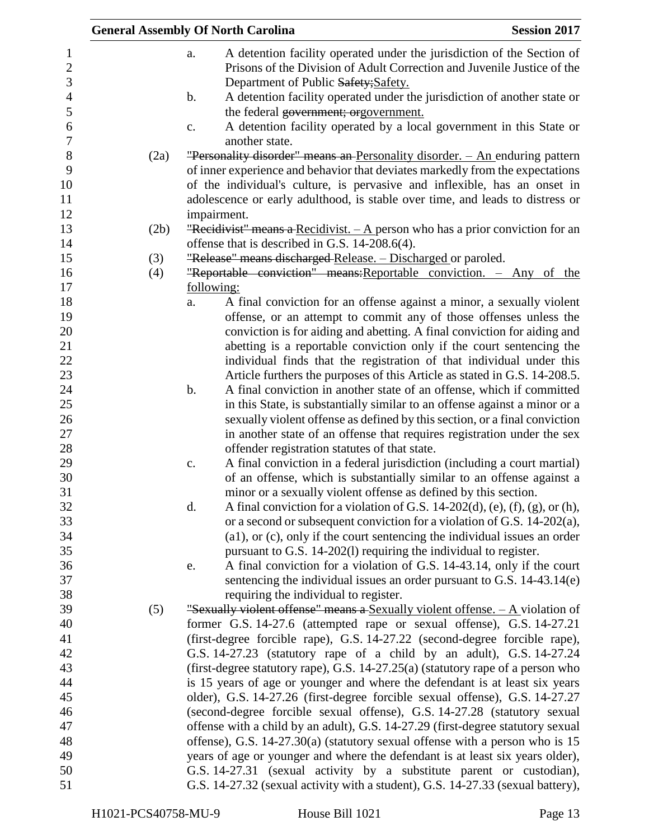|      | <b>General Assembly Of North Carolina</b><br><b>Session 2017</b>                       |
|------|----------------------------------------------------------------------------------------|
|      | A detention facility operated under the jurisdiction of the Section of<br>a.           |
|      | Prisons of the Division of Adult Correction and Juvenile Justice of the                |
|      | Department of Public Safety; Safety.                                                   |
|      | A detention facility operated under the jurisdiction of another state or<br>b.         |
|      | the federal government; orgovernment.                                                  |
|      | A detention facility operated by a local government in this State or<br>c.             |
|      | another state.                                                                         |
| (2a) | "Personality disorder" means an Personality disorder. - An enduring pattern            |
|      | of inner experience and behavior that deviates markedly from the expectations          |
|      | of the individual's culture, is pervasive and inflexible, has an onset in              |
|      | adolescence or early adulthood, is stable over time, and leads to distress or          |
|      | impairment.                                                                            |
| (2b) | "Recidivist" means a Recidivist. $- A$ person who has a prior conviction for an        |
|      | offense that is described in G.S. 14-208.6(4).                                         |
| (3)  | "Release" means discharged Release. - Discharged or paroled.                           |
| (4)  | "Reportable conviction" means: Reportable conviction. - Any of the                     |
|      | following:                                                                             |
|      | A final conviction for an offense against a minor, a sexually violent<br>a.            |
|      | offense, or an attempt to commit any of those offenses unless the                      |
|      | conviction is for aiding and abetting. A final conviction for aiding and               |
|      | abetting is a reportable conviction only if the court sentencing the                   |
|      | individual finds that the registration of that individual under this                   |
|      | Article furthers the purposes of this Article as stated in G.S. 14-208.5.              |
|      | $\mathbf b$ .<br>A final conviction in another state of an offense, which if committed |
|      | in this State, is substantially similar to an offense against a minor or a             |
|      | sexually violent offense as defined by this section, or a final conviction             |
|      | in another state of an offense that requires registration under the sex                |
|      | offender registration statutes of that state.                                          |
|      | A final conviction in a federal jurisdiction (including a court martial)<br>c.         |
|      | of an offense, which is substantially similar to an offense against a                  |
|      | minor or a sexually violent offense as defined by this section.                        |
|      | d.<br>A final conviction for a violation of G.S. 14-202(d), (e), (f), (g), or (h),     |
|      | or a second or subsequent conviction for a violation of G.S. 14-202(a),                |
|      | $(a1)$ , or $(c)$ , only if the court sentencing the individual issues an order        |
|      | pursuant to G.S. 14-202(l) requiring the individual to register.                       |
|      | A final conviction for a violation of G.S. 14-43.14, only if the court<br>e.           |
|      | sentencing the individual issues an order pursuant to G.S. $14-43.14(e)$               |
|      | requiring the individual to register.                                                  |
| (5)  | "Sexually violent offense" means a Sexually violent offense. $- A$ violation of        |
|      | former G.S. 14-27.6 (attempted rape or sexual offense), G.S. 14-27.21                  |
|      | (first-degree forcible rape), G.S. 14-27.22 (second-degree forcible rape),             |
|      | G.S. 14-27.23 (statutory rape of a child by an adult), G.S. 14-27.24                   |
|      | (first-degree statutory rape), G.S. 14-27.25(a) (statutory rape of a person who        |
|      | is 15 years of age or younger and where the defendant is at least six years            |
|      | older), G.S. 14-27.26 (first-degree forcible sexual offense), G.S. 14-27.27            |
|      | (second-degree forcible sexual offense), G.S. 14-27.28 (statutory sexual               |
|      | offense with a child by an adult), G.S. 14-27.29 (first-degree statutory sexual        |
|      | offense), G.S. 14-27.30(a) (statutory sexual offense with a person who is 15           |
|      | years of age or younger and where the defendant is at least six years older),          |
|      | G.S. 14-27.31 (sexual activity by a substitute parent or custodian),                   |
|      | G.S. 14-27.32 (sexual activity with a student), G.S. 14-27.33 (sexual battery),        |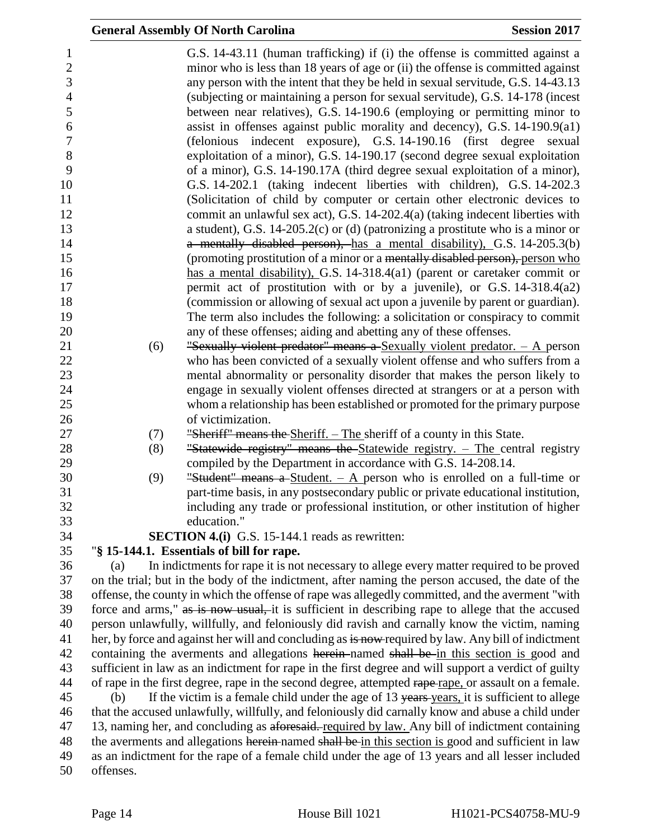|           | <b>General Assembly Of North Carolina</b>                                                                                                                                                                                                                                                                                                                                                                                                                                                                                                                                                                                                                                                                                           | <b>Session 2017</b> |
|-----------|-------------------------------------------------------------------------------------------------------------------------------------------------------------------------------------------------------------------------------------------------------------------------------------------------------------------------------------------------------------------------------------------------------------------------------------------------------------------------------------------------------------------------------------------------------------------------------------------------------------------------------------------------------------------------------------------------------------------------------------|---------------------|
|           | G.S. 14-43.11 (human trafficking) if (i) the offense is committed against a<br>minor who is less than 18 years of age or (ii) the offense is committed against<br>any person with the intent that they be held in sexual servitude, G.S. 14-43.13<br>(subjecting or maintaining a person for sexual servitude), G.S. 14-178 (incest<br>between near relatives), G.S. 14-190.6 (employing or permitting minor to<br>assist in offenses against public morality and decency), G.S. $14-190.9(a1)$<br>(felonious indecent exposure), G.S. 14-190.16 (first degree sexual<br>exploitation of a minor), G.S. 14-190.17 (second degree sexual exploitation<br>of a minor), G.S. 14-190.17A (third degree sexual exploitation of a minor), |                     |
|           | G.S. 14-202.1 (taking indecent liberties with children), G.S. 14-202.3<br>(Solicitation of child by computer or certain other electronic devices to                                                                                                                                                                                                                                                                                                                                                                                                                                                                                                                                                                                 |                     |
|           | commit an unlawful sex act), G.S. 14-202.4(a) (taking indecent liberties with                                                                                                                                                                                                                                                                                                                                                                                                                                                                                                                                                                                                                                                       |                     |
|           | a student), G.S. 14-205.2(c) or (d) (patronizing a prostitute who is a minor or                                                                                                                                                                                                                                                                                                                                                                                                                                                                                                                                                                                                                                                     |                     |
|           | a mentally disabled person), has a mental disability), G.S. 14-205.3(b)                                                                                                                                                                                                                                                                                                                                                                                                                                                                                                                                                                                                                                                             |                     |
|           | (promoting prostitution of a minor or a mentally disabled person), person who<br>has a mental disability), G.S. 14-318.4(a1) (parent or caretaker commit or                                                                                                                                                                                                                                                                                                                                                                                                                                                                                                                                                                         |                     |
|           | permit act of prostitution with or by a juvenile), or G.S. 14-318.4(a2)                                                                                                                                                                                                                                                                                                                                                                                                                                                                                                                                                                                                                                                             |                     |
|           | (commission or allowing of sexual act upon a juvenile by parent or guardian).                                                                                                                                                                                                                                                                                                                                                                                                                                                                                                                                                                                                                                                       |                     |
|           | The term also includes the following: a solicitation or conspiracy to commit                                                                                                                                                                                                                                                                                                                                                                                                                                                                                                                                                                                                                                                        |                     |
|           | any of these offenses; aiding and abetting any of these offenses.                                                                                                                                                                                                                                                                                                                                                                                                                                                                                                                                                                                                                                                                   |                     |
| (6)       | "Sexually violent predator" means a Sexually violent predator. $-$ A person                                                                                                                                                                                                                                                                                                                                                                                                                                                                                                                                                                                                                                                         |                     |
|           | who has been convicted of a sexually violent offense and who suffers from a                                                                                                                                                                                                                                                                                                                                                                                                                                                                                                                                                                                                                                                         |                     |
|           | mental abnormality or personality disorder that makes the person likely to                                                                                                                                                                                                                                                                                                                                                                                                                                                                                                                                                                                                                                                          |                     |
|           | engage in sexually violent offenses directed at strangers or at a person with                                                                                                                                                                                                                                                                                                                                                                                                                                                                                                                                                                                                                                                       |                     |
|           | whom a relationship has been established or promoted for the primary purpose                                                                                                                                                                                                                                                                                                                                                                                                                                                                                                                                                                                                                                                        |                     |
|           | of victimization.                                                                                                                                                                                                                                                                                                                                                                                                                                                                                                                                                                                                                                                                                                                   |                     |
| (7)       | "Sheriff" means the Sheriff. – The sheriff of a county in this State.                                                                                                                                                                                                                                                                                                                                                                                                                                                                                                                                                                                                                                                               |                     |
| (8)       | "Statewide registry" means the Statewide registry. - The central registry<br>compiled by the Department in accordance with G.S. 14-208.14.                                                                                                                                                                                                                                                                                                                                                                                                                                                                                                                                                                                          |                     |
| (9)       | "Student" means a Student. $-$ A person who is enrolled on a full-time or                                                                                                                                                                                                                                                                                                                                                                                                                                                                                                                                                                                                                                                           |                     |
|           | part-time basis, in any postsecondary public or private educational institution,                                                                                                                                                                                                                                                                                                                                                                                                                                                                                                                                                                                                                                                    |                     |
|           | including any trade or professional institution, or other institution of higher                                                                                                                                                                                                                                                                                                                                                                                                                                                                                                                                                                                                                                                     |                     |
|           | education."                                                                                                                                                                                                                                                                                                                                                                                                                                                                                                                                                                                                                                                                                                                         |                     |
|           | SECTION 4.(i) G.S. 15-144.1 reads as rewritten:                                                                                                                                                                                                                                                                                                                                                                                                                                                                                                                                                                                                                                                                                     |                     |
|           | "§ 15-144.1. Essentials of bill for rape.                                                                                                                                                                                                                                                                                                                                                                                                                                                                                                                                                                                                                                                                                           |                     |
| (a)       | In indictments for rape it is not necessary to allege every matter required to be proved                                                                                                                                                                                                                                                                                                                                                                                                                                                                                                                                                                                                                                            |                     |
|           | on the trial; but in the body of the indictment, after naming the person accused, the date of the                                                                                                                                                                                                                                                                                                                                                                                                                                                                                                                                                                                                                                   |                     |
|           | offense, the county in which the offense of rape was allegedly committed, and the averment "with                                                                                                                                                                                                                                                                                                                                                                                                                                                                                                                                                                                                                                    |                     |
|           | force and arms," as is now usual, it is sufficient in describing rape to allege that the accused                                                                                                                                                                                                                                                                                                                                                                                                                                                                                                                                                                                                                                    |                     |
|           | person unlawfully, willfully, and feloniously did ravish and carnally know the victim, naming                                                                                                                                                                                                                                                                                                                                                                                                                                                                                                                                                                                                                                       |                     |
|           | her, by force and against her will and concluding as is now required by law. Any bill of indictment<br>containing the averments and allegations herein-named shall be in this section is good and                                                                                                                                                                                                                                                                                                                                                                                                                                                                                                                                   |                     |
|           | sufficient in law as an indictment for rape in the first degree and will support a verdict of guilty                                                                                                                                                                                                                                                                                                                                                                                                                                                                                                                                                                                                                                |                     |
|           | of rape in the first degree, rape in the second degree, attempted rape-rape, or assault on a female.                                                                                                                                                                                                                                                                                                                                                                                                                                                                                                                                                                                                                                |                     |
| (b)       | If the victim is a female child under the age of 13 years years, it is sufficient to allege                                                                                                                                                                                                                                                                                                                                                                                                                                                                                                                                                                                                                                         |                     |
|           | that the accused unlawfully, willfully, and feloniously did carnally know and abuse a child under                                                                                                                                                                                                                                                                                                                                                                                                                                                                                                                                                                                                                                   |                     |
|           | 13, naming her, and concluding as aforesaid. required by law. Any bill of indictment containing                                                                                                                                                                                                                                                                                                                                                                                                                                                                                                                                                                                                                                     |                     |
|           | the averments and allegations herein-named shall be in this section is good and sufficient in law                                                                                                                                                                                                                                                                                                                                                                                                                                                                                                                                                                                                                                   |                     |
| offenses. | as an indictment for the rape of a female child under the age of 13 years and all lesser included                                                                                                                                                                                                                                                                                                                                                                                                                                                                                                                                                                                                                                   |                     |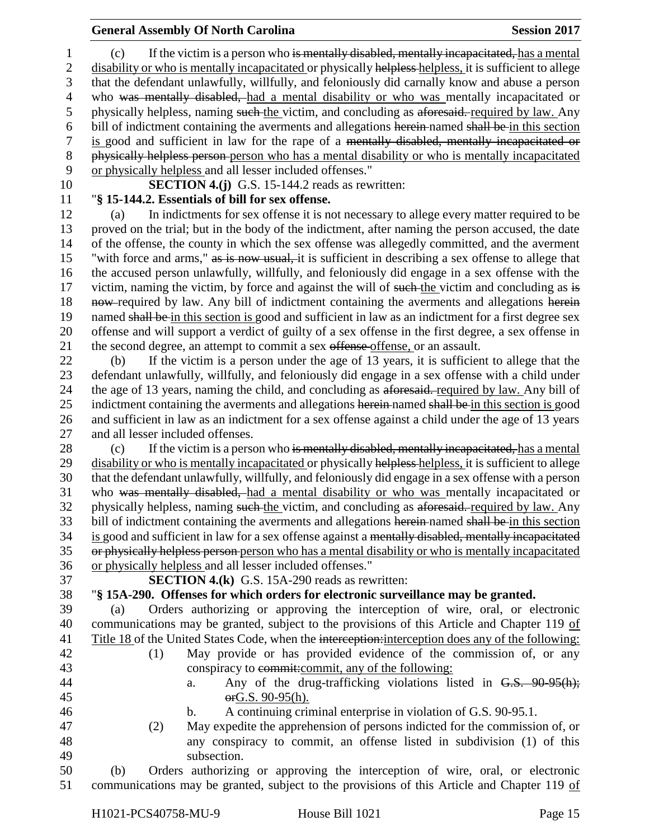(c) If the victim is a person who is mentally disabled, mentally incapacitated, has a mental 2 disability or who is mentally incapacitated or physically helpless helpless, it is sufficient to allege that the defendant unlawfully, willfully, and feloniously did carnally know and abuse a person who was mentally disabled, had a mental disability or who was mentally incapacitated or 5 physically helpless, naming such the victim, and concluding as aforesaid. required by law. Any bill of indictment containing the averments and allegations herein named shall be in this section is good and sufficient in law for the rape of a mentally disabled, mentally incapacitated or physically helpless person person who has a mental disability or who is mentally incapacitated or physically helpless and all lesser included offenses."

#### **SECTION 4.(j)** G.S. 15-144.2 reads as rewritten: "**§ 15-144.2. Essentials of bill for sex offense.**

 (a) In indictments for sex offense it is not necessary to allege every matter required to be proved on the trial; but in the body of the indictment, after naming the person accused, the date of the offense, the county in which the sex offense was allegedly committed, and the averment "with force and arms," as is now usual, it is sufficient in describing a sex offense to allege that the accused person unlawfully, willfully, and feloniously did engage in a sex offense with the 17 victim, naming the victim, by force and against the will of such the victim and concluding as is 18 now-required by law. Any bill of indictment containing the averments and allegations herein 19 named shall be in this section is good and sufficient in law as an indictment for a first degree sex offense and will support a verdict of guilty of a sex offense in the first degree, a sex offense in 21 the second degree, an attempt to commit a sex offense offense, or an assault.

 (b) If the victim is a person under the age of 13 years, it is sufficient to allege that the defendant unlawfully, willfully, and feloniously did engage in a sex offense with a child under the age of 13 years, naming the child, and concluding as aforesaid. required by law. Any bill of 25 indictment containing the averments and allegations herein named shall be in this section is good and sufficient in law as an indictment for a sex offense against a child under the age of 13 years and all lesser included offenses.

28 (c) If the victim is a person who is mentally disabled, mentally incapacitated, has a mental 29 disability or who is mentally incapacitated or physically helpless-helpless, it is sufficient to allege that the defendant unlawfully, willfully, and feloniously did engage in a sex offense with a person who was mentally disabled, had a mental disability or who was mentally incapacitated or physically helpless, naming such the victim, and concluding as aforesaid. required by law. Any 33 bill of indictment containing the averments and allegations herein-named shall be in this section is good and sufficient in law for a sex offense against a mentally disabled, mentally incapacitated or physically helpless person person who has a mental disability or who is mentally incapacitated or physically helpless and all lesser included offenses."

**SECTION 4.(k)** G.S. 15A-290 reads as rewritten:

"**§ 15A-290. Offenses for which orders for electronic surveillance may be granted.**

 (a) Orders authorizing or approving the interception of wire, oral, or electronic communications may be granted, subject to the provisions of this Article and Chapter 119 of Title 18 of the United States Code, when the interception:interception does any of the following:

- (1) May provide or has provided evidence of the commission of, or any conspiracy to commit:commit, any of the following:
- 
- 44 a. Any of the drug-trafficking violations listed in G.S. 90-95(h); orG.S. 90-95(h).
- 
- b. A continuing criminal enterprise in violation of G.S. 90-95.1.
- (2) May expedite the apprehension of persons indicted for the commission of, or any conspiracy to commit, an offense listed in subdivision (1) of this subsection.

 (b) Orders authorizing or approving the interception of wire, oral, or electronic communications may be granted, subject to the provisions of this Article and Chapter 119 of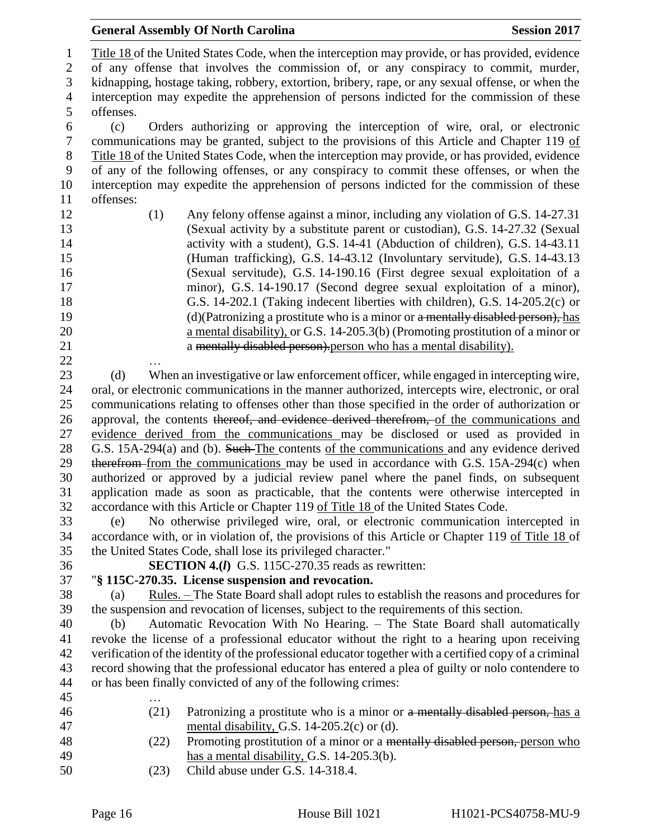|                  | <b>General Assembly Of North Carolina</b><br><b>Session 2017</b>                                                           |
|------------------|----------------------------------------------------------------------------------------------------------------------------|
| $\mathbf{1}$     | Title 18 of the United States Code, when the interception may provide, or has provided, evidence                           |
| $\boldsymbol{2}$ | of any offense that involves the commission of, or any conspiracy to commit, murder,                                       |
| 3                | kidnapping, hostage taking, robbery, extortion, bribery, rape, or any sexual offense, or when the                          |
| $\overline{4}$   | interception may expedite the apprehension of persons indicted for the commission of these                                 |
| 5                | offenses.                                                                                                                  |
| $\boldsymbol{6}$ | Orders authorizing or approving the interception of wire, oral, or electronic<br>(c)                                       |
| $\boldsymbol{7}$ | communications may be granted, subject to the provisions of this Article and Chapter 119 of                                |
| $8\,$            | Title 18 of the United States Code, when the interception may provide, or has provided, evidence                           |
| 9                | of any of the following offenses, or any conspiracy to commit these offenses, or when the                                  |
| 10               | interception may expedite the apprehension of persons indicted for the commission of these                                 |
| 11               | offenses:                                                                                                                  |
| 12               | Any felony offense against a minor, including any violation of G.S. 14-27.31<br>(1)                                        |
| 13               | (Sexual activity by a substitute parent or custodian), G.S. 14-27.32 (Sexual                                               |
| 14               | activity with a student), G.S. 14-41 (Abduction of children), G.S. 14-43.11                                                |
| 15               | (Human trafficking), G.S. 14-43.12 (Involuntary servitude), G.S. 14-43.13                                                  |
| 16               | (Sexual servitude), G.S. 14-190.16 (First degree sexual exploitation of a                                                  |
| 17               | minor), G.S. 14-190.17 (Second degree sexual exploitation of a minor),                                                     |
| 18               | G.S. 14-202.1 (Taking indecent liberties with children), G.S. 14-205.2(c) or                                               |
| 19               | $(d)$ (Patronizing a prostitute who is a minor or a mentally disabled person), has                                         |
| 20               | a mental disability), or G.S. 14-205.3(b) (Promoting prostitution of a minor or                                            |
| 21               | a mentally disabled person). person who has a mental disability).                                                          |
| 22               |                                                                                                                            |
| 23               | When an investigative or law enforcement officer, while engaged in intercepting wire,<br>(d)                               |
| 24               | oral, or electronic communications in the manner authorized, intercepts wire, electronic, or oral                          |
| 25               | communications relating to offenses other than those specified in the order of authorization or                            |
| 26               | approval, the contents thereof, and evidence derived therefrom, of the communications and                                  |
| 27               | evidence derived from the communications may be disclosed or used as provided in                                           |
| 28               | G.S. 15A-294(a) and (b). Such The contents of the communications and any evidence derived                                  |
| 29               | therefrom from the communications may be used in accordance with G.S. 15A-294(c) when                                      |
| 30               | authorized or approved by a judicial review panel where the panel finds, on subsequent                                     |
| 31               | application made as soon as practicable, that the contents were otherwise intercepted in                                   |
| 32               | accordance with this Article or Chapter 119 of Title 18 of the United States Code.                                         |
| 33               | No otherwise privileged wire, oral, or electronic communication intercepted in<br>(e)                                      |
| 34               | accordance with, or in violation of, the provisions of this Article or Chapter 119 of Title 18 of                          |
| 35               | the United States Code, shall lose its privileged character."<br><b>SECTION 4.(I)</b> G.S. 115C-270.35 reads as rewritten: |
| 36<br>37         | "§ 115C-270.35. License suspension and revocation.                                                                         |
| 38               | <u>Rules.</u> – The State Board shall adopt rules to establish the reasons and procedures for<br>(a)                       |
| 39               | the suspension and revocation of licenses, subject to the requirements of this section.                                    |
| 40               | Automatic Revocation With No Hearing. - The State Board shall automatically<br>(b)                                         |
| 41               | revoke the license of a professional educator without the right to a hearing upon receiving                                |
| 42               | verification of the identity of the professional educator together with a certified copy of a criminal                     |
| 43               | record showing that the professional educator has entered a plea of guilty or nolo contendere to                           |
| 44               | or has been finally convicted of any of the following crimes:                                                              |
| 45               |                                                                                                                            |
| 46               | (21)<br>Patronizing a prostitute who is a minor or a mentally disabled person, has a                                       |
| 47               | mental disability, G.S. 14-205.2(c) or (d).                                                                                |
| 48               | Promoting prostitution of a minor or a mentally disabled person, person who<br>(22)                                        |
| 49               | has a mental disability, G.S. $14-205.3(b)$ .                                                                              |
| 50               | Child abuse under G.S. 14-318.4.<br>(23)                                                                                   |
|                  |                                                                                                                            |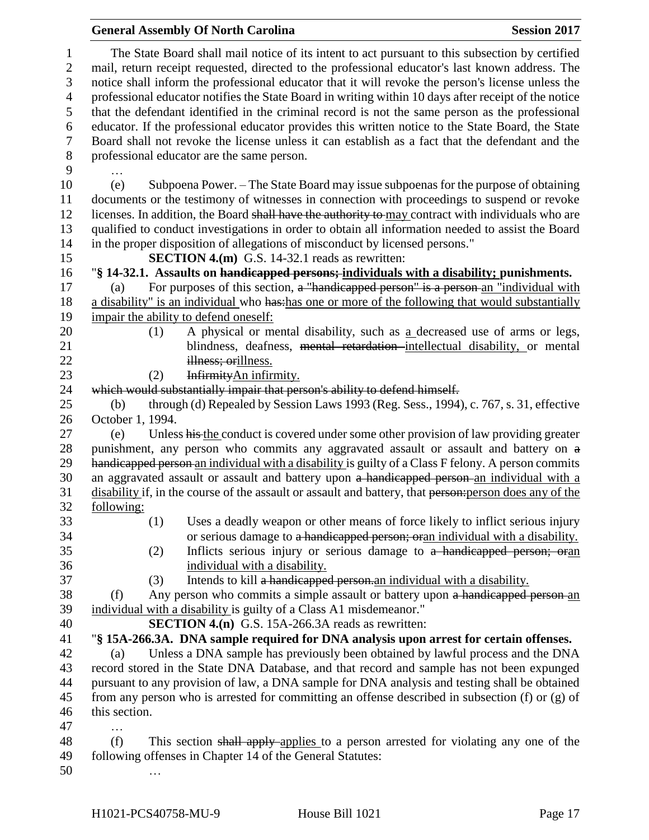|                                                     | <b>General Assembly Of North Carolina</b><br><b>Session 2017</b>                                                                                                                                                                                                                                                                                                                                                |  |
|-----------------------------------------------------|-----------------------------------------------------------------------------------------------------------------------------------------------------------------------------------------------------------------------------------------------------------------------------------------------------------------------------------------------------------------------------------------------------------------|--|
| $\mathbf{1}$<br>$\mathbf{2}$<br>3<br>$\overline{4}$ | The State Board shall mail notice of its intent to act pursuant to this subsection by certified<br>mail, return receipt requested, directed to the professional educator's last known address. The<br>notice shall inform the professional educator that it will revoke the person's license unless the<br>professional educator notifies the State Board in writing within 10 days after receipt of the notice |  |
| 5                                                   | that the defendant identified in the criminal record is not the same person as the professional                                                                                                                                                                                                                                                                                                                 |  |
| 6                                                   | educator. If the professional educator provides this written notice to the State Board, the State                                                                                                                                                                                                                                                                                                               |  |
| $\boldsymbol{7}$                                    | Board shall not revoke the license unless it can establish as a fact that the defendant and the                                                                                                                                                                                                                                                                                                                 |  |
| $8\,$                                               | professional educator are the same person.                                                                                                                                                                                                                                                                                                                                                                      |  |
| 9                                                   |                                                                                                                                                                                                                                                                                                                                                                                                                 |  |
| 10<br>11<br>12                                      | Subpoena Power. – The State Board may issue subpoenas for the purpose of obtaining<br>(e)<br>documents or the testimony of witnesses in connection with proceedings to suspend or revoke<br>licenses. In addition, the Board shall have the authority to may contract with individuals who are                                                                                                                  |  |
| 13<br>14                                            | qualified to conduct investigations in order to obtain all information needed to assist the Board<br>in the proper disposition of allegations of misconduct by licensed persons."                                                                                                                                                                                                                               |  |
| 15                                                  | <b>SECTION 4.(m)</b> G.S. 14-32.1 reads as rewritten:                                                                                                                                                                                                                                                                                                                                                           |  |
| 16                                                  | "§ 14-32.1. Assaults on handicapped persons; individuals with a disability; punishments.                                                                                                                                                                                                                                                                                                                        |  |
| 17                                                  | For purposes of this section, a "handicapped person" is a person-an "individual with<br>(a)                                                                                                                                                                                                                                                                                                                     |  |
| 18                                                  | a disability" is an individual who has has one or more of the following that would substantially                                                                                                                                                                                                                                                                                                                |  |
| 19                                                  | impair the ability to defend oneself:                                                                                                                                                                                                                                                                                                                                                                           |  |
| 20                                                  | A physical or mental disability, such as a decreased use of arms or legs,<br>(1)                                                                                                                                                                                                                                                                                                                                |  |
| 21                                                  | blindness, deafness, mental retardation intellectual disability, or mental                                                                                                                                                                                                                                                                                                                                      |  |
| 22                                                  | illness; orillness.                                                                                                                                                                                                                                                                                                                                                                                             |  |
| 23                                                  | Infirmity An infirmity.<br>(2)                                                                                                                                                                                                                                                                                                                                                                                  |  |
| 24                                                  | which would substantially impair that person's ability to defend himself.                                                                                                                                                                                                                                                                                                                                       |  |
| 25<br>26                                            | through (d) Repealed by Session Laws 1993 (Reg. Sess., 1994), c. 767, s. 31, effective<br>(b)<br>October 1, 1994.                                                                                                                                                                                                                                                                                               |  |
| 27                                                  | Unless his the conduct is covered under some other provision of law providing greater<br>(e)                                                                                                                                                                                                                                                                                                                    |  |
| 28                                                  | punishment, any person who commits any aggravated assault or assault and battery on a                                                                                                                                                                                                                                                                                                                           |  |
| 29                                                  | handicapped person an individual with a disability is guilty of a Class F felony. A person commits                                                                                                                                                                                                                                                                                                              |  |
| 30                                                  | an aggravated assault or assault and battery upon a handicapped person an individual with a                                                                                                                                                                                                                                                                                                                     |  |
| 31                                                  | disability if, in the course of the assault or assault and battery, that person: person does any of the                                                                                                                                                                                                                                                                                                         |  |
| 32                                                  | following:                                                                                                                                                                                                                                                                                                                                                                                                      |  |
| 33                                                  | Uses a deadly weapon or other means of force likely to inflict serious injury<br>(1)                                                                                                                                                                                                                                                                                                                            |  |
| 34                                                  | or serious damage to a handicapped person; or an individual with a disability.                                                                                                                                                                                                                                                                                                                                  |  |
| 35                                                  | Inflicts serious injury or serious damage to a handicapped person; oran<br>(2)                                                                                                                                                                                                                                                                                                                                  |  |
| 36                                                  | individual with a disability.                                                                                                                                                                                                                                                                                                                                                                                   |  |
| 37                                                  | Intends to kill a handicapped person an individual with a disability.<br>(3)                                                                                                                                                                                                                                                                                                                                    |  |
| 38                                                  | Any person who commits a simple assault or battery upon a handicapped person-an<br>(f)                                                                                                                                                                                                                                                                                                                          |  |
| 39                                                  | individual with a disability is guilty of a Class A1 misdemeanor."                                                                                                                                                                                                                                                                                                                                              |  |
| 40                                                  | <b>SECTION 4.(n)</b> G.S. 15A-266.3A reads as rewritten:                                                                                                                                                                                                                                                                                                                                                        |  |
| 41                                                  | "§ 15A-266.3A. DNA sample required for DNA analysis upon arrest for certain offenses.                                                                                                                                                                                                                                                                                                                           |  |
| 42<br>43                                            | Unless a DNA sample has previously been obtained by lawful process and the DNA<br>(a)<br>record stored in the State DNA Database, and that record and sample has not been expunged                                                                                                                                                                                                                              |  |
| 44                                                  | pursuant to any provision of law, a DNA sample for DNA analysis and testing shall be obtained                                                                                                                                                                                                                                                                                                                   |  |
| 45                                                  | from any person who is arrested for committing an offense described in subsection (f) or (g) of                                                                                                                                                                                                                                                                                                                 |  |
| 46                                                  | this section.                                                                                                                                                                                                                                                                                                                                                                                                   |  |
| 47                                                  | .                                                                                                                                                                                                                                                                                                                                                                                                               |  |
| 48                                                  | (f)<br>This section shall apply applies to a person arrested for violating any one of the                                                                                                                                                                                                                                                                                                                       |  |
| 49                                                  | following offenses in Chapter 14 of the General Statutes:                                                                                                                                                                                                                                                                                                                                                       |  |
| 50                                                  |                                                                                                                                                                                                                                                                                                                                                                                                                 |  |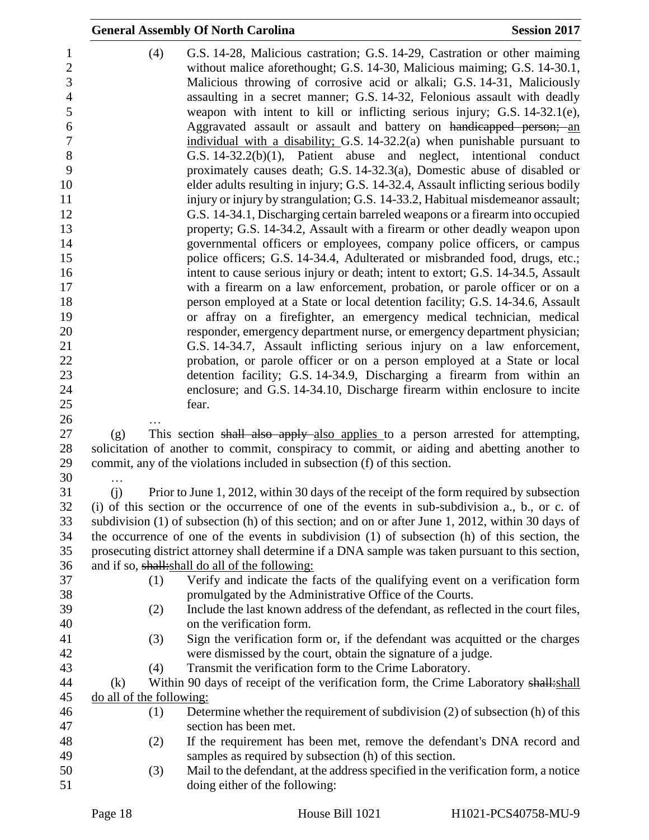|                          | <b>General Assembly Of North Carolina</b>                                                                                                                                                                                                                                                                                                                                                                                                                                                                                                                                                                               | <b>Session 2017</b> |
|--------------------------|-------------------------------------------------------------------------------------------------------------------------------------------------------------------------------------------------------------------------------------------------------------------------------------------------------------------------------------------------------------------------------------------------------------------------------------------------------------------------------------------------------------------------------------------------------------------------------------------------------------------------|---------------------|
| (4)                      | G.S. 14-28, Malicious castration; G.S. 14-29, Castration or other maiming<br>without malice aforethought; G.S. 14-30, Malicious maiming; G.S. 14-30.1,<br>Malicious throwing of corrosive acid or alkali; G.S. 14-31, Maliciously<br>assaulting in a secret manner; G.S. 14-32, Felonious assault with deadly<br>weapon with intent to kill or inflicting serious injury; G.S. 14-32.1(e),<br>Aggravated assault or assault and battery on handicapped person; an<br>individual with a disability; G.S. 14-32.2(a) when punishable pursuant to<br>G.S. $14-32.2(b)(1)$ , Patient abuse and neglect, intentional conduct |                     |
|                          | proximately causes death; G.S. 14-32.3(a), Domestic abuse of disabled or<br>elder adults resulting in injury; G.S. 14-32.4, Assault inflicting serious bodily<br>injury or injury by strangulation; G.S. 14-33.2, Habitual misdemeanor assault;<br>G.S. 14-34.1, Discharging certain barreled weapons or a firearm into occupied<br>property; G.S. 14-34.2, Assault with a firearm or other deadly weapon upon                                                                                                                                                                                                          |                     |
|                          | governmental officers or employees, company police officers, or campus                                                                                                                                                                                                                                                                                                                                                                                                                                                                                                                                                  |                     |
|                          | police officers; G.S. 14-34.4, Adulterated or misbranded food, drugs, etc.;                                                                                                                                                                                                                                                                                                                                                                                                                                                                                                                                             |                     |
|                          | intent to cause serious injury or death; intent to extort; G.S. 14-34.5, Assault<br>with a firearm on a law enforcement, probation, or parole officer or on a                                                                                                                                                                                                                                                                                                                                                                                                                                                           |                     |
|                          | person employed at a State or local detention facility; G.S. 14-34.6, Assault                                                                                                                                                                                                                                                                                                                                                                                                                                                                                                                                           |                     |
|                          | or affray on a firefighter, an emergency medical technician, medical                                                                                                                                                                                                                                                                                                                                                                                                                                                                                                                                                    |                     |
|                          | responder, emergency department nurse, or emergency department physician;                                                                                                                                                                                                                                                                                                                                                                                                                                                                                                                                               |                     |
|                          | G.S. 14-34.7, Assault inflicting serious injury on a law enforcement,                                                                                                                                                                                                                                                                                                                                                                                                                                                                                                                                                   |                     |
|                          | probation, or parole officer or on a person employed at a State or local                                                                                                                                                                                                                                                                                                                                                                                                                                                                                                                                                |                     |
|                          | detention facility; G.S. 14-34.9, Discharging a firearm from within an                                                                                                                                                                                                                                                                                                                                                                                                                                                                                                                                                  |                     |
|                          | enclosure; and G.S. 14-34.10, Discharge firearm within enclosure to incite                                                                                                                                                                                                                                                                                                                                                                                                                                                                                                                                              |                     |
|                          | fear.                                                                                                                                                                                                                                                                                                                                                                                                                                                                                                                                                                                                                   |                     |
| (g)                      | This section shall also apply also applies to a person arrested for attempting,                                                                                                                                                                                                                                                                                                                                                                                                                                                                                                                                         |                     |
|                          | solicitation of another to commit, conspiracy to commit, or aiding and abetting another to                                                                                                                                                                                                                                                                                                                                                                                                                                                                                                                              |                     |
|                          | commit, any of the violations included in subsection (f) of this section.                                                                                                                                                                                                                                                                                                                                                                                                                                                                                                                                               |                     |
| .<br>(i)                 | Prior to June 1, 2012, within 30 days of the receipt of the form required by subsection                                                                                                                                                                                                                                                                                                                                                                                                                                                                                                                                 |                     |
|                          | (i) of this section or the occurrence of one of the events in sub-subdivision a., b., or c. of                                                                                                                                                                                                                                                                                                                                                                                                                                                                                                                          |                     |
|                          | subdivision (1) of subsection (h) of this section; and on or after June 1, 2012, within 30 days of                                                                                                                                                                                                                                                                                                                                                                                                                                                                                                                      |                     |
|                          | the occurrence of one of the events in subdivision (1) of subsection (h) of this section, the                                                                                                                                                                                                                                                                                                                                                                                                                                                                                                                           |                     |
|                          | prosecuting district attorney shall determine if a DNA sample was taken pursuant to this section,                                                                                                                                                                                                                                                                                                                                                                                                                                                                                                                       |                     |
|                          | and if so, shall: shall do all of the following:                                                                                                                                                                                                                                                                                                                                                                                                                                                                                                                                                                        |                     |
| (1)                      | Verify and indicate the facts of the qualifying event on a verification form                                                                                                                                                                                                                                                                                                                                                                                                                                                                                                                                            |                     |
|                          | promulgated by the Administrative Office of the Courts.                                                                                                                                                                                                                                                                                                                                                                                                                                                                                                                                                                 |                     |
| (2)                      | Include the last known address of the defendant, as reflected in the court files,<br>on the verification form.                                                                                                                                                                                                                                                                                                                                                                                                                                                                                                          |                     |
| (3)                      | Sign the verification form or, if the defendant was acquitted or the charges                                                                                                                                                                                                                                                                                                                                                                                                                                                                                                                                            |                     |
|                          | were dismissed by the court, obtain the signature of a judge.                                                                                                                                                                                                                                                                                                                                                                                                                                                                                                                                                           |                     |
| (4)                      | Transmit the verification form to the Crime Laboratory.                                                                                                                                                                                                                                                                                                                                                                                                                                                                                                                                                                 |                     |
| (k)                      | Within 90 days of receipt of the verification form, the Crime Laboratory shall: shall                                                                                                                                                                                                                                                                                                                                                                                                                                                                                                                                   |                     |
| do all of the following: |                                                                                                                                                                                                                                                                                                                                                                                                                                                                                                                                                                                                                         |                     |
| (1)                      | Determine whether the requirement of subdivision (2) of subsection (h) of this                                                                                                                                                                                                                                                                                                                                                                                                                                                                                                                                          |                     |
|                          | section has been met.                                                                                                                                                                                                                                                                                                                                                                                                                                                                                                                                                                                                   |                     |
| (2)                      | If the requirement has been met, remove the defendant's DNA record and                                                                                                                                                                                                                                                                                                                                                                                                                                                                                                                                                  |                     |
|                          | samples as required by subsection (h) of this section.                                                                                                                                                                                                                                                                                                                                                                                                                                                                                                                                                                  |                     |
| (3)                      | Mail to the defendant, at the address specified in the verification form, a notice<br>doing either of the following:                                                                                                                                                                                                                                                                                                                                                                                                                                                                                                    |                     |
|                          |                                                                                                                                                                                                                                                                                                                                                                                                                                                                                                                                                                                                                         |                     |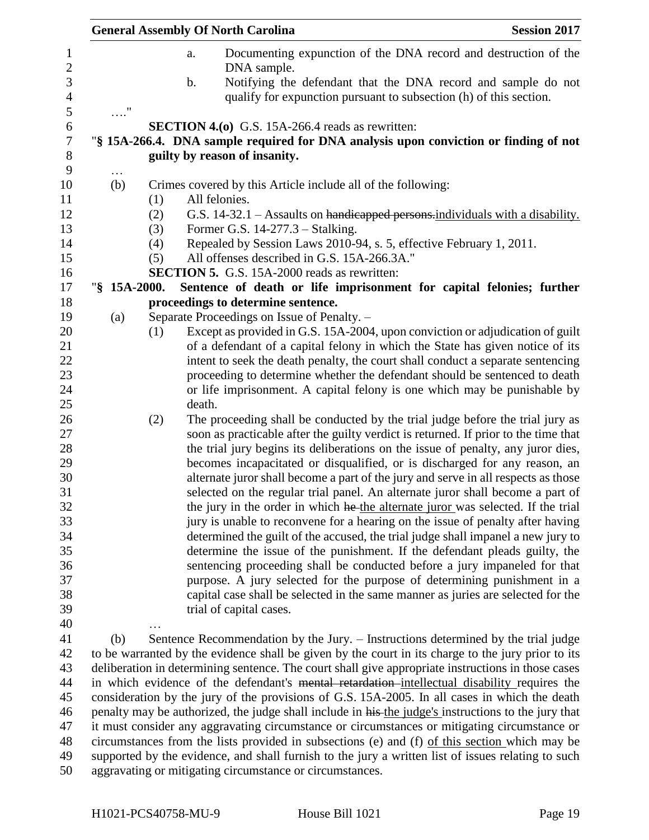|                       |     | <b>General Assembly Of North Carolina</b>                                                                                                                                                            | <b>Session 2017</b> |
|-----------------------|-----|------------------------------------------------------------------------------------------------------------------------------------------------------------------------------------------------------|---------------------|
|                       |     | Documenting expunction of the DNA record and destruction of the<br>a.<br>DNA sample.                                                                                                                 |                     |
|                       |     | Notifying the defendant that the DNA record and sample do not<br>$\mathbf b$ .<br>qualify for expunction pursuant to subsection (h) of this section.                                                 |                     |
| $\ldots$ "            |     |                                                                                                                                                                                                      |                     |
|                       |     | <b>SECTION 4.(0)</b> G.S. 15A-266.4 reads as rewritten:                                                                                                                                              |                     |
|                       |     | "§ 15A-266.4. DNA sample required for DNA analysis upon conviction or finding of not                                                                                                                 |                     |
|                       |     | guilty by reason of insanity.                                                                                                                                                                        |                     |
| $\cdots$<br>(b)       |     | Crimes covered by this Article include all of the following:                                                                                                                                         |                     |
|                       | (1) | All felonies.                                                                                                                                                                                        |                     |
|                       | (2) | G.S. 14-32.1 – Assaults on handicapped persons-individuals with a disability.                                                                                                                        |                     |
|                       | (3) | Former G.S. 14-277.3 - Stalking.                                                                                                                                                                     |                     |
|                       | (4) | Repealed by Session Laws 2010-94, s. 5, effective February 1, 2011.                                                                                                                                  |                     |
|                       | (5) | All offenses described in G.S. 15A-266.3A."                                                                                                                                                          |                     |
|                       |     | <b>SECTION 5.</b> G.S. 15A-2000 reads as rewritten:                                                                                                                                                  |                     |
| $\frac{15A-2000}{5}.$ |     | Sentence of death or life imprisonment for capital felonies; further                                                                                                                                 |                     |
|                       |     | proceedings to determine sentence.                                                                                                                                                                   |                     |
| (a)                   |     | Separate Proceedings on Issue of Penalty. -                                                                                                                                                          |                     |
|                       | (1) | Except as provided in G.S. 15A-2004, upon conviction or adjudication of guilt                                                                                                                        |                     |
|                       |     | of a defendant of a capital felony in which the State has given notice of its<br>intent to seek the death penalty, the court shall conduct a separate sentencing                                     |                     |
|                       |     | proceeding to determine whether the defendant should be sentenced to death                                                                                                                           |                     |
|                       |     | or life imprisonment. A capital felony is one which may be punishable by                                                                                                                             |                     |
|                       |     | death.                                                                                                                                                                                               |                     |
|                       | (2) | The proceeding shall be conducted by the trial judge before the trial jury as                                                                                                                        |                     |
|                       |     | soon as practicable after the guilty verdict is returned. If prior to the time that                                                                                                                  |                     |
|                       |     | the trial jury begins its deliberations on the issue of penalty, any juror dies,                                                                                                                     |                     |
|                       |     | becomes incapacitated or disqualified, or is discharged for any reason, an                                                                                                                           |                     |
|                       |     | alternate juror shall become a part of the jury and serve in all respects as those                                                                                                                   |                     |
|                       |     | selected on the regular trial panel. An alternate juror shall become a part of                                                                                                                       |                     |
|                       |     | the jury in the order in which he the alternate juror was selected. If the trial                                                                                                                     |                     |
|                       |     | jury is unable to reconvene for a hearing on the issue of penalty after having<br>determined the guilt of the accused, the trial judge shall impanel a new jury to                                   |                     |
|                       |     | determine the issue of the punishment. If the defendant pleads guilty, the                                                                                                                           |                     |
|                       |     | sentencing proceeding shall be conducted before a jury impaneled for that                                                                                                                            |                     |
|                       |     | purpose. A jury selected for the purpose of determining punishment in a                                                                                                                              |                     |
|                       |     | capital case shall be selected in the same manner as juries are selected for the                                                                                                                     |                     |
|                       |     | trial of capital cases.                                                                                                                                                                              |                     |
|                       |     |                                                                                                                                                                                                      |                     |
| (b)                   |     | Sentence Recommendation by the Jury. - Instructions determined by the trial judge                                                                                                                    |                     |
|                       |     | to be warranted by the evidence shall be given by the court in its charge to the jury prior to its                                                                                                   |                     |
|                       |     | deliberation in determining sentence. The court shall give appropriate instructions in those cases                                                                                                   |                     |
|                       |     | in which evidence of the defendant's mental retardation-intellectual disability requires the                                                                                                         |                     |
|                       |     | consideration by the jury of the provisions of G.S. 15A-2005. In all cases in which the death<br>penalty may be authorized, the judge shall include in his the judge's instructions to the jury that |                     |
|                       |     | it must consider any aggravating circumstance or circumstances or mitigating circumstance or                                                                                                         |                     |
|                       |     | circumstances from the lists provided in subsections (e) and (f) of this section which may be                                                                                                        |                     |
|                       |     | supported by the evidence, and shall furnish to the jury a written list of issues relating to such                                                                                                   |                     |
|                       |     | aggravating or mitigating circumstance or circumstances.                                                                                                                                             |                     |
|                       |     |                                                                                                                                                                                                      |                     |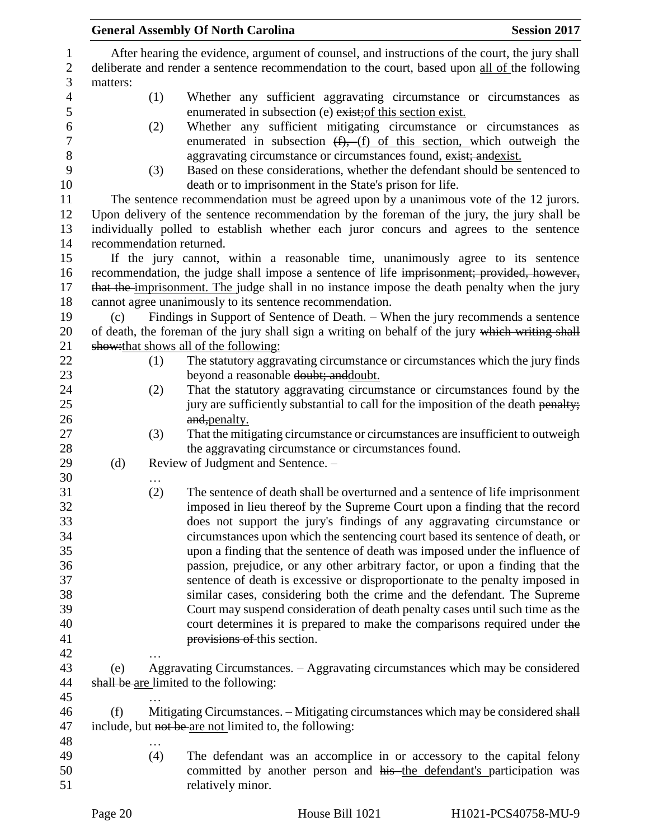|                |          |          | <b>General Assembly Of North Carolina</b>                                                                             | <b>Session 2017</b> |  |
|----------------|----------|----------|-----------------------------------------------------------------------------------------------------------------------|---------------------|--|
| $\mathbf{1}$   |          |          | After hearing the evidence, argument of counsel, and instructions of the court, the jury shall                        |                     |  |
| $\sqrt{2}$     |          |          | deliberate and render a sentence recommendation to the court, based upon all of the following                         |                     |  |
| 3              | matters: |          |                                                                                                                       |                     |  |
| $\overline{4}$ |          | (1)      | Whether any sufficient aggravating circumstance or circumstances as                                                   |                     |  |
| $\mathfrak s$  |          |          | enumerated in subsection (e) exist; of this section exist.                                                            |                     |  |
| 6              |          | (2)      | Whether any sufficient mitigating circumstance or circumstances as                                                    |                     |  |
| $\tau$         |          |          | enumerated in subsection $(f)$ , $(f)$ of this section, which outweigh the                                            |                     |  |
| 8              |          |          | aggravating circumstance or circumstances found, exist; and exist.                                                    |                     |  |
| 9              |          | (3)      | Based on these considerations, whether the defendant should be sentenced to                                           |                     |  |
| 10             |          |          | death or to imprisonment in the State's prison for life.                                                              |                     |  |
| 11             |          |          | The sentence recommendation must be agreed upon by a unanimous vote of the 12 jurors.                                 |                     |  |
| 12             |          |          | Upon delivery of the sentence recommendation by the foreman of the jury, the jury shall be                            |                     |  |
| 13             |          |          | individually polled to establish whether each juror concurs and agrees to the sentence                                |                     |  |
| 14             |          |          | recommendation returned.                                                                                              |                     |  |
| 15             |          |          | If the jury cannot, within a reasonable time, unanimously agree to its sentence                                       |                     |  |
| 16             |          |          | recommendation, the judge shall impose a sentence of life imprisonment; provided, however,                            |                     |  |
| 17             |          |          | that the imprisonment. The judge shall in no instance impose the death penalty when the jury                          |                     |  |
| 18             |          |          | cannot agree unanimously to its sentence recommendation.                                                              |                     |  |
| 19             | (c)      |          | Findings in Support of Sentence of Death. - When the jury recommends a sentence                                       |                     |  |
| 20             |          |          | of death, the foreman of the jury shall sign a writing on behalf of the jury which writing shall                      |                     |  |
| 21             |          |          | show: that shows all of the following:                                                                                |                     |  |
| 22             |          | (1)      | The statutory aggravating circumstance or circumstances which the jury finds<br>beyond a reasonable doubt; and doubt. |                     |  |
| 23             |          |          |                                                                                                                       |                     |  |
| 24             |          | (2)      | That the statutory aggravating circumstance or circumstances found by the                                             |                     |  |
| 25<br>26       |          |          | jury are sufficiently substantial to call for the imposition of the death penalty;                                    |                     |  |
| 27             |          | (3)      | and, penalty.<br>That the mitigating circumstance or circumstances are insufficient to outweigh                       |                     |  |
| 28             |          |          | the aggravating circumstance or circumstances found.                                                                  |                     |  |
| 29             | (d)      |          | Review of Judgment and Sentence. -                                                                                    |                     |  |
| 30             |          |          |                                                                                                                       |                     |  |
| 31             |          | .<br>(2) | The sentence of death shall be overturned and a sentence of life imprisonment                                         |                     |  |
| 32             |          |          | imposed in lieu thereof by the Supreme Court upon a finding that the record                                           |                     |  |
| 33             |          |          | does not support the jury's findings of any aggravating circumstance or                                               |                     |  |
| 34             |          |          | circumstances upon which the sentencing court based its sentence of death, or                                         |                     |  |
| 35             |          |          | upon a finding that the sentence of death was imposed under the influence of                                          |                     |  |
| 36             |          |          | passion, prejudice, or any other arbitrary factor, or upon a finding that the                                         |                     |  |
| 37             |          |          | sentence of death is excessive or disproportionate to the penalty imposed in                                          |                     |  |
| 38             |          |          | similar cases, considering both the crime and the defendant. The Supreme                                              |                     |  |
| 39             |          |          | Court may suspend consideration of death penalty cases until such time as the                                         |                     |  |
| 40             |          |          | court determines it is prepared to make the comparisons required under the                                            |                     |  |
| 41             |          |          | provisions of this section.                                                                                           |                     |  |
| 42             |          |          |                                                                                                                       |                     |  |
| 43             | (e)      |          | Aggravating Circumstances. – Aggravating circumstances which may be considered                                        |                     |  |
| 44             |          |          | shall be are limited to the following:                                                                                |                     |  |
| 45             |          |          |                                                                                                                       |                     |  |
| 46             | (f)      |          | Mitigating Circumstances. - Mitigating circumstances which may be considered shall                                    |                     |  |
| 47             |          |          | include, but not be are not limited to, the following:                                                                |                     |  |
| 48             |          | .        |                                                                                                                       |                     |  |
| 49             |          | (4)      | The defendant was an accomplice in or accessory to the capital felony                                                 |                     |  |
| 50             |          |          | committed by another person and his the defendant's participation was                                                 |                     |  |
| 51             |          |          | relatively minor.                                                                                                     |                     |  |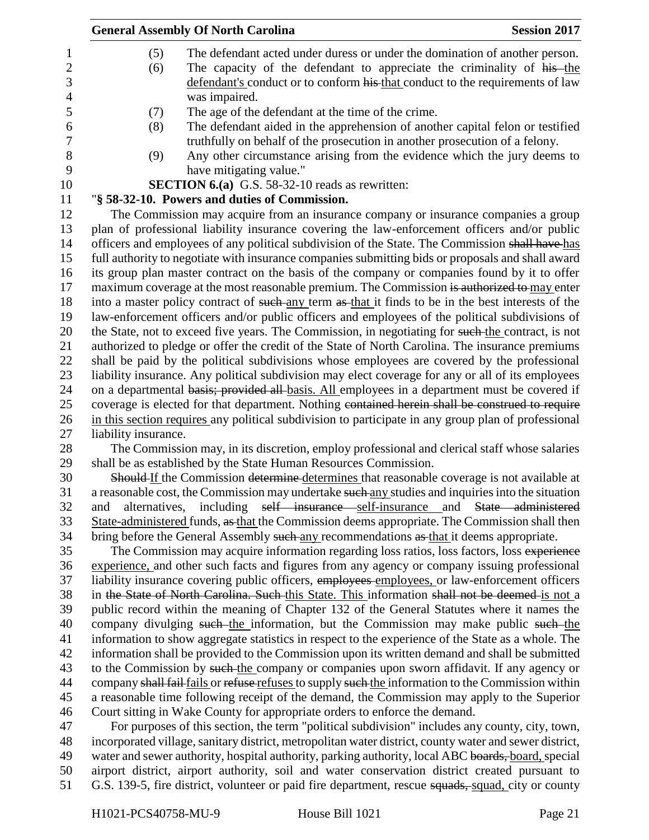| <b>General Assembly Of North Carolina</b>                                                              | <b>Session 2017</b>                                                                                                                                                                                                                                                                                                                                                                                                                                                                                                                                                                                                                                                                                                                                                                                                                                                                                                                                                                                                                                                                                                                                                                                                                                                                                                                                                                                                                                                                                                                                                                                                                                                                                                                                                                                                                                                                                                                                                                                                                                                                                                                                                                                                                                                                                                                                                                                                                                                                                                                                                                                                                                                                                                                                                                                                                                                                                                                                                                                                                                                                                                                                                                                                                                                                                                                                                                                                                                                                                                                                                                                                                                                                                                                                                                                                                                                                                                                                                                                                                                          |
|--------------------------------------------------------------------------------------------------------|--------------------------------------------------------------------------------------------------------------------------------------------------------------------------------------------------------------------------------------------------------------------------------------------------------------------------------------------------------------------------------------------------------------------------------------------------------------------------------------------------------------------------------------------------------------------------------------------------------------------------------------------------------------------------------------------------------------------------------------------------------------------------------------------------------------------------------------------------------------------------------------------------------------------------------------------------------------------------------------------------------------------------------------------------------------------------------------------------------------------------------------------------------------------------------------------------------------------------------------------------------------------------------------------------------------------------------------------------------------------------------------------------------------------------------------------------------------------------------------------------------------------------------------------------------------------------------------------------------------------------------------------------------------------------------------------------------------------------------------------------------------------------------------------------------------------------------------------------------------------------------------------------------------------------------------------------------------------------------------------------------------------------------------------------------------------------------------------------------------------------------------------------------------------------------------------------------------------------------------------------------------------------------------------------------------------------------------------------------------------------------------------------------------------------------------------------------------------------------------------------------------------------------------------------------------------------------------------------------------------------------------------------------------------------------------------------------------------------------------------------------------------------------------------------------------------------------------------------------------------------------------------------------------------------------------------------------------------------------------------------------------------------------------------------------------------------------------------------------------------------------------------------------------------------------------------------------------------------------------------------------------------------------------------------------------------------------------------------------------------------------------------------------------------------------------------------------------------------------------------------------------------------------------------------------------------------------------------------------------------------------------------------------------------------------------------------------------------------------------------------------------------------------------------------------------------------------------------------------------------------------------------------------------------------------------------------------------------------------------------------------------------------------------------------------------|
|                                                                                                        |                                                                                                                                                                                                                                                                                                                                                                                                                                                                                                                                                                                                                                                                                                                                                                                                                                                                                                                                                                                                                                                                                                                                                                                                                                                                                                                                                                                                                                                                                                                                                                                                                                                                                                                                                                                                                                                                                                                                                                                                                                                                                                                                                                                                                                                                                                                                                                                                                                                                                                                                                                                                                                                                                                                                                                                                                                                                                                                                                                                                                                                                                                                                                                                                                                                                                                                                                                                                                                                                                                                                                                                                                                                                                                                                                                                                                                                                                                                                                                                                                                                              |
|                                                                                                        |                                                                                                                                                                                                                                                                                                                                                                                                                                                                                                                                                                                                                                                                                                                                                                                                                                                                                                                                                                                                                                                                                                                                                                                                                                                                                                                                                                                                                                                                                                                                                                                                                                                                                                                                                                                                                                                                                                                                                                                                                                                                                                                                                                                                                                                                                                                                                                                                                                                                                                                                                                                                                                                                                                                                                                                                                                                                                                                                                                                                                                                                                                                                                                                                                                                                                                                                                                                                                                                                                                                                                                                                                                                                                                                                                                                                                                                                                                                                                                                                                                                              |
|                                                                                                        |                                                                                                                                                                                                                                                                                                                                                                                                                                                                                                                                                                                                                                                                                                                                                                                                                                                                                                                                                                                                                                                                                                                                                                                                                                                                                                                                                                                                                                                                                                                                                                                                                                                                                                                                                                                                                                                                                                                                                                                                                                                                                                                                                                                                                                                                                                                                                                                                                                                                                                                                                                                                                                                                                                                                                                                                                                                                                                                                                                                                                                                                                                                                                                                                                                                                                                                                                                                                                                                                                                                                                                                                                                                                                                                                                                                                                                                                                                                                                                                                                                                              |
|                                                                                                        |                                                                                                                                                                                                                                                                                                                                                                                                                                                                                                                                                                                                                                                                                                                                                                                                                                                                                                                                                                                                                                                                                                                                                                                                                                                                                                                                                                                                                                                                                                                                                                                                                                                                                                                                                                                                                                                                                                                                                                                                                                                                                                                                                                                                                                                                                                                                                                                                                                                                                                                                                                                                                                                                                                                                                                                                                                                                                                                                                                                                                                                                                                                                                                                                                                                                                                                                                                                                                                                                                                                                                                                                                                                                                                                                                                                                                                                                                                                                                                                                                                                              |
|                                                                                                        |                                                                                                                                                                                                                                                                                                                                                                                                                                                                                                                                                                                                                                                                                                                                                                                                                                                                                                                                                                                                                                                                                                                                                                                                                                                                                                                                                                                                                                                                                                                                                                                                                                                                                                                                                                                                                                                                                                                                                                                                                                                                                                                                                                                                                                                                                                                                                                                                                                                                                                                                                                                                                                                                                                                                                                                                                                                                                                                                                                                                                                                                                                                                                                                                                                                                                                                                                                                                                                                                                                                                                                                                                                                                                                                                                                                                                                                                                                                                                                                                                                                              |
|                                                                                                        |                                                                                                                                                                                                                                                                                                                                                                                                                                                                                                                                                                                                                                                                                                                                                                                                                                                                                                                                                                                                                                                                                                                                                                                                                                                                                                                                                                                                                                                                                                                                                                                                                                                                                                                                                                                                                                                                                                                                                                                                                                                                                                                                                                                                                                                                                                                                                                                                                                                                                                                                                                                                                                                                                                                                                                                                                                                                                                                                                                                                                                                                                                                                                                                                                                                                                                                                                                                                                                                                                                                                                                                                                                                                                                                                                                                                                                                                                                                                                                                                                                                              |
|                                                                                                        |                                                                                                                                                                                                                                                                                                                                                                                                                                                                                                                                                                                                                                                                                                                                                                                                                                                                                                                                                                                                                                                                                                                                                                                                                                                                                                                                                                                                                                                                                                                                                                                                                                                                                                                                                                                                                                                                                                                                                                                                                                                                                                                                                                                                                                                                                                                                                                                                                                                                                                                                                                                                                                                                                                                                                                                                                                                                                                                                                                                                                                                                                                                                                                                                                                                                                                                                                                                                                                                                                                                                                                                                                                                                                                                                                                                                                                                                                                                                                                                                                                                              |
|                                                                                                        |                                                                                                                                                                                                                                                                                                                                                                                                                                                                                                                                                                                                                                                                                                                                                                                                                                                                                                                                                                                                                                                                                                                                                                                                                                                                                                                                                                                                                                                                                                                                                                                                                                                                                                                                                                                                                                                                                                                                                                                                                                                                                                                                                                                                                                                                                                                                                                                                                                                                                                                                                                                                                                                                                                                                                                                                                                                                                                                                                                                                                                                                                                                                                                                                                                                                                                                                                                                                                                                                                                                                                                                                                                                                                                                                                                                                                                                                                                                                                                                                                                                              |
| have mitigating value."                                                                                |                                                                                                                                                                                                                                                                                                                                                                                                                                                                                                                                                                                                                                                                                                                                                                                                                                                                                                                                                                                                                                                                                                                                                                                                                                                                                                                                                                                                                                                                                                                                                                                                                                                                                                                                                                                                                                                                                                                                                                                                                                                                                                                                                                                                                                                                                                                                                                                                                                                                                                                                                                                                                                                                                                                                                                                                                                                                                                                                                                                                                                                                                                                                                                                                                                                                                                                                                                                                                                                                                                                                                                                                                                                                                                                                                                                                                                                                                                                                                                                                                                                              |
|                                                                                                        |                                                                                                                                                                                                                                                                                                                                                                                                                                                                                                                                                                                                                                                                                                                                                                                                                                                                                                                                                                                                                                                                                                                                                                                                                                                                                                                                                                                                                                                                                                                                                                                                                                                                                                                                                                                                                                                                                                                                                                                                                                                                                                                                                                                                                                                                                                                                                                                                                                                                                                                                                                                                                                                                                                                                                                                                                                                                                                                                                                                                                                                                                                                                                                                                                                                                                                                                                                                                                                                                                                                                                                                                                                                                                                                                                                                                                                                                                                                                                                                                                                                              |
|                                                                                                        |                                                                                                                                                                                                                                                                                                                                                                                                                                                                                                                                                                                                                                                                                                                                                                                                                                                                                                                                                                                                                                                                                                                                                                                                                                                                                                                                                                                                                                                                                                                                                                                                                                                                                                                                                                                                                                                                                                                                                                                                                                                                                                                                                                                                                                                                                                                                                                                                                                                                                                                                                                                                                                                                                                                                                                                                                                                                                                                                                                                                                                                                                                                                                                                                                                                                                                                                                                                                                                                                                                                                                                                                                                                                                                                                                                                                                                                                                                                                                                                                                                                              |
|                                                                                                        |                                                                                                                                                                                                                                                                                                                                                                                                                                                                                                                                                                                                                                                                                                                                                                                                                                                                                                                                                                                                                                                                                                                                                                                                                                                                                                                                                                                                                                                                                                                                                                                                                                                                                                                                                                                                                                                                                                                                                                                                                                                                                                                                                                                                                                                                                                                                                                                                                                                                                                                                                                                                                                                                                                                                                                                                                                                                                                                                                                                                                                                                                                                                                                                                                                                                                                                                                                                                                                                                                                                                                                                                                                                                                                                                                                                                                                                                                                                                                                                                                                                              |
|                                                                                                        |                                                                                                                                                                                                                                                                                                                                                                                                                                                                                                                                                                                                                                                                                                                                                                                                                                                                                                                                                                                                                                                                                                                                                                                                                                                                                                                                                                                                                                                                                                                                                                                                                                                                                                                                                                                                                                                                                                                                                                                                                                                                                                                                                                                                                                                                                                                                                                                                                                                                                                                                                                                                                                                                                                                                                                                                                                                                                                                                                                                                                                                                                                                                                                                                                                                                                                                                                                                                                                                                                                                                                                                                                                                                                                                                                                                                                                                                                                                                                                                                                                                              |
|                                                                                                        |                                                                                                                                                                                                                                                                                                                                                                                                                                                                                                                                                                                                                                                                                                                                                                                                                                                                                                                                                                                                                                                                                                                                                                                                                                                                                                                                                                                                                                                                                                                                                                                                                                                                                                                                                                                                                                                                                                                                                                                                                                                                                                                                                                                                                                                                                                                                                                                                                                                                                                                                                                                                                                                                                                                                                                                                                                                                                                                                                                                                                                                                                                                                                                                                                                                                                                                                                                                                                                                                                                                                                                                                                                                                                                                                                                                                                                                                                                                                                                                                                                                              |
|                                                                                                        |                                                                                                                                                                                                                                                                                                                                                                                                                                                                                                                                                                                                                                                                                                                                                                                                                                                                                                                                                                                                                                                                                                                                                                                                                                                                                                                                                                                                                                                                                                                                                                                                                                                                                                                                                                                                                                                                                                                                                                                                                                                                                                                                                                                                                                                                                                                                                                                                                                                                                                                                                                                                                                                                                                                                                                                                                                                                                                                                                                                                                                                                                                                                                                                                                                                                                                                                                                                                                                                                                                                                                                                                                                                                                                                                                                                                                                                                                                                                                                                                                                                              |
|                                                                                                        |                                                                                                                                                                                                                                                                                                                                                                                                                                                                                                                                                                                                                                                                                                                                                                                                                                                                                                                                                                                                                                                                                                                                                                                                                                                                                                                                                                                                                                                                                                                                                                                                                                                                                                                                                                                                                                                                                                                                                                                                                                                                                                                                                                                                                                                                                                                                                                                                                                                                                                                                                                                                                                                                                                                                                                                                                                                                                                                                                                                                                                                                                                                                                                                                                                                                                                                                                                                                                                                                                                                                                                                                                                                                                                                                                                                                                                                                                                                                                                                                                                                              |
|                                                                                                        |                                                                                                                                                                                                                                                                                                                                                                                                                                                                                                                                                                                                                                                                                                                                                                                                                                                                                                                                                                                                                                                                                                                                                                                                                                                                                                                                                                                                                                                                                                                                                                                                                                                                                                                                                                                                                                                                                                                                                                                                                                                                                                                                                                                                                                                                                                                                                                                                                                                                                                                                                                                                                                                                                                                                                                                                                                                                                                                                                                                                                                                                                                                                                                                                                                                                                                                                                                                                                                                                                                                                                                                                                                                                                                                                                                                                                                                                                                                                                                                                                                                              |
|                                                                                                        |                                                                                                                                                                                                                                                                                                                                                                                                                                                                                                                                                                                                                                                                                                                                                                                                                                                                                                                                                                                                                                                                                                                                                                                                                                                                                                                                                                                                                                                                                                                                                                                                                                                                                                                                                                                                                                                                                                                                                                                                                                                                                                                                                                                                                                                                                                                                                                                                                                                                                                                                                                                                                                                                                                                                                                                                                                                                                                                                                                                                                                                                                                                                                                                                                                                                                                                                                                                                                                                                                                                                                                                                                                                                                                                                                                                                                                                                                                                                                                                                                                                              |
|                                                                                                        |                                                                                                                                                                                                                                                                                                                                                                                                                                                                                                                                                                                                                                                                                                                                                                                                                                                                                                                                                                                                                                                                                                                                                                                                                                                                                                                                                                                                                                                                                                                                                                                                                                                                                                                                                                                                                                                                                                                                                                                                                                                                                                                                                                                                                                                                                                                                                                                                                                                                                                                                                                                                                                                                                                                                                                                                                                                                                                                                                                                                                                                                                                                                                                                                                                                                                                                                                                                                                                                                                                                                                                                                                                                                                                                                                                                                                                                                                                                                                                                                                                                              |
|                                                                                                        |                                                                                                                                                                                                                                                                                                                                                                                                                                                                                                                                                                                                                                                                                                                                                                                                                                                                                                                                                                                                                                                                                                                                                                                                                                                                                                                                                                                                                                                                                                                                                                                                                                                                                                                                                                                                                                                                                                                                                                                                                                                                                                                                                                                                                                                                                                                                                                                                                                                                                                                                                                                                                                                                                                                                                                                                                                                                                                                                                                                                                                                                                                                                                                                                                                                                                                                                                                                                                                                                                                                                                                                                                                                                                                                                                                                                                                                                                                                                                                                                                                                              |
|                                                                                                        |                                                                                                                                                                                                                                                                                                                                                                                                                                                                                                                                                                                                                                                                                                                                                                                                                                                                                                                                                                                                                                                                                                                                                                                                                                                                                                                                                                                                                                                                                                                                                                                                                                                                                                                                                                                                                                                                                                                                                                                                                                                                                                                                                                                                                                                                                                                                                                                                                                                                                                                                                                                                                                                                                                                                                                                                                                                                                                                                                                                                                                                                                                                                                                                                                                                                                                                                                                                                                                                                                                                                                                                                                                                                                                                                                                                                                                                                                                                                                                                                                                                              |
|                                                                                                        |                                                                                                                                                                                                                                                                                                                                                                                                                                                                                                                                                                                                                                                                                                                                                                                                                                                                                                                                                                                                                                                                                                                                                                                                                                                                                                                                                                                                                                                                                                                                                                                                                                                                                                                                                                                                                                                                                                                                                                                                                                                                                                                                                                                                                                                                                                                                                                                                                                                                                                                                                                                                                                                                                                                                                                                                                                                                                                                                                                                                                                                                                                                                                                                                                                                                                                                                                                                                                                                                                                                                                                                                                                                                                                                                                                                                                                                                                                                                                                                                                                                              |
|                                                                                                        |                                                                                                                                                                                                                                                                                                                                                                                                                                                                                                                                                                                                                                                                                                                                                                                                                                                                                                                                                                                                                                                                                                                                                                                                                                                                                                                                                                                                                                                                                                                                                                                                                                                                                                                                                                                                                                                                                                                                                                                                                                                                                                                                                                                                                                                                                                                                                                                                                                                                                                                                                                                                                                                                                                                                                                                                                                                                                                                                                                                                                                                                                                                                                                                                                                                                                                                                                                                                                                                                                                                                                                                                                                                                                                                                                                                                                                                                                                                                                                                                                                                              |
|                                                                                                        |                                                                                                                                                                                                                                                                                                                                                                                                                                                                                                                                                                                                                                                                                                                                                                                                                                                                                                                                                                                                                                                                                                                                                                                                                                                                                                                                                                                                                                                                                                                                                                                                                                                                                                                                                                                                                                                                                                                                                                                                                                                                                                                                                                                                                                                                                                                                                                                                                                                                                                                                                                                                                                                                                                                                                                                                                                                                                                                                                                                                                                                                                                                                                                                                                                                                                                                                                                                                                                                                                                                                                                                                                                                                                                                                                                                                                                                                                                                                                                                                                                                              |
|                                                                                                        |                                                                                                                                                                                                                                                                                                                                                                                                                                                                                                                                                                                                                                                                                                                                                                                                                                                                                                                                                                                                                                                                                                                                                                                                                                                                                                                                                                                                                                                                                                                                                                                                                                                                                                                                                                                                                                                                                                                                                                                                                                                                                                                                                                                                                                                                                                                                                                                                                                                                                                                                                                                                                                                                                                                                                                                                                                                                                                                                                                                                                                                                                                                                                                                                                                                                                                                                                                                                                                                                                                                                                                                                                                                                                                                                                                                                                                                                                                                                                                                                                                                              |
|                                                                                                        |                                                                                                                                                                                                                                                                                                                                                                                                                                                                                                                                                                                                                                                                                                                                                                                                                                                                                                                                                                                                                                                                                                                                                                                                                                                                                                                                                                                                                                                                                                                                                                                                                                                                                                                                                                                                                                                                                                                                                                                                                                                                                                                                                                                                                                                                                                                                                                                                                                                                                                                                                                                                                                                                                                                                                                                                                                                                                                                                                                                                                                                                                                                                                                                                                                                                                                                                                                                                                                                                                                                                                                                                                                                                                                                                                                                                                                                                                                                                                                                                                                                              |
|                                                                                                        |                                                                                                                                                                                                                                                                                                                                                                                                                                                                                                                                                                                                                                                                                                                                                                                                                                                                                                                                                                                                                                                                                                                                                                                                                                                                                                                                                                                                                                                                                                                                                                                                                                                                                                                                                                                                                                                                                                                                                                                                                                                                                                                                                                                                                                                                                                                                                                                                                                                                                                                                                                                                                                                                                                                                                                                                                                                                                                                                                                                                                                                                                                                                                                                                                                                                                                                                                                                                                                                                                                                                                                                                                                                                                                                                                                                                                                                                                                                                                                                                                                                              |
|                                                                                                        |                                                                                                                                                                                                                                                                                                                                                                                                                                                                                                                                                                                                                                                                                                                                                                                                                                                                                                                                                                                                                                                                                                                                                                                                                                                                                                                                                                                                                                                                                                                                                                                                                                                                                                                                                                                                                                                                                                                                                                                                                                                                                                                                                                                                                                                                                                                                                                                                                                                                                                                                                                                                                                                                                                                                                                                                                                                                                                                                                                                                                                                                                                                                                                                                                                                                                                                                                                                                                                                                                                                                                                                                                                                                                                                                                                                                                                                                                                                                                                                                                                                              |
|                                                                                                        |                                                                                                                                                                                                                                                                                                                                                                                                                                                                                                                                                                                                                                                                                                                                                                                                                                                                                                                                                                                                                                                                                                                                                                                                                                                                                                                                                                                                                                                                                                                                                                                                                                                                                                                                                                                                                                                                                                                                                                                                                                                                                                                                                                                                                                                                                                                                                                                                                                                                                                                                                                                                                                                                                                                                                                                                                                                                                                                                                                                                                                                                                                                                                                                                                                                                                                                                                                                                                                                                                                                                                                                                                                                                                                                                                                                                                                                                                                                                                                                                                                                              |
|                                                                                                        |                                                                                                                                                                                                                                                                                                                                                                                                                                                                                                                                                                                                                                                                                                                                                                                                                                                                                                                                                                                                                                                                                                                                                                                                                                                                                                                                                                                                                                                                                                                                                                                                                                                                                                                                                                                                                                                                                                                                                                                                                                                                                                                                                                                                                                                                                                                                                                                                                                                                                                                                                                                                                                                                                                                                                                                                                                                                                                                                                                                                                                                                                                                                                                                                                                                                                                                                                                                                                                                                                                                                                                                                                                                                                                                                                                                                                                                                                                                                                                                                                                                              |
|                                                                                                        |                                                                                                                                                                                                                                                                                                                                                                                                                                                                                                                                                                                                                                                                                                                                                                                                                                                                                                                                                                                                                                                                                                                                                                                                                                                                                                                                                                                                                                                                                                                                                                                                                                                                                                                                                                                                                                                                                                                                                                                                                                                                                                                                                                                                                                                                                                                                                                                                                                                                                                                                                                                                                                                                                                                                                                                                                                                                                                                                                                                                                                                                                                                                                                                                                                                                                                                                                                                                                                                                                                                                                                                                                                                                                                                                                                                                                                                                                                                                                                                                                                                              |
|                                                                                                        |                                                                                                                                                                                                                                                                                                                                                                                                                                                                                                                                                                                                                                                                                                                                                                                                                                                                                                                                                                                                                                                                                                                                                                                                                                                                                                                                                                                                                                                                                                                                                                                                                                                                                                                                                                                                                                                                                                                                                                                                                                                                                                                                                                                                                                                                                                                                                                                                                                                                                                                                                                                                                                                                                                                                                                                                                                                                                                                                                                                                                                                                                                                                                                                                                                                                                                                                                                                                                                                                                                                                                                                                                                                                                                                                                                                                                                                                                                                                                                                                                                                              |
|                                                                                                        |                                                                                                                                                                                                                                                                                                                                                                                                                                                                                                                                                                                                                                                                                                                                                                                                                                                                                                                                                                                                                                                                                                                                                                                                                                                                                                                                                                                                                                                                                                                                                                                                                                                                                                                                                                                                                                                                                                                                                                                                                                                                                                                                                                                                                                                                                                                                                                                                                                                                                                                                                                                                                                                                                                                                                                                                                                                                                                                                                                                                                                                                                                                                                                                                                                                                                                                                                                                                                                                                                                                                                                                                                                                                                                                                                                                                                                                                                                                                                                                                                                                              |
|                                                                                                        |                                                                                                                                                                                                                                                                                                                                                                                                                                                                                                                                                                                                                                                                                                                                                                                                                                                                                                                                                                                                                                                                                                                                                                                                                                                                                                                                                                                                                                                                                                                                                                                                                                                                                                                                                                                                                                                                                                                                                                                                                                                                                                                                                                                                                                                                                                                                                                                                                                                                                                                                                                                                                                                                                                                                                                                                                                                                                                                                                                                                                                                                                                                                                                                                                                                                                                                                                                                                                                                                                                                                                                                                                                                                                                                                                                                                                                                                                                                                                                                                                                                              |
|                                                                                                        |                                                                                                                                                                                                                                                                                                                                                                                                                                                                                                                                                                                                                                                                                                                                                                                                                                                                                                                                                                                                                                                                                                                                                                                                                                                                                                                                                                                                                                                                                                                                                                                                                                                                                                                                                                                                                                                                                                                                                                                                                                                                                                                                                                                                                                                                                                                                                                                                                                                                                                                                                                                                                                                                                                                                                                                                                                                                                                                                                                                                                                                                                                                                                                                                                                                                                                                                                                                                                                                                                                                                                                                                                                                                                                                                                                                                                                                                                                                                                                                                                                                              |
|                                                                                                        |                                                                                                                                                                                                                                                                                                                                                                                                                                                                                                                                                                                                                                                                                                                                                                                                                                                                                                                                                                                                                                                                                                                                                                                                                                                                                                                                                                                                                                                                                                                                                                                                                                                                                                                                                                                                                                                                                                                                                                                                                                                                                                                                                                                                                                                                                                                                                                                                                                                                                                                                                                                                                                                                                                                                                                                                                                                                                                                                                                                                                                                                                                                                                                                                                                                                                                                                                                                                                                                                                                                                                                                                                                                                                                                                                                                                                                                                                                                                                                                                                                                              |
|                                                                                                        |                                                                                                                                                                                                                                                                                                                                                                                                                                                                                                                                                                                                                                                                                                                                                                                                                                                                                                                                                                                                                                                                                                                                                                                                                                                                                                                                                                                                                                                                                                                                                                                                                                                                                                                                                                                                                                                                                                                                                                                                                                                                                                                                                                                                                                                                                                                                                                                                                                                                                                                                                                                                                                                                                                                                                                                                                                                                                                                                                                                                                                                                                                                                                                                                                                                                                                                                                                                                                                                                                                                                                                                                                                                                                                                                                                                                                                                                                                                                                                                                                                                              |
|                                                                                                        |                                                                                                                                                                                                                                                                                                                                                                                                                                                                                                                                                                                                                                                                                                                                                                                                                                                                                                                                                                                                                                                                                                                                                                                                                                                                                                                                                                                                                                                                                                                                                                                                                                                                                                                                                                                                                                                                                                                                                                                                                                                                                                                                                                                                                                                                                                                                                                                                                                                                                                                                                                                                                                                                                                                                                                                                                                                                                                                                                                                                                                                                                                                                                                                                                                                                                                                                                                                                                                                                                                                                                                                                                                                                                                                                                                                                                                                                                                                                                                                                                                                              |
|                                                                                                        |                                                                                                                                                                                                                                                                                                                                                                                                                                                                                                                                                                                                                                                                                                                                                                                                                                                                                                                                                                                                                                                                                                                                                                                                                                                                                                                                                                                                                                                                                                                                                                                                                                                                                                                                                                                                                                                                                                                                                                                                                                                                                                                                                                                                                                                                                                                                                                                                                                                                                                                                                                                                                                                                                                                                                                                                                                                                                                                                                                                                                                                                                                                                                                                                                                                                                                                                                                                                                                                                                                                                                                                                                                                                                                                                                                                                                                                                                                                                                                                                                                                              |
|                                                                                                        |                                                                                                                                                                                                                                                                                                                                                                                                                                                                                                                                                                                                                                                                                                                                                                                                                                                                                                                                                                                                                                                                                                                                                                                                                                                                                                                                                                                                                                                                                                                                                                                                                                                                                                                                                                                                                                                                                                                                                                                                                                                                                                                                                                                                                                                                                                                                                                                                                                                                                                                                                                                                                                                                                                                                                                                                                                                                                                                                                                                                                                                                                                                                                                                                                                                                                                                                                                                                                                                                                                                                                                                                                                                                                                                                                                                                                                                                                                                                                                                                                                                              |
|                                                                                                        |                                                                                                                                                                                                                                                                                                                                                                                                                                                                                                                                                                                                                                                                                                                                                                                                                                                                                                                                                                                                                                                                                                                                                                                                                                                                                                                                                                                                                                                                                                                                                                                                                                                                                                                                                                                                                                                                                                                                                                                                                                                                                                                                                                                                                                                                                                                                                                                                                                                                                                                                                                                                                                                                                                                                                                                                                                                                                                                                                                                                                                                                                                                                                                                                                                                                                                                                                                                                                                                                                                                                                                                                                                                                                                                                                                                                                                                                                                                                                                                                                                                              |
|                                                                                                        |                                                                                                                                                                                                                                                                                                                                                                                                                                                                                                                                                                                                                                                                                                                                                                                                                                                                                                                                                                                                                                                                                                                                                                                                                                                                                                                                                                                                                                                                                                                                                                                                                                                                                                                                                                                                                                                                                                                                                                                                                                                                                                                                                                                                                                                                                                                                                                                                                                                                                                                                                                                                                                                                                                                                                                                                                                                                                                                                                                                                                                                                                                                                                                                                                                                                                                                                                                                                                                                                                                                                                                                                                                                                                                                                                                                                                                                                                                                                                                                                                                                              |
|                                                                                                        |                                                                                                                                                                                                                                                                                                                                                                                                                                                                                                                                                                                                                                                                                                                                                                                                                                                                                                                                                                                                                                                                                                                                                                                                                                                                                                                                                                                                                                                                                                                                                                                                                                                                                                                                                                                                                                                                                                                                                                                                                                                                                                                                                                                                                                                                                                                                                                                                                                                                                                                                                                                                                                                                                                                                                                                                                                                                                                                                                                                                                                                                                                                                                                                                                                                                                                                                                                                                                                                                                                                                                                                                                                                                                                                                                                                                                                                                                                                                                                                                                                                              |
|                                                                                                        |                                                                                                                                                                                                                                                                                                                                                                                                                                                                                                                                                                                                                                                                                                                                                                                                                                                                                                                                                                                                                                                                                                                                                                                                                                                                                                                                                                                                                                                                                                                                                                                                                                                                                                                                                                                                                                                                                                                                                                                                                                                                                                                                                                                                                                                                                                                                                                                                                                                                                                                                                                                                                                                                                                                                                                                                                                                                                                                                                                                                                                                                                                                                                                                                                                                                                                                                                                                                                                                                                                                                                                                                                                                                                                                                                                                                                                                                                                                                                                                                                                                              |
|                                                                                                        |                                                                                                                                                                                                                                                                                                                                                                                                                                                                                                                                                                                                                                                                                                                                                                                                                                                                                                                                                                                                                                                                                                                                                                                                                                                                                                                                                                                                                                                                                                                                                                                                                                                                                                                                                                                                                                                                                                                                                                                                                                                                                                                                                                                                                                                                                                                                                                                                                                                                                                                                                                                                                                                                                                                                                                                                                                                                                                                                                                                                                                                                                                                                                                                                                                                                                                                                                                                                                                                                                                                                                                                                                                                                                                                                                                                                                                                                                                                                                                                                                                                              |
|                                                                                                        |                                                                                                                                                                                                                                                                                                                                                                                                                                                                                                                                                                                                                                                                                                                                                                                                                                                                                                                                                                                                                                                                                                                                                                                                                                                                                                                                                                                                                                                                                                                                                                                                                                                                                                                                                                                                                                                                                                                                                                                                                                                                                                                                                                                                                                                                                                                                                                                                                                                                                                                                                                                                                                                                                                                                                                                                                                                                                                                                                                                                                                                                                                                                                                                                                                                                                                                                                                                                                                                                                                                                                                                                                                                                                                                                                                                                                                                                                                                                                                                                                                                              |
|                                                                                                        | For purposes of this section, the term "political subdivision" includes any county, city, town,                                                                                                                                                                                                                                                                                                                                                                                                                                                                                                                                                                                                                                                                                                                                                                                                                                                                                                                                                                                                                                                                                                                                                                                                                                                                                                                                                                                                                                                                                                                                                                                                                                                                                                                                                                                                                                                                                                                                                                                                                                                                                                                                                                                                                                                                                                                                                                                                                                                                                                                                                                                                                                                                                                                                                                                                                                                                                                                                                                                                                                                                                                                                                                                                                                                                                                                                                                                                                                                                                                                                                                                                                                                                                                                                                                                                                                                                                                                                                              |
|                                                                                                        |                                                                                                                                                                                                                                                                                                                                                                                                                                                                                                                                                                                                                                                                                                                                                                                                                                                                                                                                                                                                                                                                                                                                                                                                                                                                                                                                                                                                                                                                                                                                                                                                                                                                                                                                                                                                                                                                                                                                                                                                                                                                                                                                                                                                                                                                                                                                                                                                                                                                                                                                                                                                                                                                                                                                                                                                                                                                                                                                                                                                                                                                                                                                                                                                                                                                                                                                                                                                                                                                                                                                                                                                                                                                                                                                                                                                                                                                                                                                                                                                                                                              |
| incorporated village, sanitary district, metropolitan water district, county water and sewer district, |                                                                                                                                                                                                                                                                                                                                                                                                                                                                                                                                                                                                                                                                                                                                                                                                                                                                                                                                                                                                                                                                                                                                                                                                                                                                                                                                                                                                                                                                                                                                                                                                                                                                                                                                                                                                                                                                                                                                                                                                                                                                                                                                                                                                                                                                                                                                                                                                                                                                                                                                                                                                                                                                                                                                                                                                                                                                                                                                                                                                                                                                                                                                                                                                                                                                                                                                                                                                                                                                                                                                                                                                                                                                                                                                                                                                                                                                                                                                                                                                                                                              |
|                                                                                                        | The defendant acted under duress or under the domination of another person.<br>The capacity of the defendant to appreciate the criminality of his-the<br>defendant's conduct or to conform his that conduct to the requirements of law<br>was impaired.<br>The age of the defendant at the time of the crime.<br>The defendant aided in the apprehension of another capital felon or testified<br>truthfully on behalf of the prosecution in another prosecution of a felony.<br>Any other circumstance arising from the evidence which the jury deems to<br><b>SECTION 6.(a)</b> G.S. 58-32-10 reads as rewritten:<br>"§ 58-32-10. Powers and duties of Commission.<br>The Commission may acquire from an insurance company or insurance companies a group<br>plan of professional liability insurance covering the law-enforcement officers and/or public<br>officers and employees of any political subdivision of the State. The Commission shall have has<br>full authority to negotiate with insurance companies submitting bids or proposals and shall award<br>its group plan master contract on the basis of the company or companies found by it to offer<br>maximum coverage at the most reasonable premium. The Commission is authorized to may enter<br>into a master policy contract of such any term as that it finds to be in the best interests of the<br>law-enforcement officers and/or public officers and employees of the political subdivisions of<br>the State, not to exceed five years. The Commission, in negotiating for such the contract, is not<br>authorized to pledge or offer the credit of the State of North Carolina. The insurance premiums<br>shall be paid by the political subdivisions whose employees are covered by the professional<br>liability insurance. Any political subdivision may elect coverage for any or all of its employees<br>on a departmental basis; provided all basis. All employees in a department must be covered if<br>coverage is elected for that department. Nothing contained herein shall be construed to require<br>in this section requires any political subdivision to participate in any group plan of professional<br>liability insurance.<br>The Commission may, in its discretion, employ professional and clerical staff whose salaries<br>shall be as established by the State Human Resources Commission.<br>Should If the Commission determine determines that reasonable coverage is not available at<br>a reasonable cost, the Commission may undertake such any studies and inquiries into the situation<br>alternatives, including self insurance self-insurance and State administered<br>State-administered funds, as that the Commission deems appropriate. The Commission shall then<br>bring before the General Assembly such any recommendations as that it deems appropriate.<br>The Commission may acquire information regarding loss ratios, loss factors, loss experience<br>experience, and other such facts and figures from any agency or company issuing professional<br>liability insurance covering public officers, employees employees, or law-enforcement officers<br>in the State of North Carolina. Such this State. This information shall not be deemed is not a<br>public record within the meaning of Chapter 132 of the General Statutes where it names the<br>company divulging such the information, but the Commission may make public such the<br>information to show aggregate statistics in respect to the experience of the State as a whole. The<br>information shall be provided to the Commission upon its written demand and shall be submitted<br>to the Commission by such the company or companies upon sworn affidavit. If any agency or<br>company shall fail fails or refuse refuses to supply such the information to the Commission within<br>a reasonable time following receipt of the demand, the Commission may apply to the Superior<br>Court sitting in Wake County for appropriate orders to enforce the demand. |

 airport district, airport authority, soil and water conservation district created pursuant to 51 G.S. 139-5, fire district, volunteer or paid fire department, rescue squads, squad, city or county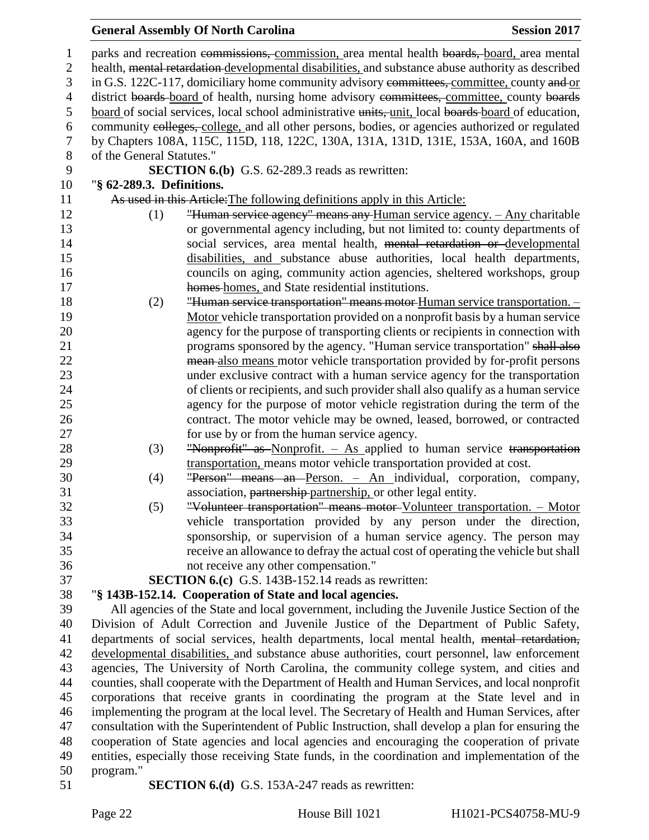| $\mathbf{1}$     | parks and recreation commissions, commission, area mental health boards, board, area mental                                                                                               |  |  |  |
|------------------|-------------------------------------------------------------------------------------------------------------------------------------------------------------------------------------------|--|--|--|
| $\overline{2}$   | health, mental retardation-developmental disabilities, and substance abuse authority as described                                                                                         |  |  |  |
| 3                | in G.S. 122C-117, domiciliary home community advisory committees, committee, county and or                                                                                                |  |  |  |
| $\overline{4}$   | district boards board of health, nursing home advisory committees, committee, county boards                                                                                               |  |  |  |
| 5                | board of social services, local school administrative units, unit, local boards board of education,                                                                                       |  |  |  |
| 6                | community colleges, college, and all other persons, bodies, or agencies authorized or regulated                                                                                           |  |  |  |
| $\boldsymbol{7}$ | by Chapters 108A, 115C, 115D, 118, 122C, 130A, 131A, 131D, 131E, 153A, 160A, and 160B                                                                                                     |  |  |  |
| $8\,$            | of the General Statutes."                                                                                                                                                                 |  |  |  |
| 9                | <b>SECTION 6.(b)</b> G.S. 62-289.3 reads as rewritten:                                                                                                                                    |  |  |  |
| 10               | "§ 62-289.3. Definitions.                                                                                                                                                                 |  |  |  |
| 11               | As used in this Article: The following definitions apply in this Article:                                                                                                                 |  |  |  |
| 12               | "Human service agency" means any Human service agency. - Any charitable<br>(1)                                                                                                            |  |  |  |
| 13               | or governmental agency including, but not limited to: county departments of                                                                                                               |  |  |  |
| 14               | social services, area mental health, mental retardation or developmental                                                                                                                  |  |  |  |
| 15               | disabilities, and substance abuse authorities, local health departments,                                                                                                                  |  |  |  |
| 16               | councils on aging, community action agencies, sheltered workshops, group                                                                                                                  |  |  |  |
| 17               | homes-homes, and State residential institutions.                                                                                                                                          |  |  |  |
| 18               | "Human service transportation" means motor Human service transportation. -<br>(2)                                                                                                         |  |  |  |
| 19               | Motor vehicle transportation provided on a nonprofit basis by a human service                                                                                                             |  |  |  |
| 20               | agency for the purpose of transporting clients or recipients in connection with                                                                                                           |  |  |  |
| 21               | programs sponsored by the agency. "Human service transportation" shall also                                                                                                               |  |  |  |
| 22               | mean-also means motor vehicle transportation provided by for-profit persons                                                                                                               |  |  |  |
| 23               | under exclusive contract with a human service agency for the transportation                                                                                                               |  |  |  |
| 24               | of clients or recipients, and such provider shall also qualify as a human service                                                                                                         |  |  |  |
| 25               | agency for the purpose of motor vehicle registration during the term of the                                                                                                               |  |  |  |
| 26               | contract. The motor vehicle may be owned, leased, borrowed, or contracted                                                                                                                 |  |  |  |
| 27               | for use by or from the human service agency.                                                                                                                                              |  |  |  |
| 28               | "Nonprofit" as Nonprofit. - As applied to human service transportation<br>(3)                                                                                                             |  |  |  |
| 29               | transportation, means motor vehicle transportation provided at cost.                                                                                                                      |  |  |  |
| 30               | "Person" means an Person. - An individual, corporation, company,<br>(4)                                                                                                                   |  |  |  |
| 31               | association, partnership-partnership, or other legal entity.                                                                                                                              |  |  |  |
| 32               | "Volunteer transportation" means motor-Volunteer transportation. - Motor<br>(5)                                                                                                           |  |  |  |
| 33               | vehicle transportation provided by any person under the direction,                                                                                                                        |  |  |  |
| 34               | sponsorship, or supervision of a human service agency. The person may                                                                                                                     |  |  |  |
| 35               | receive an allowance to defray the actual cost of operating the vehicle but shall                                                                                                         |  |  |  |
| 36               | not receive any other compensation."                                                                                                                                                      |  |  |  |
| 37               | <b>SECTION 6.(c)</b> G.S. 143B-152.14 reads as rewritten:                                                                                                                                 |  |  |  |
| 38               | "§ 143B-152.14. Cooperation of State and local agencies.                                                                                                                                  |  |  |  |
| 39               | All agencies of the State and local government, including the Juvenile Justice Section of the                                                                                             |  |  |  |
| 40               | Division of Adult Correction and Juvenile Justice of the Department of Public Safety,                                                                                                     |  |  |  |
| 41               | departments of social services, health departments, local mental health, mental retardation,                                                                                              |  |  |  |
| 42               | developmental disabilities, and substance abuse authorities, court personnel, law enforcement                                                                                             |  |  |  |
| 43               | agencies, The University of North Carolina, the community college system, and cities and                                                                                                  |  |  |  |
| 44<br>45         | counties, shall cooperate with the Department of Health and Human Services, and local nonprofit<br>corporations that receive grants in coordinating the program at the State level and in |  |  |  |
|                  | implementing the program at the local level. The Secretary of Health and Human Services, after                                                                                            |  |  |  |
| 46<br>47         | consultation with the Superintendent of Public Instruction, shall develop a plan for ensuring the                                                                                         |  |  |  |
| 48               |                                                                                                                                                                                           |  |  |  |
| 49               | cooperation of State agencies and local agencies and encouraging the cooperation of private                                                                                               |  |  |  |
| 50               | entities, especially those receiving State funds, in the coordination and implementation of the<br>program."                                                                              |  |  |  |
| 51               | <b>SECTION 6.(d)</b> G.S. 153A-247 reads as rewritten:                                                                                                                                    |  |  |  |
|                  |                                                                                                                                                                                           |  |  |  |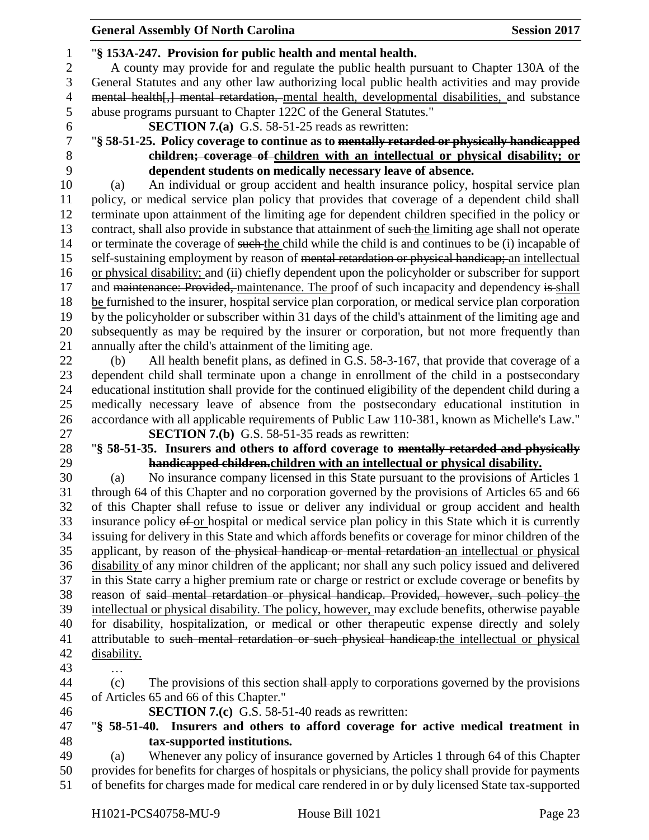#### "**§ 153A-247. Provision for public health and mental health.** A county may provide for and regulate the public health pursuant to Chapter 130A of the General Statutes and any other law authorizing local public health activities and may provide 4 mental health[,] mental retardation, mental health, developmental disabilities, and substance abuse programs pursuant to Chapter 122C of the General Statutes." **SECTION 7.(a)** G.S. 58-51-25 reads as rewritten: "**§ 58-51-25. Policy coverage to continue as to mentally retarded or physically handicapped children; coverage of children with an intellectual or physical disability; or dependent students on medically necessary leave of absence.** (a) An individual or group accident and health insurance policy, hospital service plan policy, or medical service plan policy that provides that coverage of a dependent child shall terminate upon attainment of the limiting age for dependent children specified in the policy or 13 contract, shall also provide in substance that attainment of such the limiting age shall not operate or terminate the coverage of such the child while the child is and continues to be (i) incapable of 15 self-sustaining employment by reason of <del>mental retardation or physical handicap;</del> an intellectual or physical disability; and (ii) chiefly dependent upon the policyholder or subscriber for support 17 and maintenance: Provided, maintenance. The proof of such incapacity and dependency is shall be furnished to the insurer, hospital service plan corporation, or medical service plan corporation by the policyholder or subscriber within 31 days of the child's attainment of the limiting age and subsequently as may be required by the insurer or corporation, but not more frequently than annually after the child's attainment of the limiting age. (b) All health benefit plans, as defined in G.S. 58-3-167, that provide that coverage of a dependent child shall terminate upon a change in enrollment of the child in a postsecondary educational institution shall provide for the continued eligibility of the dependent child during a medically necessary leave of absence from the postsecondary educational institution in accordance with all applicable requirements of Public Law 110-381, known as Michelle's Law." **SECTION 7.(b)** G.S. 58-51-35 reads as rewritten: "**§ 58-51-35. Insurers and others to afford coverage to mentally retarded and physically handicapped children.children with an intellectual or physical disability.** (a) No insurance company licensed in this State pursuant to the provisions of Articles 1 through 64 of this Chapter and no corporation governed by the provisions of Articles 65 and 66 of this Chapter shall refuse to issue or deliver any individual or group accident and health 33 insurance policy of or hospital or medical service plan policy in this State which it is currently issuing for delivery in this State and which affords benefits or coverage for minor children of the 35 applicant, by reason of the physical handicap or mental retardation an intellectual or physical disability of any minor children of the applicant; nor shall any such policy issued and delivered in this State carry a higher premium rate or charge or restrict or exclude coverage or benefits by reason of said mental retardation or physical handicap. Provided, however, such policy the intellectual or physical disability. The policy, however, may exclude benefits, otherwise payable for disability, hospitalization, or medical or other therapeutic expense directly and solely 41 attributable to such mental retardation or such physical handicap.the intellectual or physical disability. … (c) The provisions of this section shall apply to corporations governed by the provisions of Articles 65 and 66 of this Chapter." **SECTION 7.(c)** G.S. 58-51-40 reads as rewritten: "**§ 58-51-40. Insurers and others to afford coverage for active medical treatment in**

**tax-supported institutions.**

 (a) Whenever any policy of insurance governed by Articles 1 through 64 of this Chapter provides for benefits for charges of hospitals or physicians, the policy shall provide for payments of benefits for charges made for medical care rendered in or by duly licensed State tax-supported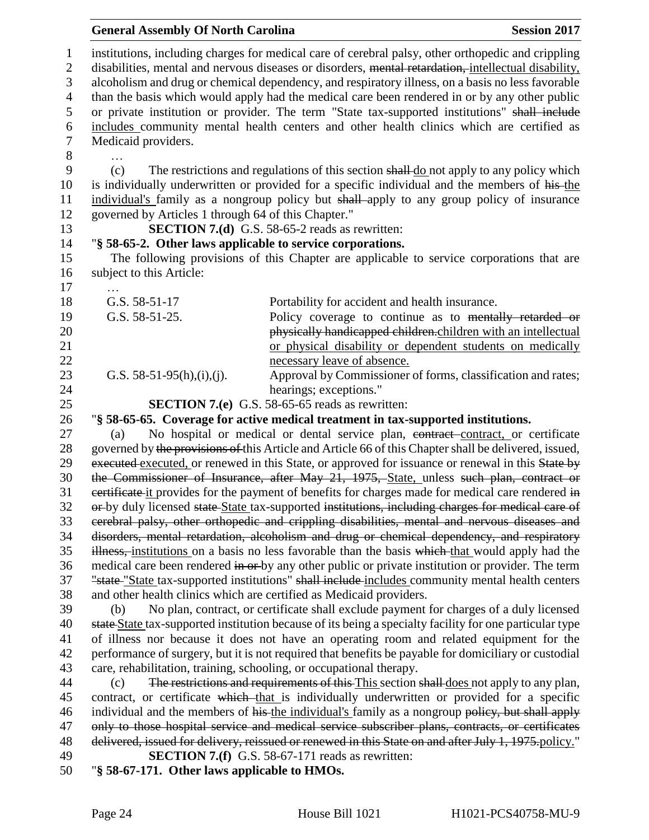|                | <b>General Assembly Of North Carolina</b>                                                            |                                                                                                                                                                                                    | <b>Session 2017</b> |  |
|----------------|------------------------------------------------------------------------------------------------------|----------------------------------------------------------------------------------------------------------------------------------------------------------------------------------------------------|---------------------|--|
| $\mathbf{1}$   |                                                                                                      | institutions, including charges for medical care of cerebral palsy, other orthopedic and crippling                                                                                                 |                     |  |
| $\overline{2}$ | disabilities, mental and nervous diseases or disorders, mental retardation, intellectual disability, |                                                                                                                                                                                                    |                     |  |
| 3              |                                                                                                      | alcoholism and drug or chemical dependency, and respiratory illness, on a basis no less favorable                                                                                                  |                     |  |
| $\overline{4}$ |                                                                                                      | than the basis which would apply had the medical care been rendered in or by any other public                                                                                                      |                     |  |
| 5              |                                                                                                      | or private institution or provider. The term "State tax-supported institutions" shall include                                                                                                      |                     |  |
| 6              |                                                                                                      | includes community mental health centers and other health clinics which are certified as                                                                                                           |                     |  |
| $\tau$         | Medicaid providers.                                                                                  |                                                                                                                                                                                                    |                     |  |
| 8              |                                                                                                      |                                                                                                                                                                                                    |                     |  |
| 9              | (c)                                                                                                  | The restrictions and regulations of this section shall do not apply to any policy which                                                                                                            |                     |  |
| 10             |                                                                                                      | is individually underwritten or provided for a specific individual and the members of his-the                                                                                                      |                     |  |
| 11             |                                                                                                      | individual's family as a nongroup policy but shall apply to any group policy of insurance                                                                                                          |                     |  |
| 12             | governed by Articles 1 through 64 of this Chapter."                                                  |                                                                                                                                                                                                    |                     |  |
| 13             |                                                                                                      | <b>SECTION 7.(d)</b> G.S. 58-65-2 reads as rewritten:                                                                                                                                              |                     |  |
| 14             | "§ 58-65-2. Other laws applicable to service corporations.                                           |                                                                                                                                                                                                    |                     |  |
| 15             |                                                                                                      | The following provisions of this Chapter are applicable to service corporations that are                                                                                                           |                     |  |
| 16             | subject to this Article:                                                                             |                                                                                                                                                                                                    |                     |  |
| 17             |                                                                                                      |                                                                                                                                                                                                    |                     |  |
| 18             | G.S. 58-51-17                                                                                        | Portability for accident and health insurance.                                                                                                                                                     |                     |  |
| 19             | G.S. 58-51-25.                                                                                       | Policy coverage to continue as to mentally retarded or                                                                                                                                             |                     |  |
| 20             |                                                                                                      | physically handicapped children.children with an intellectual                                                                                                                                      |                     |  |
| 21             |                                                                                                      | or physical disability or dependent students on medically                                                                                                                                          |                     |  |
| 22             |                                                                                                      | necessary leave of absence.                                                                                                                                                                        |                     |  |
| 23             | G.S. $58-51-95(h),(i),(j)$ .                                                                         | Approval by Commissioner of forms, classification and rates;<br>hearings; exceptions."                                                                                                             |                     |  |
| 24<br>25       |                                                                                                      | <b>SECTION 7.(e)</b> G.S. 58-65-65 reads as rewritten:                                                                                                                                             |                     |  |
| 26             |                                                                                                      | "§ 58-65-65. Coverage for active medical treatment in tax-supported institutions.                                                                                                                  |                     |  |
| 27             | (a)                                                                                                  | No hospital or medical or dental service plan, contract-contract, or certificate                                                                                                                   |                     |  |
| 28             |                                                                                                      | governed by the provisions of this Article and Article 66 of this Chapter shall be delivered, issued,                                                                                              |                     |  |
| 29             |                                                                                                      | executed executed, or renewed in this State, or approved for issuance or renewal in this State by                                                                                                  |                     |  |
| 30             |                                                                                                      | the Commissioner of Insurance, after May 21, 1975, State, unless such plan, contract or                                                                                                            |                     |  |
| 31             |                                                                                                      | eertificate it provides for the payment of benefits for charges made for medical care rendered in                                                                                                  |                     |  |
| 32             |                                                                                                      | or-by duly licensed state State tax-supported institutions, including charges for medical care of                                                                                                  |                     |  |
| 33             |                                                                                                      | cerebral palsy, other orthopedic and crippling disabilities, mental and nervous diseases and                                                                                                       |                     |  |
| 34             |                                                                                                      | disorders, mental retardation, alcoholism and drug or chemical dependency, and respiratory                                                                                                         |                     |  |
| 35             |                                                                                                      | illness, institutions on a basis no less favorable than the basis which that would apply had the                                                                                                   |                     |  |
| 36             |                                                                                                      | medical care been rendered in or by any other public or private institution or provider. The term                                                                                                  |                     |  |
| 37             |                                                                                                      | "state "State tax-supported institutions" shall include includes community mental health centers                                                                                                   |                     |  |
| 38             |                                                                                                      | and other health clinics which are certified as Medicaid providers.                                                                                                                                |                     |  |
| 39             | (b)                                                                                                  | No plan, contract, or certificate shall exclude payment for charges of a duly licensed                                                                                                             |                     |  |
| 40             |                                                                                                      | state State tax-supported institution because of its being a specialty facility for one particular type                                                                                            |                     |  |
| 41             |                                                                                                      | of illness nor because it does not have an operating room and related equipment for the                                                                                                            |                     |  |
| 42             |                                                                                                      | performance of surgery, but it is not required that benefits be payable for domiciliary or custodial                                                                                               |                     |  |
| 43             | care, rehabilitation, training, schooling, or occupational therapy.                                  |                                                                                                                                                                                                    |                     |  |
| 44             | (c)                                                                                                  | The restrictions and requirements of this This section shall does not apply to any plan,                                                                                                           |                     |  |
| 45             |                                                                                                      | contract, or certificate which that is individually underwritten or provided for a specific                                                                                                        |                     |  |
| 46<br>47       |                                                                                                      | individual and the members of his-the individual's family as a nongroup policy, but shall apply<br>only to those hospital service and medical service subscriber plans, contracts, or certificates |                     |  |
| 48             |                                                                                                      | delivered, issued for delivery, reissued or renewed in this State on and after July 1, 1975-policy."                                                                                               |                     |  |
| 49             |                                                                                                      | <b>SECTION 7.(f)</b> G.S. 58-67-171 reads as rewritten:                                                                                                                                            |                     |  |
| 50             | "§ 58-67-171. Other laws applicable to HMOs.                                                         |                                                                                                                                                                                                    |                     |  |
|                |                                                                                                      |                                                                                                                                                                                                    |                     |  |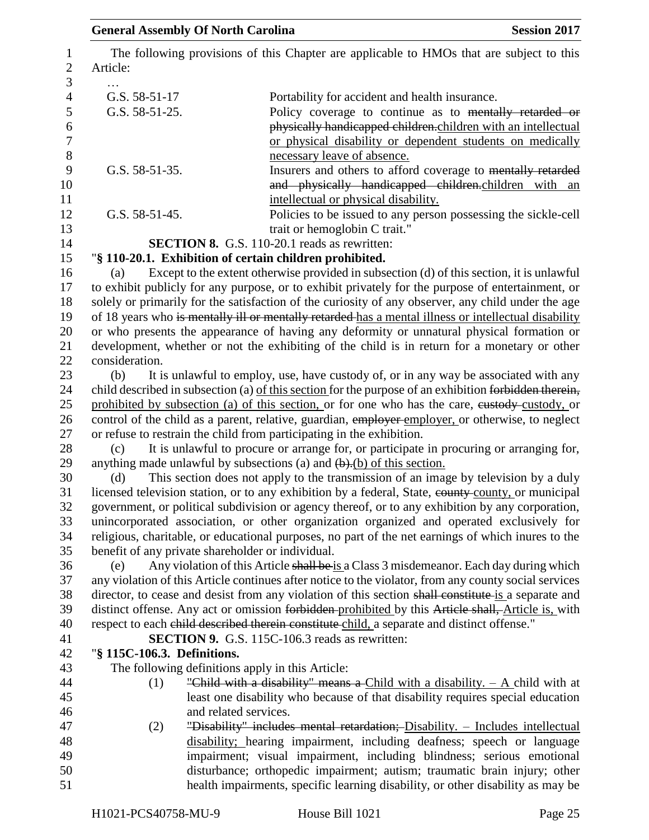| <b>General Assembly Of North Carolina</b> | <b>Session 2017</b>                                                                                                                                                                                                                                                                                             |
|-------------------------------------------|-----------------------------------------------------------------------------------------------------------------------------------------------------------------------------------------------------------------------------------------------------------------------------------------------------------------|
| Article:                                  | The following provisions of this Chapter are applicable to HMOs that are subject to this                                                                                                                                                                                                                        |
|                                           |                                                                                                                                                                                                                                                                                                                 |
| G.S. 58-51-17                             | Portability for accident and health insurance.                                                                                                                                                                                                                                                                  |
| G.S. 58-51-25.                            | Policy coverage to continue as to mentally retarded or<br>physically handicapped children.children with an intellectual<br>or physical disability or dependent students on medically<br>necessary leave of absence.                                                                                             |
| G.S. 58-51-35.                            | Insurers and others to afford coverage to mentally retarded<br>and physically handicapped children.children with an<br>intellectual or physical disability.                                                                                                                                                     |
| G.S. 58-51-45.                            | Policies to be issued to any person possessing the sickle-cell<br>trait or hemoglobin C trait."                                                                                                                                                                                                                 |
|                                           | SECTION 8. G.S. 110-20.1 reads as rewritten:                                                                                                                                                                                                                                                                    |
|                                           | "§ 110-20.1. Exhibition of certain children prohibited.                                                                                                                                                                                                                                                         |
| (a)                                       | Except to the extent otherwise provided in subsection (d) of this section, it is unlawful                                                                                                                                                                                                                       |
|                                           | to exhibit publicly for any purpose, or to exhibit privately for the purpose of entertainment, or<br>solely or primarily for the satisfaction of the curiosity of any observer, any child under the age<br>of 18 years who is mentally ill or mentally retarded-has a mental illness or intellectual disability |
|                                           | or who presents the appearance of having any deformity or unnatural physical formation or<br>development, whether or not the exhibiting of the child is in return for a monetary or other                                                                                                                       |
| consideration.                            |                                                                                                                                                                                                                                                                                                                 |
| (b)                                       | It is unlawful to employ, use, have custody of, or in any way be associated with any                                                                                                                                                                                                                            |
|                                           | child described in subsection (a) of this section for the purpose of an exhibition forbidden therein,                                                                                                                                                                                                           |
|                                           |                                                                                                                                                                                                                                                                                                                 |
|                                           | prohibited by subsection (a) of this section, or for one who has the care, eustody-custody, or<br>control of the child as a parent, relative, guardian, employer employer, or otherwise, to neglect                                                                                                             |
|                                           | or refuse to restrain the child from participating in the exhibition.                                                                                                                                                                                                                                           |
| (c)                                       | It is unlawful to procure or arrange for, or participate in procuring or arranging for,                                                                                                                                                                                                                         |
|                                           | anything made unlawful by subsections (a) and $\left(\frac{b}{c}\right)$ of this section.                                                                                                                                                                                                                       |
| (d)                                       | This section does not apply to the transmission of an image by television by a duly                                                                                                                                                                                                                             |
|                                           | licensed television station, or to any exhibition by a federal, State, eounty-county, or municipal<br>government, or political subdivision or agency thereof, or to any exhibition by any corporation,                                                                                                          |
|                                           | unincorporated association, or other organization organized and operated exclusively for                                                                                                                                                                                                                        |
|                                           | religious, charitable, or educational purposes, no part of the net earnings of which inures to the                                                                                                                                                                                                              |
|                                           | benefit of any private shareholder or individual.                                                                                                                                                                                                                                                               |
| (e)                                       | Any violation of this Article shall be is a Class 3 misdemeanor. Each day during which                                                                                                                                                                                                                          |
|                                           | any violation of this Article continues after notice to the violator, from any county social services                                                                                                                                                                                                           |
|                                           | director, to cease and desist from any violation of this section shall constitute is a separate and                                                                                                                                                                                                             |
|                                           | distinct offense. Any act or omission forbidden prohibited by this Article shall, Article is, with                                                                                                                                                                                                              |
|                                           | respect to each child described therein constitute child, a separate and distinct offense."                                                                                                                                                                                                                     |
|                                           | <b>SECTION 9.</b> G.S. 115C-106.3 reads as rewritten:                                                                                                                                                                                                                                                           |
| "§ 115C-106.3. Definitions.               |                                                                                                                                                                                                                                                                                                                 |
|                                           | The following definitions apply in this Article:                                                                                                                                                                                                                                                                |
| (1)                                       | "Child with a disability" means a Child with a disability. $- A$ child with at                                                                                                                                                                                                                                  |
|                                           | least one disability who because of that disability requires special education                                                                                                                                                                                                                                  |
|                                           | and related services.                                                                                                                                                                                                                                                                                           |
| (2)                                       | "Disability" includes mental retardation; Disability. - Includes intellectual                                                                                                                                                                                                                                   |
|                                           | disability; hearing impairment, including deafness; speech or language                                                                                                                                                                                                                                          |
|                                           | impairment; visual impairment, including blindness; serious emotional                                                                                                                                                                                                                                           |
|                                           | disturbance; orthopedic impairment; autism; traumatic brain injury; other                                                                                                                                                                                                                                       |
|                                           | health impairments, specific learning disability, or other disability as may be                                                                                                                                                                                                                                 |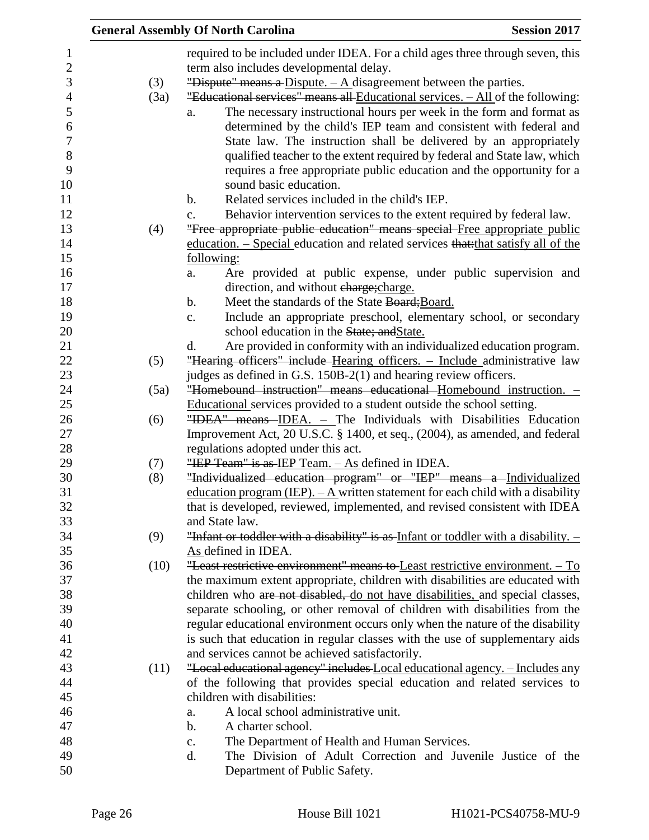|      | <b>Session 2017</b><br><b>General Assembly Of North Carolina</b>                                                   |
|------|--------------------------------------------------------------------------------------------------------------------|
|      | required to be included under IDEA. For a child ages three through seven, this                                     |
|      | term also includes developmental delay.                                                                            |
| (3)  | "Dispute" means a Dispute. $- A$ disagreement between the parties.                                                 |
| (3a) | "Educational services" means all Educational services. - All of the following:                                     |
|      | The necessary instructional hours per week in the form and format as<br>a.                                         |
|      | determined by the child's IEP team and consistent with federal and                                                 |
|      | State law. The instruction shall be delivered by an appropriately                                                  |
|      | qualified teacher to the extent required by federal and State law, which                                           |
|      | requires a free appropriate public education and the opportunity for a                                             |
|      | sound basic education.                                                                                             |
|      | Related services included in the child's IEP.<br>b.                                                                |
|      | Behavior intervention services to the extent required by federal law.<br>c.                                        |
| (4)  | "Free appropriate public education" means special Free appropriate public                                          |
|      | education. – Special education and related services that that satisfy all of the                                   |
|      | following:                                                                                                         |
|      | Are provided at public expense, under public supervision and<br>a.                                                 |
|      | direction, and without charge; charge.                                                                             |
|      | Meet the standards of the State Board; Board.<br>$\mathbf b$ .                                                     |
|      | Include an appropriate preschool, elementary school, or secondary<br>$\mathbf{c}$ .                                |
|      | school education in the State; and State.                                                                          |
|      | Are provided in conformity with an individualized education program.<br>d.                                         |
| (5)  | "Hearing officers" include Hearing officers. - Include administrative law                                          |
|      | judges as defined in G.S. 150B-2(1) and hearing review officers.                                                   |
| (5a) | "Homebound instruction" means educational Homebound instruction. -                                                 |
|      | Educational services provided to a student outside the school setting.                                             |
| (6)  | "IDEA" means IDEA. - The Individuals with Disabilities Education                                                   |
|      | Improvement Act, 20 U.S.C. § 1400, et seq., (2004), as amended, and federal<br>regulations adopted under this act. |
| (7)  | "IEP Team" is as IEP Team. $-$ As defined in IDEA.                                                                 |
| (8)  | "Individualized education program" or "IEP" means a Individualized                                                 |
|      | education program (IEP). $-$ A written statement for each child with a disability                                  |
|      | that is developed, reviewed, implemented, and revised consistent with IDEA                                         |
|      | and State law.                                                                                                     |
| (9)  | "Infant or toddler with a disability" is as Infant or toddler with a disability. -                                 |
|      | As defined in IDEA.                                                                                                |
| (10) | "Least restrictive environment" means to Least restrictive environment. $-$ To                                     |
|      | the maximum extent appropriate, children with disabilities are educated with                                       |
|      | children who are not disabled, do not have disabilities, and special classes,                                      |
|      | separate schooling, or other removal of children with disabilities from the                                        |
|      | regular educational environment occurs only when the nature of the disability                                      |
|      | is such that education in regular classes with the use of supplementary aids                                       |
|      | and services cannot be achieved satisfactorily.                                                                    |
| (11) | "Local educational agency" includes Local educational agency. - Includes any                                       |
|      | of the following that provides special education and related services to                                           |
|      | children with disabilities:                                                                                        |
|      | A local school administrative unit.<br>a.                                                                          |
|      | A charter school.<br>b.                                                                                            |
|      | The Department of Health and Human Services.<br>c.                                                                 |
|      | The Division of Adult Correction and Juvenile Justice of the<br>d.                                                 |
|      | Department of Public Safety.                                                                                       |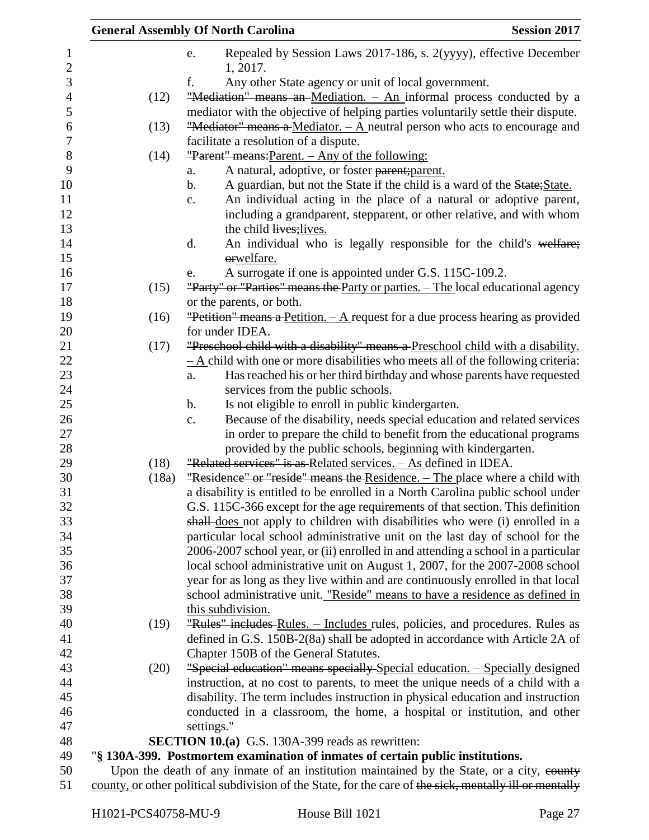|                       |               | <b>General Assembly Of North Carolina</b>                                                                                                         | <b>Session 2017</b> |
|-----------------------|---------------|---------------------------------------------------------------------------------------------------------------------------------------------------|---------------------|
| 1<br>$\boldsymbol{2}$ |               | Repealed by Session Laws 2017-186, s. 2(yyyy), effective December<br>e.<br>1, 2017.                                                               |                     |
| 3                     |               | f.<br>Any other State agency or unit of local government.                                                                                         |                     |
| $\overline{4}$        | (12)          | "Mediation" means an Mediation. - An informal process conducted by a                                                                              |                     |
| 5                     |               | mediator with the objective of helping parties voluntarily settle their dispute.                                                                  |                     |
| 6                     | (13)          | "Mediator" means a Mediator. $-\mathbf{A}$ neutral person who acts to encourage and                                                               |                     |
| $\overline{7}$        |               | facilitate a resolution of a dispute.                                                                                                             |                     |
| $8\,$                 | (14)          | "Parent" means: Parent. - Any of the following:                                                                                                   |                     |
| 9                     |               | A natural, adoptive, or foster parent; parent.<br>a.                                                                                              |                     |
| 10                    |               | A guardian, but not the State if the child is a ward of the State; State.<br>$\mathbf b$ .                                                        |                     |
| 11                    |               | An individual acting in the place of a natural or adoptive parent,<br>$\mathbf{c}$ .                                                              |                     |
| 12                    |               | including a grandparent, stepparent, or other relative, and with whom                                                                             |                     |
| 13                    |               | the child lives; lives.                                                                                                                           |                     |
| 14                    |               | An individual who is legally responsible for the child's welfare;<br>d.                                                                           |                     |
| 15                    |               | orwelfare.                                                                                                                                        |                     |
| 16                    |               | A surrogate if one is appointed under G.S. 115C-109.2.<br>e.                                                                                      |                     |
| 17                    | (15)          | "Party" or "Parties" means the Party or parties. - The local educational agency                                                                   |                     |
| 18                    |               | or the parents, or both.                                                                                                                          |                     |
| 19                    | (16)          | "Petition" means a Petition. $- A$ request for a due process hearing as provided                                                                  |                     |
| 20                    |               | for under IDEA.                                                                                                                                   |                     |
| 21                    | (17)          | "Preschool child with a disability" means a Preschool child with a disability.                                                                    |                     |
| 22                    |               | $-\underline{A}$ child with one or more disabilities who meets all of the following criteria:                                                     |                     |
| 23                    |               | Has reached his or her third birthday and whose parents have requested<br>a.                                                                      |                     |
| 24                    |               | services from the public schools.                                                                                                                 |                     |
| 25                    |               | Is not eligible to enroll in public kindergarten.<br>b.                                                                                           |                     |
| 26                    |               | Because of the disability, needs special education and related services<br>c.                                                                     |                     |
| 27                    |               | in order to prepare the child to benefit from the educational programs                                                                            |                     |
| 28<br>29              |               | provided by the public schools, beginning with kindergarten.                                                                                      |                     |
| 30                    | (18)<br>(18a) | "Related services" is as Related services. $-$ As defined in IDEA.<br>"Residence" or "reside" means the Residence. - The place where a child with |                     |
| 31                    |               | a disability is entitled to be enrolled in a North Carolina public school under                                                                   |                     |
| 32                    |               | G.S. 115C-366 except for the age requirements of that section. This definition                                                                    |                     |
| 33                    |               | shall does not apply to children with disabilities who were (i) enrolled in a                                                                     |                     |
| 34                    |               | particular local school administrative unit on the last day of school for the                                                                     |                     |
| 35                    |               | 2006-2007 school year, or (ii) enrolled in and attending a school in a particular                                                                 |                     |
| 36                    |               | local school administrative unit on August 1, 2007, for the 2007-2008 school                                                                      |                     |
| 37                    |               | year for as long as they live within and are continuously enrolled in that local                                                                  |                     |
| 38                    |               | school administrative unit. "Reside" means to have a residence as defined in                                                                      |                     |
| 39                    |               | this subdivision.                                                                                                                                 |                     |
| 40                    | (19)          | "Rules" includes-Rules. - Includes rules, policies, and procedures. Rules as                                                                      |                     |
| 41                    |               | defined in G.S. 150B-2(8a) shall be adopted in accordance with Article 2A of                                                                      |                     |
| 42                    |               | Chapter 150B of the General Statutes.                                                                                                             |                     |
| 43                    | (20)          | "Special education" means specially Special education. - Specially designed                                                                       |                     |
| 44                    |               | instruction, at no cost to parents, to meet the unique needs of a child with a                                                                    |                     |
| 45                    |               | disability. The term includes instruction in physical education and instruction                                                                   |                     |
| 46                    |               | conducted in a classroom, the home, a hospital or institution, and other                                                                          |                     |
| 47                    |               | settings."                                                                                                                                        |                     |
| 48                    |               | <b>SECTION 10.(a)</b> G.S. 130A-399 reads as rewritten:                                                                                           |                     |
| 49                    |               | "§ 130A-399. Postmortem examination of inmates of certain public institutions.                                                                    |                     |
| 50                    |               | Upon the death of any inmate of an institution maintained by the State, or a city, eounty                                                         |                     |
| 51                    |               | county, or other political subdivision of the State, for the care of the sick, mentally ill or mentally                                           |                     |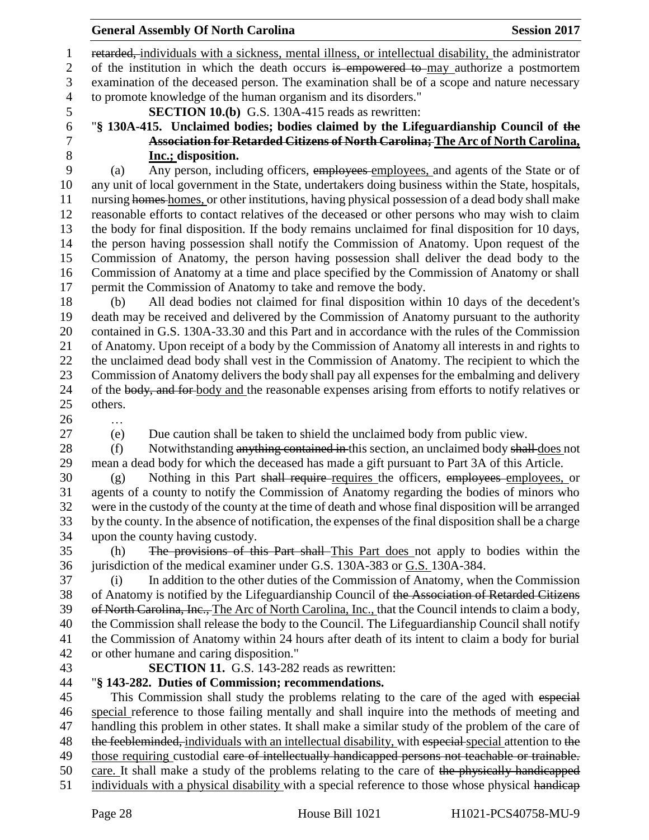retarded, individuals with a sickness, mental illness, or intellectual disability, the administrator 2 of the institution in which the death occurs is empowered to may authorize a postmortem examination of the deceased person. The examination shall be of a scope and nature necessary to promote knowledge of the human organism and its disorders."

- 
- 
- 

#### **SECTION 10.(b)** G.S. 130A-415 reads as rewritten:

 "**§ 130A-415. Unclaimed bodies; bodies claimed by the Lifeguardianship Council of the Association for Retarded Citizens of North Carolina; The Arc of North Carolina,** 

**Inc.; disposition.**<br>9 (a) Any person, inclu- (a) Any person, including officers, employees employees, and agents of the State or of any unit of local government in the State, undertakers doing business within the State, hospitals, nursing homes homes, or other institutions, having physical possession of a dead body shall make reasonable efforts to contact relatives of the deceased or other persons who may wish to claim the body for final disposition. If the body remains unclaimed for final disposition for 10 days, the person having possession shall notify the Commission of Anatomy. Upon request of the Commission of Anatomy, the person having possession shall deliver the dead body to the Commission of Anatomy at a time and place specified by the Commission of Anatomy or shall permit the Commission of Anatomy to take and remove the body.

 (b) All dead bodies not claimed for final disposition within 10 days of the decedent's death may be received and delivered by the Commission of Anatomy pursuant to the authority contained in G.S. 130A-33.30 and this Part and in accordance with the rules of the Commission of Anatomy. Upon receipt of a body by the Commission of Anatomy all interests in and rights to the unclaimed dead body shall vest in the Commission of Anatomy. The recipient to which the Commission of Anatomy delivers the body shall pay all expenses for the embalming and delivery 24 of the body, and for body and the reasonable expenses arising from efforts to notify relatives or others.

- …
- 

(e) Due caution shall be taken to shield the unclaimed body from public view.

28 (f) Notwithstanding anything contained in this section, an unclaimed body shall does not mean a dead body for which the deceased has made a gift pursuant to Part 3A of this Article.

 (g) Nothing in this Part shall require requires the officers, employees employees, or agents of a county to notify the Commission of Anatomy regarding the bodies of minors who were in the custody of the county at the time of death and whose final disposition will be arranged by the county. In the absence of notification, the expenses of the final disposition shall be a charge upon the county having custody.

 (h) The provisions of this Part shall This Part does not apply to bodies within the jurisdiction of the medical examiner under G.S. 130A-383 or G.S. 130A-384.

 (i) In addition to the other duties of the Commission of Anatomy, when the Commission of Anatomy is notified by the Lifeguardianship Council of the Association of Retarded Citizens 39 of North Carolina, Inc., The Arc of North Carolina, Inc., that the Council intends to claim a body, the Commission shall release the body to the Council. The Lifeguardianship Council shall notify the Commission of Anatomy within 24 hours after death of its intent to claim a body for burial or other humane and caring disposition."

**SECTION 11.** G.S. 143-282 reads as rewritten:

# "**§ 143-282. Duties of Commission; recommendations.**

45 This Commission shall study the problems relating to the care of the aged with especial special reference to those failing mentally and shall inquire into the methods of meeting and handling this problem in other states. It shall make a similar study of the problem of the care of 48 the feebleminded, individuals with an intellectual disability, with especial special attention to the 49 those requiring custodial eare of intellectually handicapped persons not teachable or trainable. care. It shall make a study of the problems relating to the care of the physically handicapped 51 individuals with a physical disability with a special reference to those whose physical handicap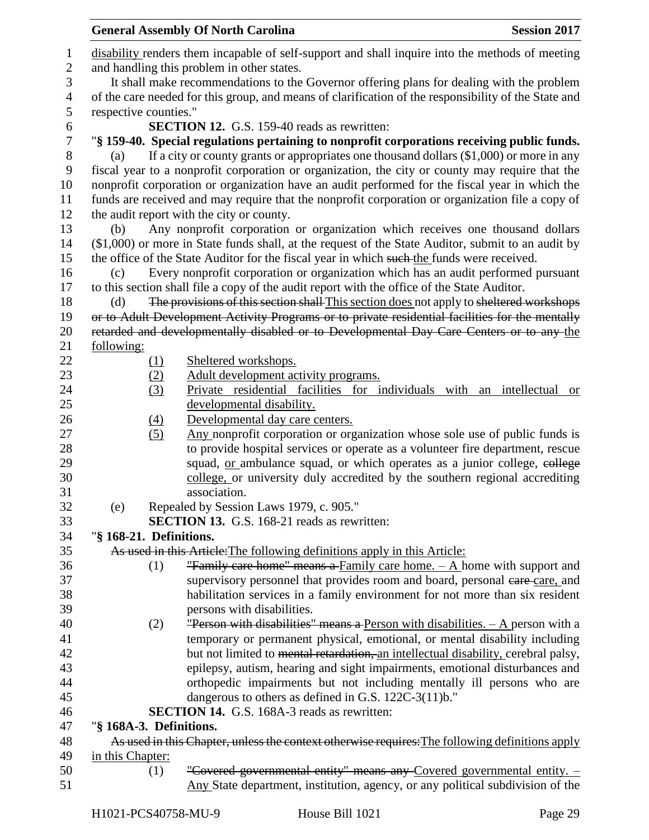|                  |                         | <b>General Assembly Of North Carolina</b><br><b>Session 2017</b>                                     |  |  |  |  |
|------------------|-------------------------|------------------------------------------------------------------------------------------------------|--|--|--|--|
| $\mathbf{1}$     |                         | disability renders them incapable of self-support and shall inquire into the methods of meeting      |  |  |  |  |
| $\mathbf{2}$     |                         | and handling this problem in other states.                                                           |  |  |  |  |
| 3                |                         | It shall make recommendations to the Governor offering plans for dealing with the problem            |  |  |  |  |
| $\overline{4}$   |                         | of the care needed for this group, and means of clarification of the responsibility of the State and |  |  |  |  |
| 5                | respective counties."   |                                                                                                      |  |  |  |  |
| 6                |                         | <b>SECTION 12.</b> G.S. 159-40 reads as rewritten:                                                   |  |  |  |  |
| $\boldsymbol{7}$ |                         | "§ 159-40. Special regulations pertaining to nonprofit corporations receiving public funds.          |  |  |  |  |
| $8\,$            | (a)                     | If a city or county grants or appropriates one thousand dollars (\$1,000) or more in any             |  |  |  |  |
| 9                |                         | fiscal year to a nonprofit corporation or organization, the city or county may require that the      |  |  |  |  |
| 10               |                         | nonprofit corporation or organization have an audit performed for the fiscal year in which the       |  |  |  |  |
| 11               |                         | funds are received and may require that the nonprofit corporation or organization file a copy of     |  |  |  |  |
| 12               |                         | the audit report with the city or county.                                                            |  |  |  |  |
| 13               | (b)                     | Any nonprofit corporation or organization which receives one thousand dollars                        |  |  |  |  |
| 14               |                         | (\$1,000) or more in State funds shall, at the request of the State Auditor, submit to an audit by   |  |  |  |  |
| 15               |                         | the office of the State Auditor for the fiscal year in which such the funds were received.           |  |  |  |  |
| 16               | (c)                     | Every nonprofit corporation or organization which has an audit performed pursuant                    |  |  |  |  |
| 17               |                         | to this section shall file a copy of the audit report with the office of the State Auditor.          |  |  |  |  |
| 18               | (d)                     | The provisions of this section shall-This section does not apply to sheltered workshops              |  |  |  |  |
| 19               |                         | or to Adult Development Activity Programs or to private residential facilities for the mentally      |  |  |  |  |
| 20               |                         | retarded and developmentally disabled or to Developmental Day Care Centers or to any the             |  |  |  |  |
| 21               | following:              |                                                                                                      |  |  |  |  |
| 22               | (1)                     | Sheltered workshops.                                                                                 |  |  |  |  |
| 23               | (2)                     | Adult development activity programs.                                                                 |  |  |  |  |
| 24               | (3)                     | Private residential facilities for individuals with an intellectual<br><b>or</b>                     |  |  |  |  |
| 25               |                         | developmental disability.                                                                            |  |  |  |  |
| 26               | $\underline{(4)}$       | Developmental day care centers.                                                                      |  |  |  |  |
| 27               | (5)                     | Any nonprofit corporation or organization whose sole use of public funds is                          |  |  |  |  |
| 28               |                         | to provide hospital services or operate as a volunteer fire department, rescue                       |  |  |  |  |
| 29               |                         | squad, <u>or</u> ambulance squad, or which operates as a junior college, eollege                     |  |  |  |  |
| 30               |                         | college, or university duly accredited by the southern regional accrediting                          |  |  |  |  |
| 31               |                         | association.                                                                                         |  |  |  |  |
| 32               | (e)                     | Repealed by Session Laws 1979, c. 905."                                                              |  |  |  |  |
| 33               |                         | <b>SECTION 13.</b> G.S. 168-21 reads as rewritten:                                                   |  |  |  |  |
| 34               | "§ 168-21. Definitions. |                                                                                                      |  |  |  |  |
| 35               |                         | As used in this Article: The following definitions apply in this Article:                            |  |  |  |  |
| 36               | (1)                     | "Family care home" means a Family care home. $-$ A home with support and                             |  |  |  |  |
| 37               |                         | supervisory personnel that provides room and board, personal care care, and                          |  |  |  |  |
| 38               |                         | habilitation services in a family environment for not more than six resident                         |  |  |  |  |
| 39               |                         | persons with disabilities.                                                                           |  |  |  |  |
| 40               | (2)                     | <b>"Person with disabilities" means a Person with disabilities.</b> $- A$ person with a              |  |  |  |  |
| 41               |                         | temporary or permanent physical, emotional, or mental disability including                           |  |  |  |  |
| 42               |                         | but not limited to mental retardation, an intellectual disability, cerebral palsy,                   |  |  |  |  |
| 43               |                         | epilepsy, autism, hearing and sight impairments, emotional disturbances and                          |  |  |  |  |
| 44               |                         | orthopedic impairments but not including mentally ill persons who are                                |  |  |  |  |
| 45               |                         | dangerous to others as defined in G.S. 122C-3(11)b."                                                 |  |  |  |  |
| 46               |                         | <b>SECTION 14.</b> G.S. 168A-3 reads as rewritten:                                                   |  |  |  |  |
| 47               | "§ 168A-3. Definitions. |                                                                                                      |  |  |  |  |
| 48               |                         | As used in this Chapter, unless the context otherwise requires: The following definitions apply      |  |  |  |  |
| 49               | in this Chapter:        |                                                                                                      |  |  |  |  |
| 50               | (1)                     | "Covered governmental entity" means any Covered governmental entity. -                               |  |  |  |  |
| 51               |                         | Any State department, institution, agency, or any political subdivision of the                       |  |  |  |  |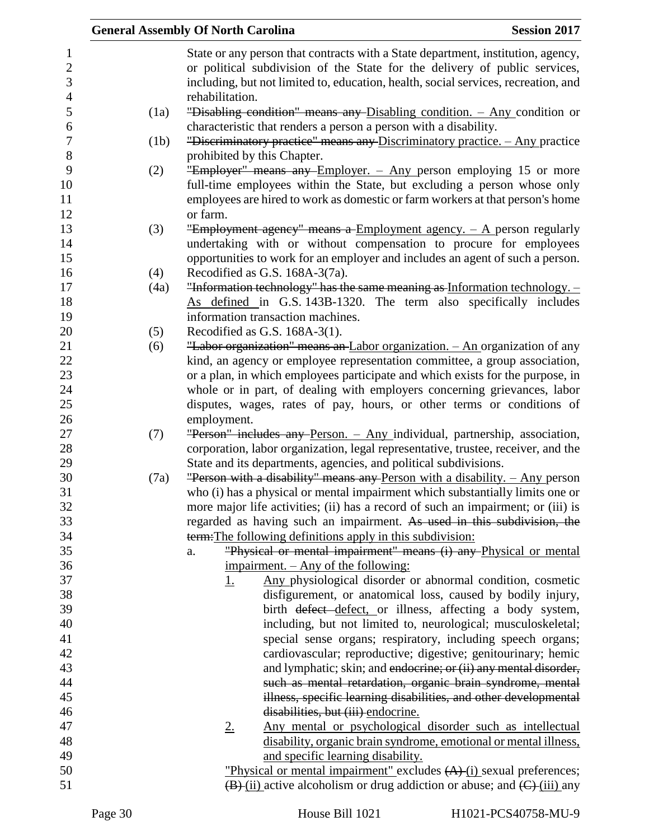|      | <b>General Assembly Of North Carolina</b>                                                                                                                                                                                                            | <b>Session 2017</b> |
|------|------------------------------------------------------------------------------------------------------------------------------------------------------------------------------------------------------------------------------------------------------|---------------------|
|      | State or any person that contracts with a State department, institution, agency,<br>or political subdivision of the State for the delivery of public services,<br>including, but not limited to, education, health, social services, recreation, and |                     |
|      | rehabilitation.                                                                                                                                                                                                                                      |                     |
| (1a) | "Disabling condition" means any Disabling condition. - Any condition or                                                                                                                                                                              |                     |
| (1b) | characteristic that renders a person a person with a disability.<br>"Discriminatory practice" means any Discriminatory practice. - Any practice                                                                                                      |                     |
|      | prohibited by this Chapter.                                                                                                                                                                                                                          |                     |
| (2)  | "Employer" means any Employer. - Any person employing 15 or more                                                                                                                                                                                     |                     |
|      | full-time employees within the State, but excluding a person whose only                                                                                                                                                                              |                     |
|      | employees are hired to work as domestic or farm workers at that person's home                                                                                                                                                                        |                     |
|      | or farm.                                                                                                                                                                                                                                             |                     |
| (3)  | "Employment agency" means a Employment agency. $-$ A person regularly                                                                                                                                                                                |                     |
|      | undertaking with or without compensation to procure for employees                                                                                                                                                                                    |                     |
|      | opportunities to work for an employer and includes an agent of such a person.                                                                                                                                                                        |                     |
| (4)  | Recodified as G.S. 168A-3(7a).                                                                                                                                                                                                                       |                     |
| (4a) | "Information technology" has the same meaning as Information technology. -                                                                                                                                                                           |                     |
|      | As defined in G.S. 143B-1320. The term also specifically includes<br>information transaction machines.                                                                                                                                               |                     |
| (5)  | Recodified as G.S. 168A-3(1).                                                                                                                                                                                                                        |                     |
| (6)  | "Labor organization" means an Labor organization. - An organization of any                                                                                                                                                                           |                     |
|      | kind, an agency or employee representation committee, a group association,                                                                                                                                                                           |                     |
|      | or a plan, in which employees participate and which exists for the purpose, in                                                                                                                                                                       |                     |
|      | whole or in part, of dealing with employers concerning grievances, labor                                                                                                                                                                             |                     |
|      | disputes, wages, rates of pay, hours, or other terms or conditions of                                                                                                                                                                                |                     |
|      | employment.                                                                                                                                                                                                                                          |                     |
| (7)  | "Person" includes any Person. - Any individual, partnership, association,                                                                                                                                                                            |                     |
|      | corporation, labor organization, legal representative, trustee, receiver, and the                                                                                                                                                                    |                     |
|      | State and its departments, agencies, and political subdivisions.                                                                                                                                                                                     |                     |
| (7a) | "Person with a disability" means any Person with a disability. $-$ Any person                                                                                                                                                                        |                     |
|      | who (i) has a physical or mental impairment which substantially limits one or                                                                                                                                                                        |                     |
|      | more major life activities; (ii) has a record of such an impairment; or (iii) is<br>regarded as having such an impairment. As used in this subdivision, the                                                                                          |                     |
|      | term: The following definitions apply in this subdivision:                                                                                                                                                                                           |                     |
|      | "Physical or mental impairment" means (i) any Physical or mental<br>a.                                                                                                                                                                               |                     |
|      | <u>impairment. – Any of the following:</u>                                                                                                                                                                                                           |                     |
|      | Any physiological disorder or abnormal condition, cosmetic<br><u>1.</u>                                                                                                                                                                              |                     |
|      | disfigurement, or anatomical loss, caused by bodily injury,                                                                                                                                                                                          |                     |
|      | birth <del>defect defect</del> , or illness, affecting a body system,                                                                                                                                                                                |                     |
|      | including, but not limited to, neurological; musculoskeletal;                                                                                                                                                                                        |                     |
|      | special sense organs; respiratory, including speech organs;                                                                                                                                                                                          |                     |
|      | cardiovascular; reproductive; digestive; genitourinary; hemic                                                                                                                                                                                        |                     |
|      | and lymphatic; skin; and endocrine; or (ii) any mental disorder,                                                                                                                                                                                     |                     |
|      | such as mental retardation, organic brain syndrome, mental                                                                                                                                                                                           |                     |
|      | illness, specific learning disabilities, and other developmental                                                                                                                                                                                     |                     |
|      | disabilities, but (iii) endocrine.                                                                                                                                                                                                                   |                     |
|      | Any mental or psychological disorder such as intellectual<br>$2_{\cdot}$                                                                                                                                                                             |                     |
|      | disability, organic brain syndrome, emotional or mental illness,<br>and specific learning disability.                                                                                                                                                |                     |
|      | "Physical or mental impairment" excludes (A)-(i) sexual preferences;                                                                                                                                                                                 |                     |
|      | $\overline{(B)}$ (ii) active alcoholism or drug addiction or abuse; and $\overline{(C)}$ (iii) any                                                                                                                                                   |                     |
|      |                                                                                                                                                                                                                                                      |                     |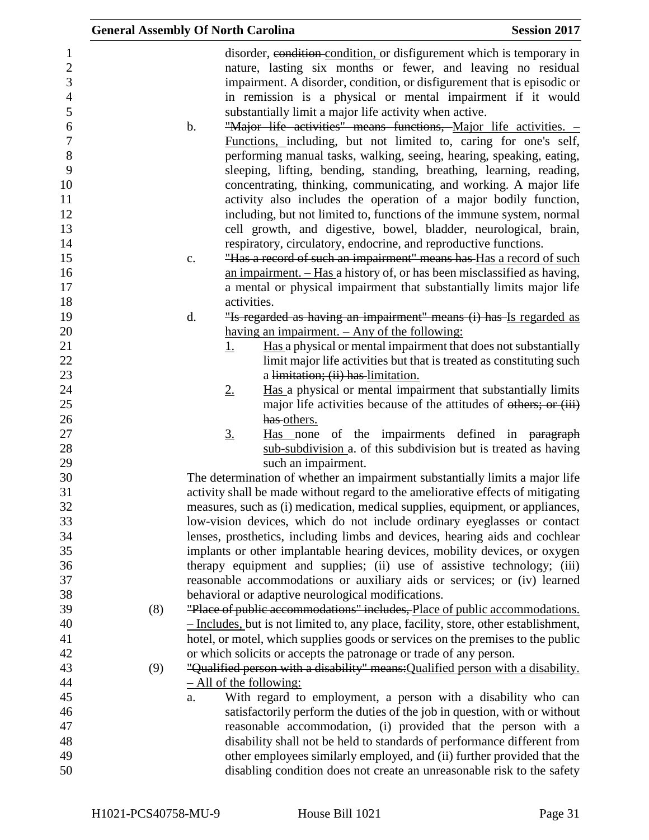|                                                                                                                                                                         |     | <b>General Assembly Of North Carolina</b>                                                                                                                                                                                                                                                                                                                                                                                                                                                                                                                                                                                                                                                                                                                                                                                                                                                                                                                                                                                                                                                                                                                                                                                                                                                                                                                                                                                                                                                                                                                                   | <b>Session 2017</b> |
|-------------------------------------------------------------------------------------------------------------------------------------------------------------------------|-----|-----------------------------------------------------------------------------------------------------------------------------------------------------------------------------------------------------------------------------------------------------------------------------------------------------------------------------------------------------------------------------------------------------------------------------------------------------------------------------------------------------------------------------------------------------------------------------------------------------------------------------------------------------------------------------------------------------------------------------------------------------------------------------------------------------------------------------------------------------------------------------------------------------------------------------------------------------------------------------------------------------------------------------------------------------------------------------------------------------------------------------------------------------------------------------------------------------------------------------------------------------------------------------------------------------------------------------------------------------------------------------------------------------------------------------------------------------------------------------------------------------------------------------------------------------------------------------|---------------------|
| $\mathbf{1}$<br>$\overline{c}$<br>3<br>$\overline{4}$<br>5<br>6<br>$\tau$<br>8<br>9<br>10<br>11<br>12<br>13<br>14<br>15<br>16<br>17<br>18<br>19<br>20<br>21<br>22<br>23 |     | disorder, condition condition, or disfigurement which is temporary in<br>nature, lasting six months or fewer, and leaving no residual<br>impairment. A disorder, condition, or disfigurement that is episodic or<br>in remission is a physical or mental impairment if it would<br>substantially limit a major life activity when active.<br>b.<br>"Major life activities" means functions, Major life activities. -<br>Functions, including, but not limited to, caring for one's self,<br>performing manual tasks, walking, seeing, hearing, speaking, eating,<br>sleeping, lifting, bending, standing, breathing, learning, reading,<br>concentrating, thinking, communicating, and working. A major life<br>activity also includes the operation of a major bodily function,<br>including, but not limited to, functions of the immune system, normal<br>cell growth, and digestive, bowel, bladder, neurological, brain,<br>respiratory, circulatory, endocrine, and reproductive functions.<br>"Has a record of such an impairment" means has Has a record of such<br>c.<br>an impairment. - Has a history of, or has been misclassified as having,<br>a mental or physical impairment that substantially limits major life<br>activities.<br>"Is regarded as having an impairment" means (i) has Is regarded as<br>d.<br>having an impairment. - Any of the following:<br>Has a physical or mental impairment that does not substantially<br><u>1.</u><br>limit major life activities but that is treated as constituting such<br>a limitation; (ii) has limitation. |                     |
| 24                                                                                                                                                                      |     | Has a physical or mental impairment that substantially limits<br>2.                                                                                                                                                                                                                                                                                                                                                                                                                                                                                                                                                                                                                                                                                                                                                                                                                                                                                                                                                                                                                                                                                                                                                                                                                                                                                                                                                                                                                                                                                                         |                     |
| $25\,$                                                                                                                                                                  |     | major life activities because of the attitudes of others; or (iii)                                                                                                                                                                                                                                                                                                                                                                                                                                                                                                                                                                                                                                                                                                                                                                                                                                                                                                                                                                                                                                                                                                                                                                                                                                                                                                                                                                                                                                                                                                          |                     |
| 26<br>27                                                                                                                                                                |     | has others.<br>Has none of the impairments defined in paragraph<br><u>3.</u>                                                                                                                                                                                                                                                                                                                                                                                                                                                                                                                                                                                                                                                                                                                                                                                                                                                                                                                                                                                                                                                                                                                                                                                                                                                                                                                                                                                                                                                                                                |                     |
| 28                                                                                                                                                                      |     | sub-subdivision a. of this subdivision but is treated as having                                                                                                                                                                                                                                                                                                                                                                                                                                                                                                                                                                                                                                                                                                                                                                                                                                                                                                                                                                                                                                                                                                                                                                                                                                                                                                                                                                                                                                                                                                             |                     |
| 29                                                                                                                                                                      |     | such an impairment.                                                                                                                                                                                                                                                                                                                                                                                                                                                                                                                                                                                                                                                                                                                                                                                                                                                                                                                                                                                                                                                                                                                                                                                                                                                                                                                                                                                                                                                                                                                                                         |                     |
| 30                                                                                                                                                                      |     | The determination of whether an impairment substantially limits a major life                                                                                                                                                                                                                                                                                                                                                                                                                                                                                                                                                                                                                                                                                                                                                                                                                                                                                                                                                                                                                                                                                                                                                                                                                                                                                                                                                                                                                                                                                                |                     |
| 31                                                                                                                                                                      |     | activity shall be made without regard to the ameliorative effects of mitigating                                                                                                                                                                                                                                                                                                                                                                                                                                                                                                                                                                                                                                                                                                                                                                                                                                                                                                                                                                                                                                                                                                                                                                                                                                                                                                                                                                                                                                                                                             |                     |
| 32<br>33                                                                                                                                                                |     | measures, such as (i) medication, medical supplies, equipment, or appliances,<br>low-vision devices, which do not include ordinary eyeglasses or contact                                                                                                                                                                                                                                                                                                                                                                                                                                                                                                                                                                                                                                                                                                                                                                                                                                                                                                                                                                                                                                                                                                                                                                                                                                                                                                                                                                                                                    |                     |
| 34                                                                                                                                                                      |     | lenses, prosthetics, including limbs and devices, hearing aids and cochlear                                                                                                                                                                                                                                                                                                                                                                                                                                                                                                                                                                                                                                                                                                                                                                                                                                                                                                                                                                                                                                                                                                                                                                                                                                                                                                                                                                                                                                                                                                 |                     |
| 35                                                                                                                                                                      |     | implants or other implantable hearing devices, mobility devices, or oxygen                                                                                                                                                                                                                                                                                                                                                                                                                                                                                                                                                                                                                                                                                                                                                                                                                                                                                                                                                                                                                                                                                                                                                                                                                                                                                                                                                                                                                                                                                                  |                     |
| 36                                                                                                                                                                      |     | therapy equipment and supplies; (ii) use of assistive technology; (iii)                                                                                                                                                                                                                                                                                                                                                                                                                                                                                                                                                                                                                                                                                                                                                                                                                                                                                                                                                                                                                                                                                                                                                                                                                                                                                                                                                                                                                                                                                                     |                     |
| 37                                                                                                                                                                      |     | reasonable accommodations or auxiliary aids or services; or (iv) learned                                                                                                                                                                                                                                                                                                                                                                                                                                                                                                                                                                                                                                                                                                                                                                                                                                                                                                                                                                                                                                                                                                                                                                                                                                                                                                                                                                                                                                                                                                    |                     |
| 38                                                                                                                                                                      |     | behavioral or adaptive neurological modifications.                                                                                                                                                                                                                                                                                                                                                                                                                                                                                                                                                                                                                                                                                                                                                                                                                                                                                                                                                                                                                                                                                                                                                                                                                                                                                                                                                                                                                                                                                                                          |                     |
| 39                                                                                                                                                                      | (8) | "Place of public accommodations" includes, Place of public accommodations.                                                                                                                                                                                                                                                                                                                                                                                                                                                                                                                                                                                                                                                                                                                                                                                                                                                                                                                                                                                                                                                                                                                                                                                                                                                                                                                                                                                                                                                                                                  |                     |
| 40                                                                                                                                                                      |     | - Includes, but is not limited to, any place, facility, store, other establishment,                                                                                                                                                                                                                                                                                                                                                                                                                                                                                                                                                                                                                                                                                                                                                                                                                                                                                                                                                                                                                                                                                                                                                                                                                                                                                                                                                                                                                                                                                         |                     |
| 41                                                                                                                                                                      |     | hotel, or motel, which supplies goods or services on the premises to the public                                                                                                                                                                                                                                                                                                                                                                                                                                                                                                                                                                                                                                                                                                                                                                                                                                                                                                                                                                                                                                                                                                                                                                                                                                                                                                                                                                                                                                                                                             |                     |
| 42                                                                                                                                                                      |     | or which solicits or accepts the patronage or trade of any person.                                                                                                                                                                                                                                                                                                                                                                                                                                                                                                                                                                                                                                                                                                                                                                                                                                                                                                                                                                                                                                                                                                                                                                                                                                                                                                                                                                                                                                                                                                          |                     |
| 43                                                                                                                                                                      | (9) | "Qualified person with a disability" means: Qualified person with a disability.                                                                                                                                                                                                                                                                                                                                                                                                                                                                                                                                                                                                                                                                                                                                                                                                                                                                                                                                                                                                                                                                                                                                                                                                                                                                                                                                                                                                                                                                                             |                     |
| 44                                                                                                                                                                      |     | $-$ All of the following:                                                                                                                                                                                                                                                                                                                                                                                                                                                                                                                                                                                                                                                                                                                                                                                                                                                                                                                                                                                                                                                                                                                                                                                                                                                                                                                                                                                                                                                                                                                                                   |                     |
| 45                                                                                                                                                                      |     | With regard to employment, a person with a disability who can<br>a.                                                                                                                                                                                                                                                                                                                                                                                                                                                                                                                                                                                                                                                                                                                                                                                                                                                                                                                                                                                                                                                                                                                                                                                                                                                                                                                                                                                                                                                                                                         |                     |
| 46                                                                                                                                                                      |     | satisfactorily perform the duties of the job in question, with or without                                                                                                                                                                                                                                                                                                                                                                                                                                                                                                                                                                                                                                                                                                                                                                                                                                                                                                                                                                                                                                                                                                                                                                                                                                                                                                                                                                                                                                                                                                   |                     |
| 47                                                                                                                                                                      |     | reasonable accommodation, (i) provided that the person with a                                                                                                                                                                                                                                                                                                                                                                                                                                                                                                                                                                                                                                                                                                                                                                                                                                                                                                                                                                                                                                                                                                                                                                                                                                                                                                                                                                                                                                                                                                               |                     |
| 48                                                                                                                                                                      |     | disability shall not be held to standards of performance different from                                                                                                                                                                                                                                                                                                                                                                                                                                                                                                                                                                                                                                                                                                                                                                                                                                                                                                                                                                                                                                                                                                                                                                                                                                                                                                                                                                                                                                                                                                     |                     |
| 49<br>50                                                                                                                                                                |     | other employees similarly employed, and (ii) further provided that the<br>disabling condition does not create an unreasonable risk to the safety                                                                                                                                                                                                                                                                                                                                                                                                                                                                                                                                                                                                                                                                                                                                                                                                                                                                                                                                                                                                                                                                                                                                                                                                                                                                                                                                                                                                                            |                     |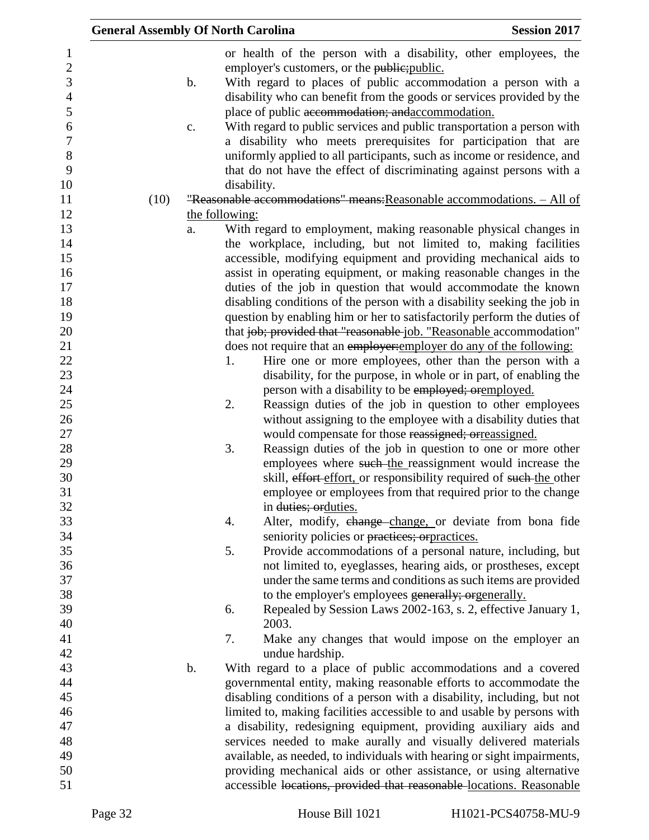| <b>General Assembly Of North Carolina</b> |               |                |                                                                         | <b>Session 2017</b> |
|-------------------------------------------|---------------|----------------|-------------------------------------------------------------------------|---------------------|
|                                           |               |                | or health of the person with a disability, other employees, the         |                     |
|                                           |               |                | employer's customers, or the public; public.                            |                     |
|                                           | $\mathbf b$ . |                | With regard to places of public accommodation a person with a           |                     |
|                                           |               |                | disability who can benefit from the goods or services provided by the   |                     |
|                                           |               |                | place of public accommodation; and accommodation.                       |                     |
|                                           | c.            |                | With regard to public services and public transportation a person with  |                     |
|                                           |               |                | a disability who meets prerequisites for participation that are         |                     |
|                                           |               |                | uniformly applied to all participants, such as income or residence, and |                     |
|                                           |               |                | that do not have the effect of discriminating against persons with a    |                     |
|                                           |               | disability.    |                                                                         |                     |
| (10)                                      |               |                | "Reasonable accommodations" means: Reasonable accommodations. - All of  |                     |
|                                           |               | the following: |                                                                         |                     |
|                                           | a.            |                | With regard to employment, making reasonable physical changes in        |                     |
|                                           |               |                | the workplace, including, but not limited to, making facilities         |                     |
|                                           |               |                | accessible, modifying equipment and providing mechanical aids to        |                     |
|                                           |               |                | assist in operating equipment, or making reasonable changes in the      |                     |
|                                           |               |                | duties of the job in question that would accommodate the known          |                     |
|                                           |               |                | disabling conditions of the person with a disability seeking the job in |                     |
|                                           |               |                | question by enabling him or her to satisfactorily perform the duties of |                     |
|                                           |               |                | that job; provided that "reasonable job. "Reasonable accommodation"     |                     |
|                                           |               |                | does not require that an employer: employer do any of the following:    |                     |
|                                           |               | 1.             | Hire one or more employees, other than the person with a                |                     |
|                                           |               |                | disability, for the purpose, in whole or in part, of enabling the       |                     |
|                                           |               |                | person with a disability to be employed; oremployed.                    |                     |
|                                           |               | 2.             | Reassign duties of the job in question to other employees               |                     |
|                                           |               |                | without assigning to the employee with a disability duties that         |                     |
|                                           |               |                | would compensate for those reassigned; orreassigned.                    |                     |
|                                           |               | 3.             | Reassign duties of the job in question to one or more other             |                     |
|                                           |               |                | employees where such-the reassignment would increase the                |                     |
|                                           |               |                | skill, effort effort, or responsibility required of such-the other      |                     |
|                                           |               |                | employee or employees from that required prior to the change            |                     |
|                                           |               |                | in duties; orduties.                                                    |                     |
|                                           |               | 4.             | Alter, modify, change-change, or deviate from bona fide                 |                     |
|                                           |               |                | seniority policies or practices; or practices.                          |                     |
|                                           |               | 5.             | Provide accommodations of a personal nature, including, but             |                     |
|                                           |               |                | not limited to, eyeglasses, hearing aids, or prostheses, except         |                     |
|                                           |               |                | under the same terms and conditions as such items are provided          |                     |
|                                           |               |                | to the employer's employees generally; orgenerally.                     |                     |
|                                           |               | 6.             | Repealed by Session Laws 2002-163, s. 2, effective January 1,           |                     |
|                                           |               |                | 2003.                                                                   |                     |
|                                           |               | 7.             | Make any changes that would impose on the employer an                   |                     |
|                                           |               |                | undue hardship.                                                         |                     |
|                                           | $\mathbf b$ . |                | With regard to a place of public accommodations and a covered           |                     |
|                                           |               |                | governmental entity, making reasonable efforts to accommodate the       |                     |
|                                           |               |                | disabling conditions of a person with a disability, including, but not  |                     |
|                                           |               |                | limited to, making facilities accessible to and usable by persons with  |                     |
|                                           |               |                | a disability, redesigning equipment, providing auxiliary aids and       |                     |
|                                           |               |                | services needed to make aurally and visually delivered materials        |                     |
|                                           |               |                | available, as needed, to individuals with hearing or sight impairments, |                     |
|                                           |               |                | providing mechanical aids or other assistance, or using alternative     |                     |
|                                           |               |                | accessible locations, provided that reasonable locations. Reasonable    |                     |